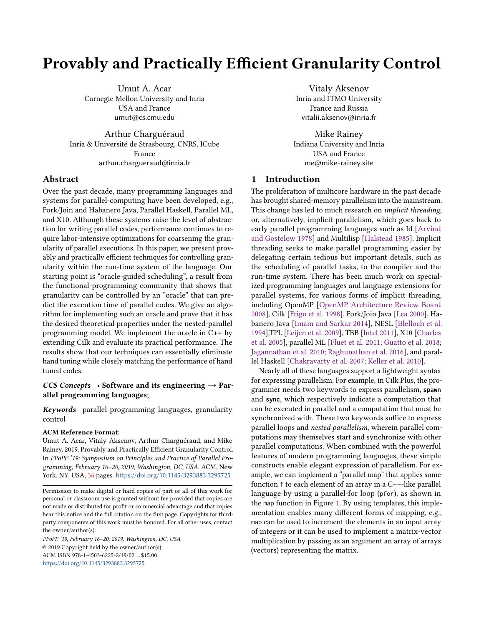# Provably and Practically Efficient Granularity Control

Umut A. Acar Carnegie Mellon University and Inria USA and France umut@cs.cmu.edu

Arthur Charguéraud Inria & Université de Strasbourg, CNRS, ICube France arthur.chargueraud@inria.fr

# Abstract

Over the past decade, many programming languages and systems for parallel-computing have been developed, e.g., Fork/Join and Habanero Java, Parallel Haskell, Parallel ML, and X10. Although these systems raise the level of abstraction for writing parallel codes, performance continues to require labor-intensive optimizations for coarsening the granularity of parallel executions. In this paper, we present provably and practically efficient techniques for controlling granularity within the run-time system of the language. Our starting point is "oracle-guided scheduling", a result from the functional-programming community that shows that granularity can be controlled by an "oracle" that can predict the execution time of parallel codes. We give an algorithm for implementing such an oracle and prove that it has the desired theoretical properties under the nested-parallel programming model. We implement the oracle in C++ by extending Cilk and evaluate its practical performance. The results show that our techniques can essentially eliminate hand tuning while closely matching the performance of hand tuned codes.

# CCS Concepts • Software and its engineering  $\rightarrow$  Parallel programming languages;

Keywords parallel programming languages, granularity control

#### ACM Reference Format:

Umut A. Acar, Vitaly Aksenov, Arthur Charguéraud, and Mike Rainey. 2019. Provably and Practically Efficient Granularity Control. In PPoPP '19: Symposium on Principles and Practice of Parallel Programming, February 16–20, 2019, Washington, DC, USA. ACM, New York, NY, USA, [36](#page-35-0) pages. <https://doi.org/10.1145/3293883.3295725>

PPoPP '19, February 16–20, 2019, Washington, DC, USA © 2019 Copyright held by the owner/author(s). ACM ISBN 978-1-4503-6225-2/19/02. . . \$15.00 <https://doi.org/10.1145/3293883.3295725>

Vitaly Aksenov Inria and ITMO University France and Russia vitalii.aksenov@inria.fr

Mike Rainey Indiana University and Inria USA and France me@mike-rainey.site

# 1 Introduction

The proliferation of multicore hardware in the past decade has brought shared-memory parallelism into the mainstream. This change has led to much research on implicit threading, or, alternatively, implicit parallelism, which goes back to early parallel programming languages such as Id [\[Arvind](#page-11-0) [and Gostelow](#page-11-0) [1978\]](#page-11-0) and Multilisp [\[Halstead](#page-12-0) [1985\]](#page-12-0). Implicit threading seeks to make parallel programming easier by delegating certain tedious but important details, such as the scheduling of parallel tasks, to the compiler and the run-time system. There has been much work on specialized programming languages and language extensions for parallel systems, for various forms of implicit threading, including OpenMP [\[OpenMP Architecture Review Board](#page-12-1) [2008\]](#page-12-1), Cilk [\[Frigo et al.](#page-11-1) [1998\]](#page-11-1), Fork/Join Java [\[Lea](#page-12-2) [2000\]](#page-12-2), Habanero Java [\[Imam and Sarkar](#page-12-3) [2014\]](#page-12-3), NESL [\[Blelloch et al.](#page-11-2) [1994\]](#page-11-2),TPL [\[Leijen et al.](#page-12-4) [2009\]](#page-12-4), TBB [\[Intel](#page-12-5) [2011\]](#page-12-5), X10 [\[Charles](#page-11-3) [et al.](#page-11-3) [2005\]](#page-11-3), parallel ML [\[Fluet et al.](#page-11-4) [2011;](#page-11-4) [Guatto et al.](#page-11-5) [2018;](#page-11-5) [Jagannathan et al.](#page-12-6) [2010;](#page-12-6) [Raghunathan et al.](#page-12-7) [2016\]](#page-12-7), and parallel Haskell [\[Chakravarty et al.](#page-11-6) [2007;](#page-11-6) [Keller et al.](#page-12-8) [2010\]](#page-12-8).

Nearly all of these languages support a lightweight syntax for expressing parallelism. For example, in Cilk Plus, the programmer needs two keywords to express parallelism, **spawn** and **sync**, which respectively indicate a computation that can be executed in parallel and a computation that must be synchronized with. These two keywords suffice to express parallel loops and nested parallelism, wherein parallel computations may themselves start and synchronize with other parallel computations. When combined with the powerful features of modern programming languages, these simple constructs enable elegant expression of parallelism. For example, we can implement a "parallel map" that applies some function f to each element of an array in a C++-like parallel language by using a parallel-for loop (pfor), as shown in the map function in Figure [1.](#page-1-0) By using templates, this implementation enables many different forms of mapping, e.g., map can be used to increment the elements in an input array of integers or it can be used to implement a matrix-vector multiplication by passing as an argument an array of arrays (vectors) representing the matrix.

Permission to make digital or hard copies of part or all of this work for personal or classroom use is granted without fee provided that copies are not made or distributed for profit or commercial advantage and that copies bear this notice and the full citation on the first page. Copyrights for thirdparty components of this work must be honored. For all other uses, contact the owner/author(s).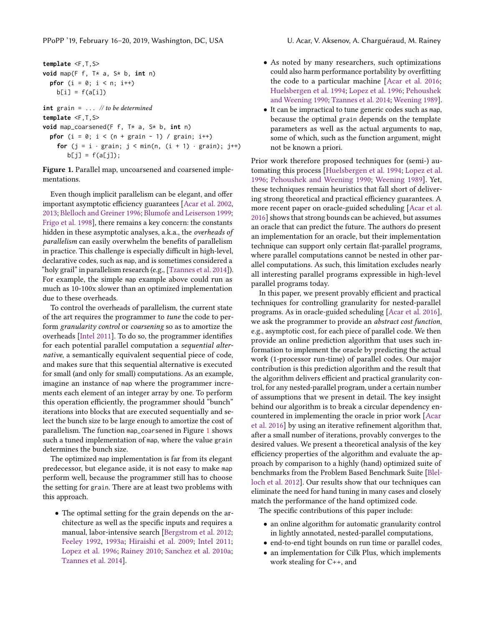```
template <F,T,S>
void map(F f, T* a, S* b, int n)
  pfor (i = 0; i < n; i++)
    b[i] = f(a[i])int grain = ... // to be determined
template <F,T,S>
void map_coarsened(F f, T* a, S* b, int n)
  pfor (i = 0; i < (n + \text{grain} - 1) / \text{grain}; i++)for (j = i \cdot \text{grain}; j < \text{min}(n, (i + 1) \cdot \text{grain}); j++)
```
 $b[j] = f(a[j]);$ Figure 1. Parallel map, uncoarsened and coarsened implementations.

Even though implicit parallelism can be elegant, and offer important asymptotic efficiency guarantees [\[Acar et al.](#page-11-7) [2002,](#page-11-7) [2013;](#page-11-8) [Blelloch and Greiner](#page-11-9) [1996;](#page-11-9) [Blumofe and Leiserson](#page-11-10) [1999;](#page-11-10) [Frigo et al.](#page-11-1) [1998\]](#page-11-1), there remains a key concern: the constants hidden in these asymptotic analyses, a.k.a., the overheads of parallelism can easily overwhelm the benefits of parallelism in practice. This challenge is especially difficult in high-level, declarative codes, such as map, and is sometimes considered a "holy grail" in parallelism research (e.g., [\[Tzannes et al.](#page-12-9) [2014\]](#page-12-9)). For example, the simple map example above could run as much as 10-100x slower than an optimized implementation due to these overheads.

To control the overheads of parallelism, the current state of the art requires the programmer to tune the code to perform granularity control or coarsening so as to amortize the overheads [\[Intel](#page-12-5) [2011\]](#page-12-5). To do so, the programmer identifies for each potential parallel computation a sequential alternative, a semantically equivalent sequential piece of code, and makes sure that this sequential alternative is executed for small (and only for small) computations. As an example, imagine an instance of map where the programmer increments each element of an integer array by one. To perform this operation efficiently, the programmer should "bunch" iterations into blocks that are executed sequentially and select the bunch size to be large enough to amortize the cost of parallelism. The function map\_coarsened in Figure [1](#page-1-0) shows such a tuned implementation of map, where the value grain determines the bunch size.

The optimized map implementation is far from its elegant predecessor, but elegance aside, it is not easy to make map perform well, because the programmer still has to choose the setting for grain. There are at least two problems with this approach.

• The optimal setting for the grain depends on the architecture as well as the specific inputs and requires a manual, labor-intensive search [\[Bergstrom et al.](#page-11-11) [2012;](#page-11-11) [Feeley](#page-11-12) [1992,](#page-11-12) [1993a;](#page-11-13) [Hiraishi et al.](#page-12-10) [2009;](#page-12-10) [Intel](#page-12-5) [2011;](#page-12-5) [Lopez et al.](#page-12-11) [1996;](#page-12-11) [Rainey](#page-12-12) [2010;](#page-12-12) [Sanchez et al.](#page-12-13) [2010a;](#page-12-13) [Tzannes et al.](#page-12-9) [2014\]](#page-12-9).

- As noted by many researchers, such optimizations could also harm performance portability by overfitting the code to a particular machine [\[Acar et al.](#page-11-14) [2016;](#page-11-14) [Huelsbergen et al.](#page-12-14) [1994;](#page-12-14) [Lopez et al.](#page-12-11) [1996;](#page-12-11) [Pehoushek](#page-12-15) [and Weening](#page-12-15) [1990;](#page-12-15) [Tzannes et al.](#page-12-9) [2014;](#page-12-9) [Weening](#page-12-16) [1989\]](#page-12-16).
- It can be impractical to tune generic codes such as map, because the optimal grain depends on the template parameters as well as the actual arguments to map, some of which, such as the function argument, might not be known a priori.

Prior work therefore proposed techniques for (semi-) automating this process [\[Huelsbergen et al.](#page-12-14) [1994;](#page-12-14) [Lopez et al.](#page-12-11) [1996;](#page-12-11) [Pehoushek and Weening](#page-12-15) [1990;](#page-12-15) [Weening](#page-12-16) [1989\]](#page-12-16). Yet, these techniques remain heuristics that fall short of delivering strong theoretical and practical efficiency guarantees. A more recent paper on oracle-guided scheduling [\[Acar et al.](#page-11-14) [2016\]](#page-11-14) shows that strong bounds can be achieved, but assumes an oracle that can predict the future. The authors do present an implementation for an oracle, but their implementation technique can support only certain flat-parallel programs, where parallel computations cannot be nested in other parallel computations. As such, this limitation excludes nearly all interesting parallel programs expressible in high-level parallel programs today.

In this paper, we present provably efficient and practical techniques for controlling granularity for nested-parallel programs. As in oracle-guided scheduling [\[Acar et al.](#page-11-14) [2016\]](#page-11-14), we ask the programmer to provide an abstract cost function, e.g., asymptotic cost, for each piece of parallel code. We then provide an online prediction algorithm that uses such information to implement the oracle by predicting the actual work (1-processor run-time) of parallel codes. Our major contribution is this prediction algorithm and the result that the algorithm delivers efficient and practical granularity control, for any nested-parallel program, under a certain number of assumptions that we present in detail. The key insight behind our algorithm is to break a circular dependency encountered in implementing the oracle in prior work [\[Acar](#page-11-14) [et al.](#page-11-14) [2016\]](#page-11-14) by using an iterative refinement algorithm that, after a small number of iterations, provably converges to the desired values. We present a theoretical analysis of the key efficiency properties of the algorithm and evaluate the approach by comparison to a highly (hand) optimized suite of benchmarks from the Problem Based Benchmark Suite [\[Blel](#page-11-15)[loch et al.](#page-11-15) [2012\]](#page-11-15). Our results show that our techniques can eliminate the need for hand tuning in many cases and closely match the performance of the hand optimized code.

The specific contributions of this paper include:

- an online algorithm for automatic granularity control in lightly annotated, nested-parallel computations,
- end-to-end tight bounds on run time or parallel codes,
- an implementation for Cilk Plus, which implements work stealing for C++, and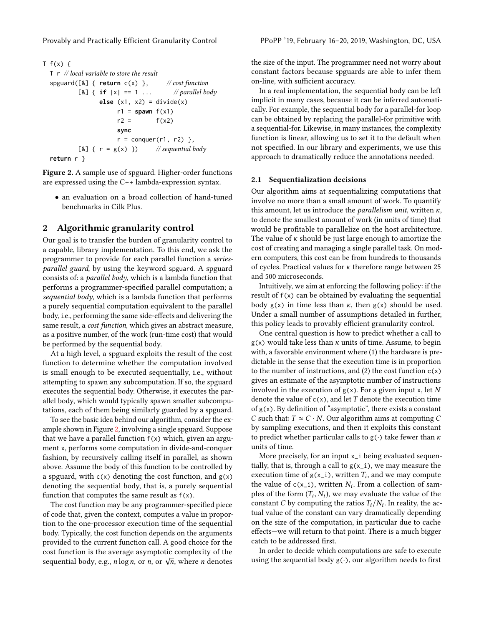Provably and Practically Efficient Granularity Control PPoPP '19, February 16–20, 2019, Washington, DC, USA

```
T f(x) {
  T r // local variable to store the result
  spguard([&] { return c(x) }, // cost function
           [&] \{ if \ |x| == 1 \dots \text{ } // parallel body \}else (x1, x2) = divide(x)
                       r1 = spawn f(x1)r2 = f(x2)sync
                       r = \text{conquer}(r1, r2) },
           [&] { r = g(x) }) // sequential body
  return r }
```
Figure 2. A sample use of spguard. Higher-order functions are expressed using the C++ lambda-expression syntax.

• an evaluation on a broad collection of hand-tuned benchmarks in Cilk Plus.

# <span id="page-2-2"></span>2 Algorithmic granularity control

Our goal is to transfer the burden of granularity control to a capable, library implementation. To this end, we ask the programmer to provide for each parallel function a seriesparallel guard, by using the keyword spguard. A spguard consists of: a parallel body, which is a lambda function that performs a programmer-specified parallel computation; a sequential body, which is a lambda function that performs a purely sequential computation equivalent to the parallel body, i.e., performing the same side-effects and delivering the same result, a cost function, which gives an abstract measure, as a positive number, of the work (run-time cost) that would be performed by the sequential body.

At a high level, a spguard exploits the result of the cost function to determine whether the computation involved is small enough to be executed sequentially, i.e., without attempting to spawn any subcomputation. If so, the spguard executes the sequential body. Otherwise, it executes the parallel body, which would typically spawn smaller subcomputations, each of them being similarly guarded by a spguard.

To see the basic idea behind our algorithm, consider the example shown in Figure [2,](#page-2-0) involving a single spguard. Suppose that we have a parallel function  $f(x)$  which, given an argument x, performs some computation in divide-and-conquer fashion, by recursively calling itself in parallel, as shown above. Assume the body of this function to be controlled by a spguard, with  $c(x)$  denoting the cost function, and  $g(x)$ denoting the sequential body, that is, a purely sequential function that computes the same result as  $f(x)$ .

The cost function may be any programmer-specified piece of code that, given the context, computes a value in proportion to the one-processor execution time of the sequential body. Typically, the cost function depends on the arguments provided to the current function call. A good choice for the cost function is the average asymptotic complexity of the cost function is the average asymptotic complexity of the sequential body, e.g., *n* log *n*, or *n*, or  $\sqrt{n}$ , where *n* denotes

the size of the input. The programmer need not worry about constant factors because spguards are able to infer them on-line, with sufficient accuracy.

In a real implementation, the sequential body can be left implicit in many cases, because it can be inferred automatically. For example, the sequential body for a parallel-for loop can be obtained by replacing the parallel-for primitive with a sequential-for. Likewise, in many instances, the complexity function is linear, allowing us to set it to the default when not specified. In our library and experiments, we use this approach to dramatically reduce the annotations needed.

# <span id="page-2-1"></span>2.1 Sequentialization decisions

Our algorithm aims at sequentializing computations that involve no more than a small amount of work. To quantify this amount, let us introduce the *parallelism unit*, written  $\kappa$ , to denote the smallest amount of work (in units of time) that would be profitable to parallelize on the host architecture. The value of  $\kappa$  should be just large enough to amortize the cost of creating and managing a single parallel task. On modern computers, this cost can be from hundreds to thousands of cycles. Practical values for  $\kappa$  therefore range between 25 and 500 microseconds.

Intuitively, we aim at enforcing the following policy: if the result of  $f(x)$  can be obtained by evaluating the sequential body  $g(x)$  in time less than  $\kappa$ , then  $g(x)$  should be used. Under a small number of assumptions detailed in further, this policy leads to provably efficient granularity control.

One central question is how to predict whether a call to  $g(x)$  would take less than  $\kappa$  units of time. Assume, to begin with, a favorable environment where (1) the hardware is predictable in the sense that the execution time is in proportion to the number of instructions, and (2) the cost function  $c(x)$ gives an estimate of the asymptotic number of instructions involved in the execution of  $g(x)$ . For a given input x, let N denote the value of  $c(x)$ , and let T denote the execution time of  $g(x)$ . By definition of "asymptotic", there exists a constant C such that:  $T \approx C \cdot N$ . Our algorithm aims at computing C by sampling executions, and then it exploits this constant to predict whether particular calls to  $g(\cdot)$  take fewer than  $\kappa$ units of time.

More precisely, for an input x\_i being evaluated sequentially, that is, through a call to  $g(x_i)$ , we may measure the execution time of  $g(x_i)$ , written  $T_i$ , and we may compute<br>the value of  $g(x_i)$ , written  $N_i$ . From a collection of samthe value of  $c(x_i)$ , written  $N_i$ . From a collection of sam-<br>ples of the form  $(T, N_i)$  we may evaluate the value of the ples of the form  $(T_i, N_i)$ , we may evaluate the value of the constant C by computing the ratios  $T_i/N_i$ . In reality, the acconstant C by computing the ratios  $T_i/N_i$ . In reality, the ac-<br>tual value of the constant can vary dramatically depending tual value of the constant can vary dramatically depending on the size of the computation, in particular due to cache effects—we will return to that point. There is a much bigger catch to be addressed first.

In order to decide which computations are safe to execute using the sequential body  $g(\cdot)$ , our algorithm needs to first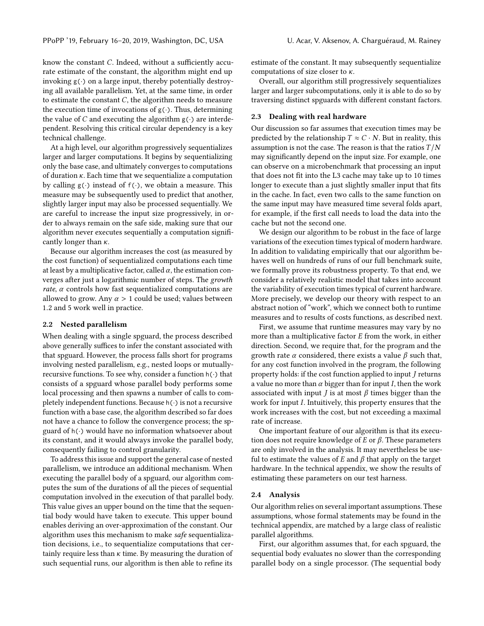know the constant C. Indeed, without a sufficiently accurate estimate of the constant, the algorithm might end up invoking  $g(\cdot)$  on a large input, thereby potentially destroying all available parallelism. Yet, at the same time, in order to estimate the constant C, the algorithm needs to measure the execution time of invocations of  $g(\cdot)$ . Thus, determining the value of C and executing the algorithm  $g(\cdot)$  are interdependent. Resolving this critical circular dependency is a key technical challenge.

At a high level, our algorithm progressively sequentializes larger and larger computations. It begins by sequentializing only the base case, and ultimately converges to computations of duration κ. Each time that we sequentialize a computation by calling  $g(\cdot)$  instead of  $f(\cdot)$ , we obtain a measure. This measure may be subsequently used to predict that another, slightly larger input may also be processed sequentially. We are careful to increase the input size progressively, in order to always remain on the safe side, making sure that our algorithm never executes sequentially a computation significantly longer than  $\kappa$ .

Because our algorithm increases the cost (as measured by the cost function) of sequentialized computations each time at least by a multiplicative factor, called  $\alpha$ , the estimation converges after just a logarithmic number of steps. The growth *rate,*  $\alpha$  controls how fast sequentialized computations are allowed to grow. Any  $\alpha > 1$  could be used; values between <sup>1</sup>.<sup>2</sup> and <sup>5</sup> work well in practice.

# 2.2 Nested parallelism

When dealing with a single spguard, the process described above generally suffices to infer the constant associated with that spguard. However, the process falls short for programs involving nested parallelism, e.g., nested loops or mutuallyrecursive functions. To see why, consider a function h(·) that consists of a spguard whose parallel body performs some local processing and then spawns a number of calls to completely independent functions. Because  $h(\cdot)$  is not a recursive function with a base case, the algorithm described so far does not have a chance to follow the convergence process; the spguard of h(·) would have no information whatsoever about its constant, and it would always invoke the parallel body, consequently failing to control granularity.

To address this issue and support the general case of nested parallelism, we introduce an additional mechanism. When executing the parallel body of a spguard, our algorithm computes the sum of the durations of all the pieces of sequential computation involved in the execution of that parallel body. This value gives an upper bound on the time that the sequential body would have taken to execute. This upper bound enables deriving an over-approximation of the constant. Our algorithm uses this mechanism to make safe sequentialization decisions, i.e., to sequentialize computations that certainly require less than  $\kappa$  time. By measuring the duration of such sequential runs, our algorithm is then able to refine its

estimate of the constant. It may subsequently sequentialize computations of size closer to  $\kappa$ .

Overall, our algorithm still progressively sequentializes larger and larger subcomputations, only it is able to do so by traversing distinct spguards with different constant factors.

# <span id="page-3-0"></span>2.3 Dealing with real hardware

Our discussion so far assumes that execution times may be predicted by the relationship  $T \approx C \cdot N$ . But in reality, this assumption is not the case. The reason is that the ratios  $T/N$ may significantly depend on the input size. For example, one can observe on a microbenchmark that processing an input that does not fit into the L3 cache may take up to 10 times longer to execute than a just slightly smaller input that fits in the cache. In fact, even two calls to the same function on the same input may have measured time several folds apart, for example, if the first call needs to load the data into the cache but not the second one.

We design our algorithm to be robust in the face of large variations of the execution times typical of modern hardware. In addition to validating empirically that our algorithm behaves well on hundreds of runs of our full benchmark suite, we formally prove its robustness property. To that end, we consider a relatively realistic model that takes into account the variability of execution times typical of current hardware. More precisely, we develop our theory with respect to an abstract notion of "work", which we connect both to runtime measures and to results of costs functions, as described next.

First, we assume that runtime measures may vary by no more than a multiplicative factor E from the work, in either direction. Second, we require that, for the program and the growth rate  $\alpha$  considered, there exists a value  $\beta$  such that, for any cost function involved in the program, the following property holds: if the cost function applied to input J returns a value no more than  $\alpha$  bigger than for input I, then the work associated with input *J* is at most  $\beta$  times bigger than the work for input I. Intuitively, this property ensures that the work increases with the cost, but not exceeding a maximal rate of increase.

One important feature of our algorithm is that its execution does not require knowledge of E or  $\beta$ . These parameters are only involved in the analysis. It may nevertheless be useful to estimate the values of E and  $\beta$  that apply on the target hardware. In the technical appendix, we show the results of estimating these parameters on our test harness.

# <span id="page-3-1"></span>2.4 Analysis

Our algorithm relies on several important assumptions. These assumptions, whose formal statements may be found in the technical appendix, are matched by a large class of realistic parallel algorithms.

First, our algorithm assumes that, for each spguard, the sequential body evaluates no slower than the corresponding parallel body on a single processor. (The sequential body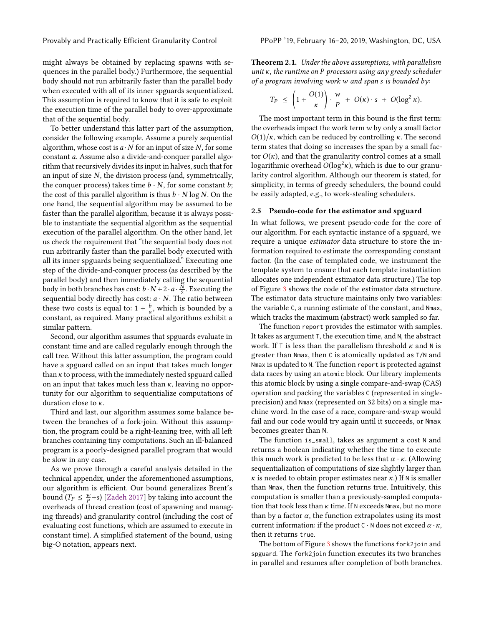might always be obtained by replacing spawns with sequences in the parallel body.) Furthermore, the sequential body should not run arbitrarily faster than the parallel body when executed with all of its inner spguards sequentialized. This assumption is required to know that it is safe to exploit the execution time of the parallel body to over-approximate that of the sequential body.

To better understand this latter part of the assumption, consider the following example. Assume a purely sequential algorithm, whose cost is  $a \cdot N$  for an input of size N, for some constant a. Assume also a divide-and-conquer parallel algorithm that recursively divides its input in halves, such that for an input of size N, the division process (and, symmetrically, the conquer process) takes time  $b \cdot N$ , for some constant b; the cost of this parallel algorithm is thus  $b \cdot N \log N$ . On the one hand, the sequential algorithm may be assumed to be faster than the parallel algorithm, because it is always possible to instantiate the sequential algorithm as the sequential execution of the parallel algorithm. On the other hand, let us check the requirement that "the sequential body does not run arbitrarily faster than the parallel body executed with all its inner spguards being sequentialized." Executing one step of the divide-and-conquer process (as described by the parallel body) and then immediately calling the sequential body in both branches has cost:  $b \cdot N + 2 \cdot a \cdot \frac{N}{2}$ . Executing the sequential body directly has cost:  $a \cdot N$ . The ratio between sequential body directly has cost:  $a \cdot N$ . The ratio between these two costs is equal to:  $1 + \frac{b}{a}$ , which is bounded by a a constant, as required. Many practical algorithms exhibit a similar pattern.

Second, our algorithm assumes that spguards evaluate in constant time and are called regularly enough through the call tree. Without this latter assumption, the program could have a spguard called on an input that takes much longer than  $\kappa$  to process, with the immediately nested spguard called on an input that takes much less than  $\kappa$ , leaving no opportunity for our algorithm to sequentialize computations of duration close to  $\kappa$ .

Third and last, our algorithm assumes some balance between the branches of a fork-join. Without this assumption, the program could be a right-leaning tree, with all left branches containing tiny computations. Such an ill-balanced program is a poorly-designed parallel program that would be slow in any case.

As we prove through a careful analysis detailed in the technical appendix, under the aforementioned assumptions, our algorithm is efficient. Our bound generalizes Brent's bound  $(T_P \leq \frac{w}{P} + s)$  [\[Zadeh](#page-12-17) [2017\]](#page-12-17) by taking into account the overheads of thread creation (cost of spanning and manage overheads of thread creation (cost of spawning and managing threads) and granularity control (including the cost of evaluating cost functions, which are assumed to execute in constant time). A simplified statement of the bound, using big-O notation, appears next.

<span id="page-4-0"></span>Theorem 2.1. Under the above assumptions, with parallelism unit  $\kappa$ , the runtime on P processors using any greedy scheduler of a program involving work w and span s is bounded by:

$$
T_P \leq \left(1 + \frac{O(1)}{\kappa}\right) \cdot \frac{w}{P} + O(\kappa) \cdot s + O(\log^2 \kappa).
$$

The most important term in this bound is the first term: the overheads impact the work term  $w$  by only a small factor  $O(1)/\kappa$ , which can be reduced by controlling  $\kappa$ . The second term states that doing so increases the span by a small factor  $O(\kappa)$ , and that the granularity control comes at a small logarithmic overhead  $O(\log^2 \kappa)$ , which is due to our granu-<br>larity control algorithm. Although our theorem is stated for larity control algorithm. Although our theorem is stated, for simplicity, in terms of greedy schedulers, the bound could be easily adapted, e.g., to work-stealing schedulers.

# 2.5 Pseudo-code for the estimator and spguard

In what follows, we present pseudo-code for the core of our algorithm. For each syntactic instance of a spguard, we require a unique estimator data structure to store the information required to estimate the corresponding constant factor. (In the case of templated code, we instrument the template system to ensure that each template instantiation allocates one independent estimator data structure.) The top of Figure [3](#page-5-0) shows the code of the estimator data structure. The estimator data structure maintains only two variables: the variable C, a running estimate of the constant, and Nmax, which tracks the maximum (abstract) work sampled so far.

The function report provides the estimator with samples. It takes as argument T, the execution time, and N, the abstract work. If T is less than the parallelism threshold  $\kappa$  and N is greater than Nmax, then C is atomically updated as T/N and Nmax is updated to N. The function report is protected against data races by using an atomic block. Our library implements this atomic block by using a single compare-and-swap (CAS) operation and packing the variables C (represented in singleprecision) and Nmax (represented on 32 bits) on a single machine word. In the case of a race, compare-and-swap would fail and our code would try again until it succeeds, or Nmax becomes greater than N.

The function is\_small, takes as argument a cost N and returns a boolean indicating whether the time to execute this much work is predicted to be less that  $\alpha \cdot \kappa$ . (Allowing sequentialization of computations of size slightly larger than  $\kappa$  is needed to obtain proper estimates near  $\kappa$ .) If N is smaller than Nmax, then the function returns true. Intuitively, this computation is smaller than a previously-sampled computation that took less than  $\kappa$  time. If N exceeds Nmax, but no more than by a factor  $\alpha$ , the function extrapolates using its most current information: if the product C  $\cdot$  N does not exceed  $\alpha$   $\cdot$   $\kappa$ , then it returns true.

The bottom of Figure [3](#page-5-0) shows the functions fork2join and spguard. The fork2join function executes its two branches in parallel and resumes after completion of both branches.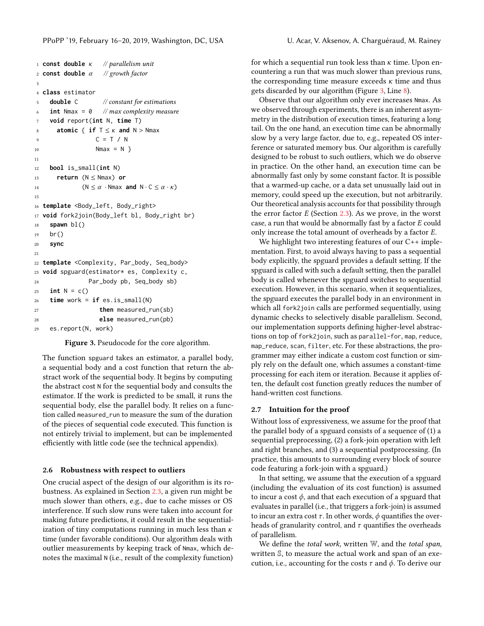```
1 const double κ // parallelism unit<br>2 const double α // growth factor
2 const double α
3
4 class estimator
5 double C // constant for estimations
6 int Nmax = \theta // max complexity measure
    7 void report(int N, time T)
8 atomic { if T ≤ κ and N > Nmax
                 C = T / N10 Nmax = N }11
12 bool is_small(int N)
13 return (N ≤ Nmax) or
14 (N \leq \alpha · Nmax and N \cdot C \leq \alpha \cdot \kappa)
15
16 template <Body_left, Body_right>
17 void fork2join(Body_left bl, Body_right br)
18 spawn bl()
19 br()
20 sync
21
22 template <Complexity, Par_body, Seq_body>
23 void spguard(estimator* es, Complexity c,
24 Par_body pb, Seq_body sb)
25 int N = C()26 time work = if es.is_small(N)
27 then measured_run(sb)
28 else measured_run(pb)
29 es.report(N, work)
```
Figure 3. Pseudocode for the core algorithm.

The function spguard takes an estimator, a parallel body, a sequential body and a cost function that return the abstract work of the sequential body. It begins by computing the abstract cost N for the sequential body and consults the estimator. If the work is predicted to be small, it runs the sequential body, else the parallel body. It relies on a function called measured\_run to measure the sum of the duration of the pieces of sequential code executed. This function is not entirely trivial to implement, but can be implemented efficiently with little code (see the technical appendix).

# <span id="page-5-2"></span>2.6 Robustness with respect to outliers

One crucial aspect of the design of our algorithm is its robustness. As explained in Section [2.3,](#page-3-0) a given run might be much slower than others, e.g., due to cache misses or OS interference. If such slow runs were taken into account for making future predictions, it could result in the sequentialization of tiny computations running in much less than  $\kappa$ time (under favorable conditions). Our algorithm deals with outlier measurements by keeping track of Nmax, which denotes the maximal N (i.e., result of the complexity function)

for which a sequential run took less than  $\kappa$  time. Upon encountering a run that was much slower than previous runs, the corresponding time measure exceeds  $\kappa$  time and thus gets discarded by our algorithm (Figure [3,](#page-5-0) Line [8\)](#page-5-1).

Observe that our algorithm only ever increases Nmax. As we observed through experiments, there is an inherent asymmetry in the distribution of execution times, featuring a long tail. On the one hand, an execution time can be abnormally slow by a very large factor, due to, e.g., repeated OS interference or saturated memory bus. Our algorithm is carefully designed to be robust to such outliers, which we do observe in practice. On the other hand, an execution time can be abnormally fast only by some constant factor. It is possible that a warmed-up cache, or a data set unusually laid out in memory, could speed up the execution, but not arbitrarily. Our theoretical analysis accounts for that possibility through the error factor  $E$  (Section [2.3\)](#page-3-0). As we prove, in the worst case, a run that would be abnormally fast by a factor E could only increase the total amount of overheads by a factor E.

We highlight two interesting features of our C++ implementation. First, to avoid always having to pass a sequential body explicitly, the spguard provides a default setting. If the spguard is called with such a default setting, then the parallel body is called whenever the spguard switches to sequential execution. However, in this scenario, when it sequentializes, the spguard executes the parallel body in an environment in which all fork2join calls are performed sequentially, using dynamic checks to selectively disable parallelism. Second, our implementation supports defining higher-level abstractions on top of fork2join, such as parallel-for, map, reduce, map\_reduce, scan, filter, etc. For these abstractions, the programmer may either indicate a custom cost function or simply rely on the default one, which assumes a constant-time processing for each item or iteration. Because it applies often, the default cost function greatly reduces the number of hand-written cost functions.

# 2.7 Intuition for the proof

Without loss of expressiveness, we assume for the proof that the parallel body of a spguard consists of a sequence of (1) a sequential preprocessing, (2) a fork-join operation with left and right branches, and (3) a sequential postprocessing. (In practice, this amounts to surrounding every block of source code featuring a fork-join with a spguard.)

In that setting, we assume that the execution of a spguard (including the evaluation of its cost function) is assumed to incur a cost  $\phi$ , and that each execution of a spguard that evaluates in parallel (i.e., that triggers a fork-join) is assumed to incur an extra cost  $\tau$ . In other words,  $\phi$  quantifies the overheads of granularity control, and  $\tau$  quantifies the overheads of parallelism.

We define the *total work*, written  $W$ , and the *total span*, written S, to measure the actual work and span of an execution, i.e., accounting for the costs  $\tau$  and  $\phi$ . To derive our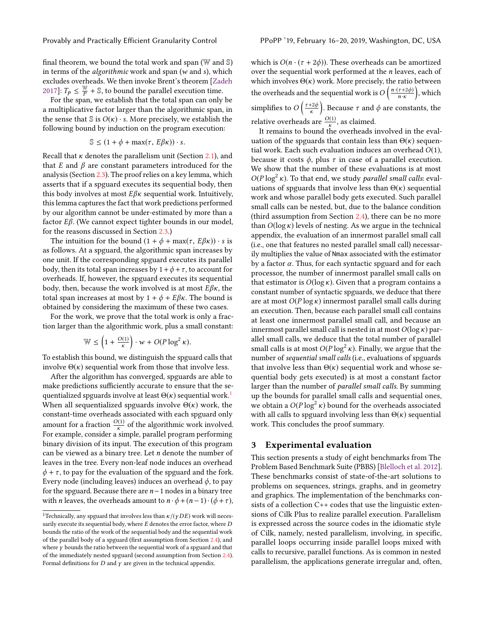final theorem, we bound the total work and span ( $\mathbb W$  and  $\mathbb S$ ) in terms of the algorithmic work and span (w and s), which excludes overheads. We then invoke Brent's theorem [\[Zadeh](#page-12-17) [2017\]](#page-12-17):  $T_p \leq \frac{W}{p} + S$ , to bound the parallel execution time.<br>For the span, we establish that the total span can only

For the span, we establish that the total span can only be a multiplicative factor larger than the algorithmic span, in the sense that  $\mathcal S$  is  $O(\kappa) \cdot s$ . More precisely, we establish the following bound by induction on the program execution:

$$
\mathbb{S} \le (1 + \phi + \max(\tau, E\beta \kappa)) \cdot s.
$$

Recall that  $\kappa$  denotes the parallelism unit (Section [2.1\)](#page-2-1), and that E and  $\beta$  are constant parameters introduced for the analysis (Section [2.3\)](#page-3-0). The proof relies on a key lemma, which asserts that if a spguard executes its sequential body, then this body involves at most  $E\beta\kappa$  sequential work. Intuitively, this lemma captures the fact that work predictions performed by our algorithm cannot be under-estimated by more than a factor  $E\beta$ . (We cannot expect tighter bounds in our model, for the reasons discussed in Section [2.3.](#page-3-0))

The intuition for the bound  $(1 + \phi + \max(\tau, E\beta\kappa)) \cdot s$  is as follows. At a spguard, the algorithmic span increases by one unit. If the corresponding spguard executes its parallel body, then its total span increases by  $1 + \phi + \tau$ , to account for overheads. If, however, the spguard executes its sequential body, then, because the work involved is at most  $E\beta\kappa$ , the total span increases at most by  $1 + \phi + E\beta\kappa$ . The bound is obtained by considering the maximum of these two cases.

For the work, we prove that the total work is only a fraction larger than the algorithmic work, plus a small constant:

$$
\mathbb{W} \le \left(1 + \frac{O(1)}{\kappa}\right) \cdot w + O(P \log^2 \kappa).
$$

To establish this bound, we distinguish the spguard calls that involve  $\Theta(\kappa)$  sequential work from those that involve less.

After the algorithm has converged, spguards are able to make predictions sufficiently accurate to ensure that the sequentialized spguards involve at least  $\Theta(\kappa)$  sequential work.<sup>[1](#page-6-0)</sup> When all sequentialized spguards involve  $\Theta(\kappa)$  work, the constant-time overheads associated with each spguard only amount for a fraction  $\frac{O(1)}{K}$  of the algorithmic work involved. For example, consider a simple, parallel program performing binary division of its input. The execution of this program can be viewed as a binary tree. Let  $n$  denote the number of leaves in the tree. Every non-leaf node induces an overhead  $\phi + \tau$ , to pay for the evaluation of the spguard and the fork. Every node (including leaves) induces an overhead  $\phi$ , to pay for the spguard. Because there are  $n-1$  nodes in a binary tree with *n* leaves, the overheads amount to  $n \cdot \phi + (n-1) \cdot (\phi + \tau)$ ,

which is  $O(n \cdot (\tau + 2\phi))$ . These overheads can be amortized over the sequential work performed at the  $n$  leaves, each of which involves  $\Theta(\kappa)$  work. More precisely, the ratio between the overheads and the sequential work is  $O\left(\frac{n\cdot(\tau+2\phi)}{n\cdot\kappa}\right)$  $n \cdot \kappa$  , which simplifies to  $O\left(\frac{\tau+2\phi}{\kappa}\right)$ . Because  $\tau$  and  $\phi$  are constants, the relative overheads are  $\frac{O(1)}{K}$ , as claimed.

It remains to bound the overheads involved in the evaluation of the spguards that contain less than  $\Theta(\kappa)$  sequential work. Each such evaluation induces an overhead  $O(1)$ , because it costs  $\phi$ , plus  $\tau$  in case of a parallel execution. We show that the number of these evaluations is at most  $O(P \log^2 \kappa)$ . To that end, we study *parallel small calls:* evaluations of spquares that involve less than  $\Theta(\kappa)$  sequential uations of spguards that involve less than  $\Theta(\kappa)$  sequential work and whose parallel body gets executed. Such parallel small calls can be nested, but, due to the balance condition (third assumption from Section [2.4\)](#page-3-1), there can be no more than  $O(\log \kappa)$  levels of nesting. As we argue in the technical appendix, the evaluation of an innermost parallel small call (i.e., one that features no nested parallel small call) necessarily multiplies the value of Nmax associated with the estimator by a factor  $\alpha$ . Thus, for each syntactic spguard and for each processor, the number of innermost parallel small calls on that estimator is  $O(\log \kappa)$ . Given that a program contains a constant number of syntactic spguards, we deduce that there are at most  $O(P \log \kappa)$  innermost parallel small calls during an execution. Then, because each parallel small call contains at least one innermost parallel small call, and because an innermost parallel small call is nested in at most  $O(\log \kappa)$  parallel small calls, we deduce that the total number of parallel small calls is at most  $O(P \log^2 \kappa)$ . Finally, we argue that the number of sequential small calls (i.e., evaluations of spouards number of sequential small calls (i.e., evaluations of spguards that involve less than  $\Theta(\kappa)$  sequential work and whose sequential body gets executed) is at most a constant factor larger than the number of parallel small calls. By summing up the bounds for parallel small calls and sequential ones, we obtain a  $O(P \log^2 \kappa)$  bound for the overheads associated<br>with all calls to spouard involving less than  $\Theta(\kappa)$  sequential with all calls to spguard involving less than  $\Theta(\kappa)$  sequential work. This concludes the proof summary.

# <span id="page-6-1"></span>3 Experimental evaluation

This section presents a study of eight benchmarks from The Problem Based Benchmark Suite (PBBS) [\[Blelloch et al.](#page-11-15) [2012\]](#page-11-15). These benchmarks consist of state-of-the-art solutions to problems on sequences, strings, graphs, and in geometry and graphics. The implementation of the benchmarks consists of a collection C++ codes that use the linguistic extensions of Cilk Plus to realize parallel execution. Parallelism is expressed across the source codes in the idiomatic style of Cilk, namely, nested parallelism, involving, in specific, parallel loops occurring inside parallel loops mixed with calls to recursive, parallel functions. As is common in nested parallelism, the applications generate irregular and, often,

<span id="page-6-0"></span><sup>&</sup>lt;sup>1</sup>Technically, any spguard that involves less than  $\kappa/(yDE)$  work will necessarily execute its sequential body, where E denotes the error factor, where D bounds the ratio of the work of the sequential body and the sequential work of the parallel body of a spguard (first assumption from Section [2.4\)](#page-3-1), and where  $\gamma$  bounds the ratio between the sequential work of a spguard and that of the immediately nested spguard (second assumption from Section [2.4\)](#page-3-1). Formal definitions for  $D$  and  $\gamma$  are given in the technical appendix.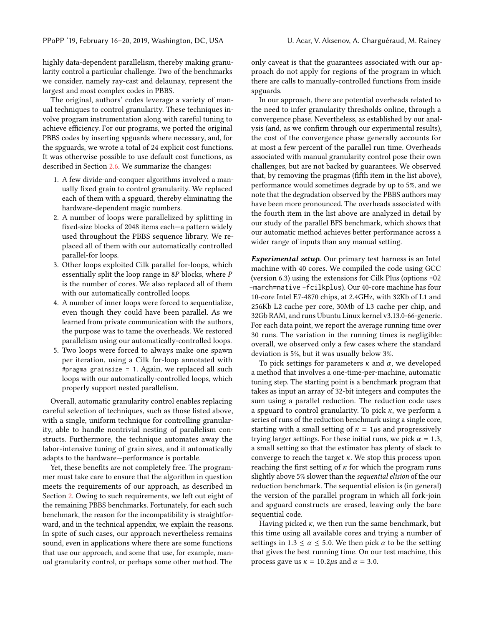highly data-dependent parallelism, thereby making granularity control a particular challenge. Two of the benchmarks we consider, namely ray-cast and delaunay, represent the largest and most complex codes in PBBS.

The original, authors' codes leverage a variety of manual techniques to control granularity. These techniques involve program instrumentation along with careful tuning to achieve efficiency. For our programs, we ported the original PBBS codes by inserting spguards where necessary, and, for the spguards, we wrote a total of 24 explicit cost functions. It was otherwise possible to use default cost functions, as described in Section [2.6.](#page-5-2) We summarize the changes:

- 1. A few divide-and-conquer algorithms involved a manually fixed grain to control granularity. We replaced each of them with a spguard, thereby eliminating the hardware-dependent magic numbers.
- 2. A number of loops were parallelized by splitting in fixed-size blocks of 2048 items each—a pattern widely used throughout the PBBS sequence library. We replaced all of them with our automatically controlled parallel-for loops.
- 3. Other loops exploited Cilk parallel for-loops, which essentially split the loop range in <sup>8</sup>P blocks, where P is the number of cores. We also replaced all of them with our automatically controlled loops.
- 4. A number of inner loops were forced to sequentialize, even though they could have been parallel. As we learned from private communication with the authors, the purpose was to tame the overheads. We restored parallelism using our automatically-controlled loops.
- 5. Two loops were forced to always make one spawn per iteration, using a Cilk for-loop annotated with #pragma grainsize = 1. Again, we replaced all such loops with our automatically-controlled loops, which properly support nested parallelism.

Overall, automatic granularity control enables replacing careful selection of techniques, such as those listed above, with a single, uniform technique for controlling granularity, able to handle nontrivial nesting of parallelism constructs. Furthermore, the technique automates away the labor-intensive tuning of grain sizes, and it automatically adapts to the hardware—performance is portable.

Yet, these benefits are not completely free. The programmer must take care to ensure that the algorithm in question meets the requirements of our approach, as described in Section [2.](#page-2-2) Owing to such requirements, we left out eight of the remaining PBBS benchmarks. Fortunately, for each such benchmark, the reason for the incompatibility is straightforward, and in the technical appendix, we explain the reasons. In spite of such cases, our approach nevertheless remains sound, even in applications where there are some functions that use our approach, and some that use, for example, manual granularity control, or perhaps some other method. The

only caveat is that the guarantees associated with our approach do not apply for regions of the program in which there are calls to manually-controlled functions from inside spguards.

In our approach, there are potential overheads related to the need to infer granularity thresholds online, through a convergence phase. Nevertheless, as established by our analysis (and, as we confirm through our experimental results), the cost of the convergence phase generally accounts for at most a few percent of the parallel run time. Overheads associated with manual granularity control pose their own challenges, but are not backed by guarantees. We observed that, by removing the pragmas (fifth item in the list above), performance would sometimes degrade by up to 5%, and we note that the degradation observed by the PBBS authors may have been more pronounced. The overheads associated with the fourth item in the list above are analyzed in detail by our study of the parallel BFS benchmark, which shows that our automatic method achieves better performance across a wider range of inputs than any manual setting.

Experimental setup. Our primary test harness is an Intel machine with 40 cores. We compiled the code using GCC (version 6.3) using the extensions for Cilk Plus (options -O2 -march=native -fcilkplus). Our 40-core machine has four 10-core Intel E7-4870 chips, at 2.4GHz, with 32Kb of L1 and 256Kb L2 cache per core, 30Mb of L3 cache per chip, and 32Gb RAM, and runs Ubuntu Linux kernel v3.13.0-66-generic. For each data point, we report the average running time over 30 runs. The variation in the running times is negligible: overall, we observed only a few cases where the standard deviation is 5%, but it was usually below 3%.

To pick settings for parameters  $\kappa$  and  $\alpha$ , we developed a method that involves a one-time-per-machine, automatic tuning step. The starting point is a benchmark program that takes as input an array of 32-bit integers and computes the sum using a parallel reduction. The reduction code uses a spguard to control granularity. To pick  $\kappa$ , we perform a series of runs of the reduction benchmark using a single core, starting with a small setting of  $\kappa = 1\mu s$  and progressively trying larger settings. For these initial runs, we pick  $\alpha = 1.3$ , a small setting so that the estimator has plenty of slack to converge to reach the target  $\kappa$ . We stop this process upon reaching the first setting of  $\kappa$  for which the program runs slightly above 5% slower than the sequential elision of the our reduction benchmark. The sequential elision is (in general) the version of the parallel program in which all fork-join and spguard constructs are erased, leaving only the bare sequential code.

Having picked  $\kappa$ , we then run the same benchmark, but this time using all available cores and trying a number of settings in 1.3  $\leq \alpha \leq$  5.0. We then pick  $\alpha$  to be the setting that gives the best running time. On our test machine, this process gave us  $\kappa = 10.2 \mu s$  and  $\alpha = 3.0$ .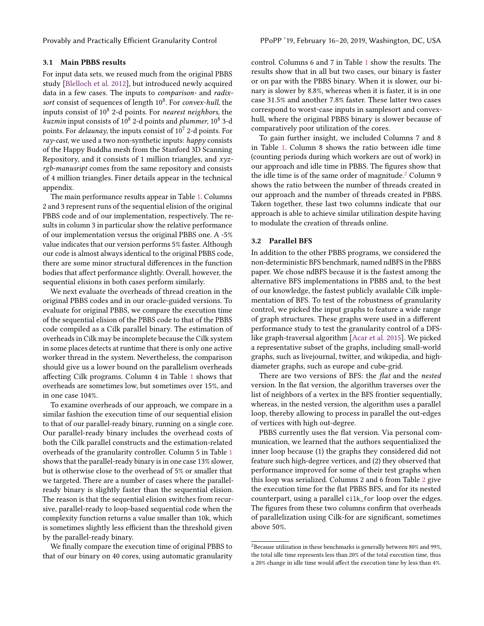#### 3.1 Main PBBS results

For input data sets, we reused much from the original PBBS study [\[Blelloch et al.](#page-11-15) [2012\]](#page-11-15), but introduced newly acquired data in a few cases. The inputs to comparison- and radixsort consist of sequences of length 10<sup>8</sup>. For convex-hull, the inputs consist of 10<sup>8</sup> 2-d points. For nearest neighbors, the kuzmin input consists of 10 $8$  2-d points and plummer, 10 $8$  3-d points. For *delaunay*, the inputs consist of  $10^7$  2-d points. For ray-cast, we used a two non-synthetic inputs: happy consists of the Happy Buddha mesh from the Stanford 3D Scanning Repository, and it consists of 1 million triangles, and xyzrgb-manusript comes from the same repository and consists of 4 million triangles. Finer details appear in the technical appendix.

The main performance results appear in Table [1.](#page-9-0) Columns 2 and 3 represent runs of the sequential elision of the original PBBS code and of our implementation, respectively. The results in column 3 in particular show the relative performance of our implementation versus the original PBBS one. A -5% value indicates that our version performs 5% faster. Although our code is almost always identical to the original PBBS code, there are some minor structural differences in the function bodies that affect performance slightly. Overall, however, the sequential elisions in both cases perform similarly.

We next evaluate the overheads of thread creation in the original PBBS codes and in our oracle-guided versions. To evaluate for original PBBS, we compare the execution time of the sequential elision of the PBBS code to that of the PBBS code compiled as a Cilk parallel binary. The estimation of overheads in Cilk may be incomplete because the Cilk system in some places detects at runtime that there is only one active worker thread in the system. Nevertheless, the comparison should give us a lower bound on the parallelism overheads affecting Cilk programs. Column 4 in Table [1](#page-9-0) shows that overheads are sometimes low, but sometimes over 15%, and in one case 104%.

To examine overheads of our approach, we compare in a similar fashion the execution time of our sequential elision to that of our parallel-ready binary, running on a single core. Our parallel-ready binary includes the overhead costs of both the Cilk parallel constructs and the estimation-related overheads of the granularity controller. Column 5 in Table [1](#page-9-0) shows that the parallel-ready binary is in one case 13% slower, but is otherwise close to the overhead of 5% or smaller that we targeted. There are a number of cases where the parallelready binary is slightly faster than the sequential elision. The reason is that the sequential elision switches from recursive, parallel-ready to loop-based sequential code when the complexity function returns a value smaller than 10k, which is sometimes slightly less efficient than the threshold given by the parallel-ready binary.

We finally compare the execution time of original PBBS to that of our binary on 40 cores, using automatic granularity control. Columns 6 and 7 in Table [1](#page-9-0) show the results. The results show that in all but two cases, our binary is faster or on par with the PBBS binary. When it is slower, our binary is slower by 8.8%, whereas when it is faster, it is in one case 31.5% and another 7.8% faster. These latter two cases correspond to worst-case inputs in samplesort and convexhull, where the original PBBS binary is slower because of comparatively poor utilization of the cores.

To gain further insight, we included Columns 7 and 8 in Table [1.](#page-9-0) Column 8 shows the ratio between idle time (counting periods during which workers are out of work) in our approach and idle time in PBBS. The figures show that the idle time is of the same order of magnitude. $2$  Column 9 shows the ratio between the number of threads created in our approach and the number of threads created in PBBS. Taken together, these last two columns indicate that our approach is able to achieve similar utilization despite having to modulate the creation of threads online.

# 3.2 Parallel BFS

In addition to the other PBBS programs, we considered the non-deterministic BFS benchmark, named ndBFS in the PBBS paper. We chose ndBFS because it is the fastest among the alternative BFS implementations in PBBS and, to the best of our knowledge, the fastest publicly available Cilk implementation of BFS. To test of the robustness of granularity control, we picked the input graphs to feature a wide range of graph structures. These graphs were used in a different performance study to test the granularity control of a DFSlike graph-traversal algorithm [\[Acar et al.](#page-11-16) [2015\]](#page-11-16). We picked a representative subset of the graphs, including small-world graphs, such as livejournal, twitter, and wikipedia, and highdiameter graphs, such as europe and cube-grid.

There are two versions of BFS: the flat and the nested version. In the flat version, the algorithm traverses over the list of neighbors of a vertex in the BFS frontier sequentially, whereas, in the nested version, the algorithm uses a parallel loop, thereby allowing to process in parallel the out-edges of vertices with high out-degree.

PBBS currently uses the flat version. Via personal communication, we learned that the authors sequentialized the inner loop because (1) the graphs they considered did not feature such high-degree vertices, and (2) they observed that performance improved for some of their test graphs when this loop was serialized. Columns 2 and 6 from Table [2](#page-10-0) give the execution time for the flat PBBS BFS, and for its nested counterpart, using a parallel cilk\_for loop over the edges. The figures from these two columns confirm that overheads of parallelization using Cilk-for are significant, sometimes above 50%.

<span id="page-8-0"></span> ${}^{2}$ Because utilization in these benchmarks is generally between 80% and 99%, the total idle time represents less than 20% of the total execution time, thus a 20% change in idle time would affect the execution time by less than 4%.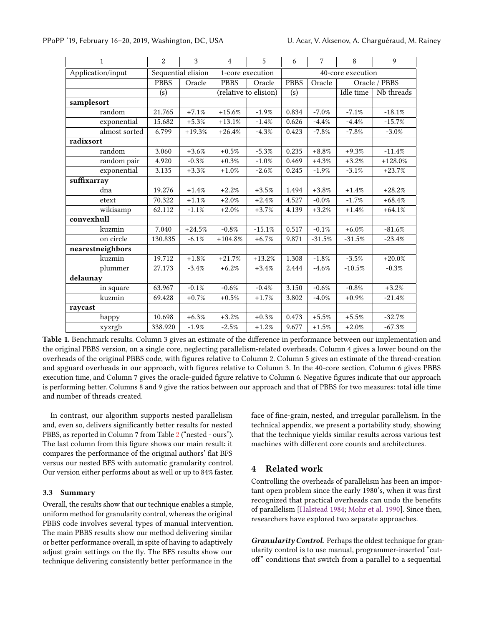<span id="page-9-0"></span>

| $\mathbf{1}$      | 2           | 3                  | $\overline{4}$ | 5                     | 6           | 7        | 8                 | 9             |
|-------------------|-------------|--------------------|----------------|-----------------------|-------------|----------|-------------------|---------------|
| Application/input |             | Sequential elision |                | 1-core execution      |             |          | 40-core execution |               |
|                   | <b>PBBS</b> | Oracle             | <b>PBBS</b>    | Oracle                | <b>PBBS</b> | Oracle   |                   | Oracle / PBBS |
|                   | (s)         |                    |                | (relative to elision) | (s)         |          | Idle time         | Nb threads    |
| samplesort        |             |                    |                |                       |             |          |                   |               |
| random            | 21.765      | $+7.1%$            | $+15.6%$       | $-1.9%$               | 0.834       | $-7.0%$  | $-7.1%$           | $-18.1%$      |
| exponential       | 15.682      | $+5.3%$            | $+13.1%$       | $-1.4%$               | 0.626       | $-4.4%$  | $-4.4%$           | $-15.7%$      |
| almost sorted     | 6.799       | $+19.3%$           | $+26.4%$       | $-4.3%$               | 0.423       | $-7.8%$  | $-7.8%$           | $-3.0%$       |
| radixsort         |             |                    |                |                       |             |          |                   |               |
| random            | 3.060       | $+3.6%$            | $+0.5%$        | $-5.3%$               | 0.235       | $+8.8%$  | $+9.3%$           | $-11.4%$      |
| random pair       | 4.920       | $-0.3%$            | $+0.3%$        | $-1.0%$               | 0.469       | $+4.3%$  | $+3.2%$           | $+128.0%$     |
| exponential       | 3.135       | $+3.3%$            | $+1.0%$        | $-2.6%$               | 0.245       | $-1.9%$  | $-3.1%$           | $+23.7%$      |
| suffixarray       |             |                    |                |                       |             |          |                   |               |
| dna               | 19.276      | $+1.4%$            | $+2.2%$        | $+3.5%$               | 1.494       | $+3.8%$  | $+1.4%$           | $+28.2%$      |
| etext             | 70.322      | $+1.1%$            | $+2.0%$        | $+2.4%$               | 4.527       | $-0.0%$  | $-1.7%$           | $+68.4%$      |
| wikisamp          | 62.112      | $-1.1%$            | $+2.0%$        | $+3.7%$               | 4.139       | $+3.2%$  | $+1.4%$           | $+64.1%$      |
| convexhull        |             |                    |                |                       |             |          |                   |               |
| kuzmin            | 7.040       | $+24.5%$           | $-0.8%$        | $-15.1%$              | 0.517       | $-0.1%$  | $+6.0%$           | $-81.6%$      |
| on circle         | 130.835     | $-6.1%$            | $+104.8%$      | $+6.7%$               | 9.871       | $-31.5%$ | $-31.5%$          | $-23.4%$      |
| nearestneighbors  |             |                    |                |                       |             |          |                   |               |
| kuzmin            | 19.712      | $+1.8%$            | $+21.7%$       | $+13.2%$              | 1.308       | $-1.8%$  | $-3.5%$           | $+20.0%$      |
| plummer           | 27.173      | $-3.4%$            | $+6.2%$        | $+3.4%$               | 2.444       | $-4.6%$  | $-10.5%$          | $-0.3%$       |
| delaunay          |             |                    |                |                       |             |          |                   |               |
| in square         | 63.967      | $-0.1%$            | $-0.6%$        | $-0.4%$               | 3.150       | $-0.6%$  | $-0.8%$           | $+3.2%$       |
| kuzmin            | 69.428      | $+0.7%$            | $+0.5%$        | $+1.7%$               | 3.802       | $-4.0%$  | $+0.9%$           | $-21.4%$      |
| raycast           |             |                    |                |                       |             |          |                   |               |
| happy             | 10.698      | $+6.3%$            | $+3.2%$        | $+0.3%$               | 0.473       | $+5.5%$  | $+5.5%$           | $-32.7%$      |
| xyzrgb            | 338.920     | $-1.9%$            | $-2.5%$        | $+1.2%$               | 9.677       | $+1.5%$  | $+2.0\%$          | $-67.3%$      |

Table 1. Benchmark results. Column 3 gives an estimate of the difference in performance between our implementation and the original PBBS version, on a single core, neglecting parallelism-related overheads. Column 4 gives a lower bound on the overheads of the original PBBS code, with figures relative to Column 2. Column 5 gives an estimate of the thread-creation and spguard overheads in our approach, with figures relative to Column 3. In the 40-core section, Column 6 gives PBBS execution time, and Column 7 gives the oracle-guided figure relative to Column 6. Negative figures indicate that our approach is performing better. Columns 8 and 9 give the ratios between our approach and that of PBBS for two measures: total idle time and number of threads created.

In contrast, our algorithm supports nested parallelism and, even so, delivers significantly better results for nested PBBS, as reported in Column 7 from Table [2](#page-10-0) ("nested - ours"). The last column from this figure shows our main result: it compares the performance of the original authors' flat BFS versus our nested BFS with automatic granularity control. Our version either performs about as well or up to 84% faster.

# 3.3 Summary

Overall, the results show that our technique enables a simple, uniform method for granularity control, whereas the original PBBS code involves several types of manual intervention. The main PBBS results show our method delivering similar or better performance overall, in spite of having to adaptively adjust grain settings on the fly. The BFS results show our technique delivering consistently better performance in the face of fine-grain, nested, and irregular parallelism. In the technical appendix, we present a portability study, showing that the technique yields similar results across various test machines with different core counts and architectures.

# 4 Related work

Controlling the overheads of parallelism has been an important open problem since the early 1980's, when it was first recognized that practical overheads can undo the benefits of parallelism [\[Halstead](#page-12-18) [1984;](#page-12-18) [Mohr et al.](#page-12-19) [1990\]](#page-12-19). Since then, researchers have explored two separate approaches.

 $$ ularity control is to use manual, programmer-inserted "cutoff" conditions that switch from a parallel to a sequential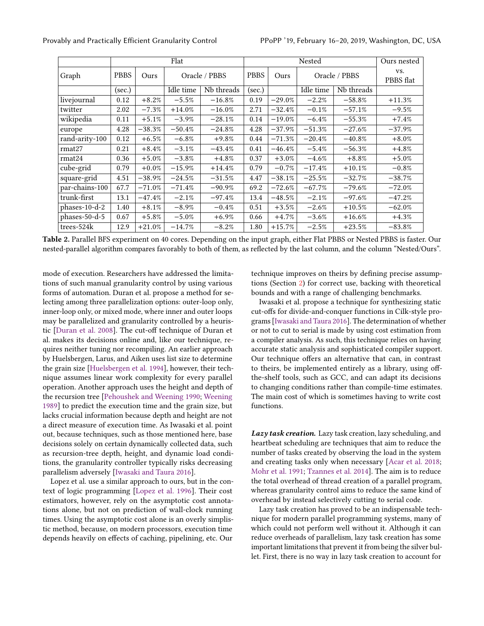<span id="page-10-0"></span>

|                |        |          | Flat          |            |             |          |               | Ours nested |                  |
|----------------|--------|----------|---------------|------------|-------------|----------|---------------|-------------|------------------|
| Graph          | PBBS   | Ours     | Oracle / PBBS |            | <b>PBBS</b> | Ours     | Oracle / PBBS |             | VS.<br>PBBS flat |
|                | (sec.) |          | Idle time     | Nb threads | (sec.)      |          | Idle time     | Nb threads  |                  |
| livejournal    | 0.12   | $+8.2%$  | $-5.5%$       | $-16.8%$   | 0.19        | $-29.0%$ | $-2.2%$       | $-58.8%$    | $+11.3%$         |
| twitter        | 2.02   | $-7.3%$  | $+14.0%$      | $-16.0\%$  | 2.71        | $-32.4%$ | $-0.1\%$      | $-57.1%$    | $-9.5%$          |
| wikipedia      | 0.11   | $+5.1%$  | $-3.9%$       | $-28.1%$   | 0.14        | $-19.0%$ | $-6.4%$       | $-55.3%$    | $+7.4%$          |
| europe         | 4.28   | $-38.3%$ | $-50.4%$      | $-24.8%$   | 4.28        | $-37.9%$ | $-51.3%$      | $-27.6\%$   | $-37.9%$         |
| rand-arity-100 | 0.12   | $+6.5%$  | $-6.8%$       | $+9.8%$    | 0.44        | $-71.3%$ | $-20.4%$      | $-40.8%$    | $+8.0%$          |
| rmat27         | 0.21   | $+8.4%$  | $-3.1%$       | $-43.4%$   | 0.41        | $-46.4%$ | $-5.4%$       | $-56.3%$    | $+4.8%$          |
| rmat24         | 0.36   | $+5.0%$  | $-3.8%$       | $+4.8%$    | 0.37        | $+3.0%$  | $-4.6%$       | $+8.8%$     | $+5.0%$          |
| cube-grid      | 0.79   | $+0.0%$  | $-15.9%$      | $+14.4%$   | 0.79        | $-0.7%$  | $-17.4%$      | $+10.1%$    | $-0.8%$          |
| square-grid    | 4.51   | $-38.9%$ | $-24.5%$      | $-31.5%$   | 4.47        | $-38.1%$ | $-25.5%$      | $-32.7%$    | $-38.7%$         |
| par-chains-100 | 67.7   | $-71.0%$ | $-71.4%$      | $-90.9%$   | 69.2        | $-72.6%$ | $-67.7%$      | $-79.6%$    | $-72.0%$         |
| trunk-first    | 13.1   | $-47.4%$ | $-2.1%$       | $-97.4%$   | 13.4        | $-48.5%$ | $-2.1%$       | $-97.6%$    | $-47.2%$         |
| phases-10-d-2  | 1.40   | $+8.1%$  | $-8.9%$       | $-0.4\%$   | 0.51        | $+3.5%$  | $-2.6\%$      | $+10.5%$    | $-62.0%$         |
| phases-50-d-5  | 0.67   | $+5.8%$  | $-5.0%$       | $+6.9%$    | 0.66        | $+4.7%$  | $-3.6\%$      | $+16.6%$    | $+4.3%$          |
| trees-524k     | 12.9   | $+21.0%$ | $-14.7%$      | $-8.2%$    | 1.80        | $+15.7%$ | $-2.5%$       | $+23.5%$    | $-83.8%$         |
|                |        |          |               |            |             |          |               |             |                  |

Table 2. Parallel BFS experiment on 40 cores. Depending on the input graph, either Flat PBBS or Nested PBBS is faster. Our nested-parallel algorithm compares favorably to both of them, as reflected by the last column, and the column "Nested/Ours".

mode of execution. Researchers have addressed the limitations of such manual granularity control by using various forms of automation. Duran et al. propose a method for selecting among three parallelization options: outer-loop only, inner-loop only, or mixed mode, where inner and outer loops may be parallelized and granularity controlled by a heuristic [\[Duran et al.](#page-11-17) [2008\]](#page-11-17). The cut-off technique of Duran et al. makes its decisions online and, like our technique, requires neither tuning nor recompiling. An earlier approach by Huelsbergen, Larus, and Aiken uses list size to determine the grain size [\[Huelsbergen et al.](#page-12-14) [1994\]](#page-12-14), however, their technique assumes linear work complexity for every parallel operation. Another approach uses the height and depth of the recursion tree [\[Pehoushek and Weening](#page-12-15) [1990;](#page-12-15) [Weening](#page-12-16) [1989\]](#page-12-16) to predict the execution time and the grain size, but lacks crucial information because depth and height are not a direct measure of execution time. As Iwasaki et al. point out, because techniques, such as those mentioned here, base decisions solely on certain dynamically collected data, such as recursion-tree depth, height, and dynamic load conditions, the granularity controller typically risks decreasing parallelism adversely [\[Iwasaki and Taura](#page-12-20) [2016\]](#page-12-20).

Lopez et al. use a similar approach to ours, but in the context of logic programming [\[Lopez et al.](#page-12-11) [1996\]](#page-12-11). Their cost estimators, however, rely on the asymptotic cost annotations alone, but not on prediction of wall-clock running times. Using the asymptotic cost alone is an overly simplistic method, because, on modern processors, execution time depends heavily on effects of caching, pipelining, etc. Our

technique improves on theirs by defining precise assumptions (Section [2\)](#page-2-2) for correct use, backing with theoretical bounds and with a range of challenging benchmarks.

Iwasaki et al. propose a technique for synthesizing static cut-offs for divide-and-conquer functions in Cilk-style programs [\[Iwasaki and Taura](#page-12-20) [2016\]](#page-12-20). The determination of whether or not to cut to serial is made by using cost estimation from a compiler analysis. As such, this technique relies on having accurate static analysis and sophisticated compiler support. Our technique offers an alternative that can, in contrast to theirs, be implemented entirely as a library, using offthe-shelf tools, such as GCC, and can adapt its decisions to changing conditions rather than compile-time estimates. The main cost of which is sometimes having to write cost functions.

Lazy task creation. Lazy task creation, lazy scheduling, and heartbeat scheduling are techniques that aim to reduce the number of tasks created by observing the load in the system and creating tasks only when necessary [\[Acar et al.](#page-11-18) [2018;](#page-11-18) [Mohr et al.](#page-12-21) [1991;](#page-12-21) [Tzannes et al.](#page-12-9) [2014\]](#page-12-9). The aim is to reduce the total overhead of thread creation of a parallel program, whereas granularity control aims to reduce the same kind of overhead by instead selectively cutting to serial code.

Lazy task creation has proved to be an indispensable technique for modern parallel programming systems, many of which could not perform well without it. Although it can reduce overheads of parallelism, lazy task creation has some important limitations that prevent it from being the silver bullet. First, there is no way in lazy task creation to account for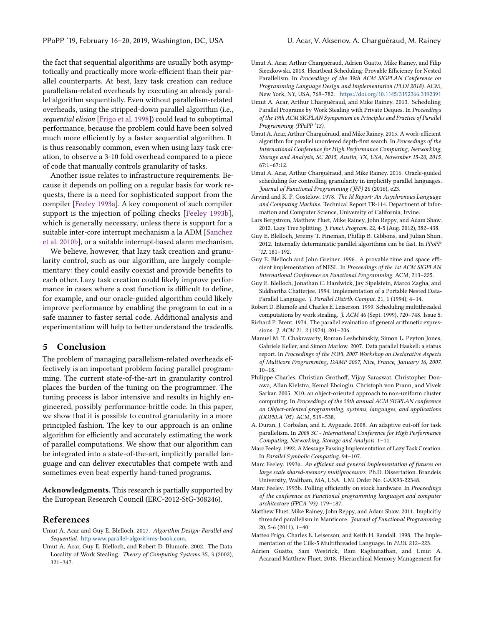the fact that sequential algorithms are usually both asymptotically and practically more work-efficient than their parallel counterparts. At best, lazy task creation can reduce parallelism-related overheads by executing an already parallel algorithm sequentially. Even without parallelism-related overheads, using the stripped-down parallel algorithm (i.e., sequential elision [\[Frigo et al.](#page-11-1) [1998\]](#page-11-1)) could lead to suboptimal performance, because the problem could have been solved much more efficiently by a faster sequential algorithm. It is thus reasonably common, even when using lazy task creation, to observe a 3-10 fold overhead compared to a piece of code that manually controls granularity of tasks.

Another issue relates to infrastructure requirements. Because it depends on polling on a regular basis for work requests, there is a need for sophisticated support from the compiler [\[Feeley](#page-11-13) [1993a\]](#page-11-13). A key component of such compiler support is the injection of polling checks [\[Feeley](#page-11-19) [1993b\]](#page-11-19), which is generally necessary, unless there is support for a suitable inter-core interrupt mechanism a la ADM [\[Sanchez](#page-12-22) [et al.](#page-12-22) [2010b\]](#page-12-22), or a suitable interrupt-based alarm mechanism.

We believe, however, that lazy task creation and granularity control, such as our algorithm, are largely complementary: they could easily coexist and provide benefits to each other. Lazy task creation could likely improve performance in cases where a cost function is difficult to define, for example, and our oracle-guided algorithm could likely improve performance by enabling the program to cut in a safe manner to faster serial code. Additional analysis and experimentation will help to better understand the tradeoffs.

# 5 Conclusion

The problem of managing parallelism-related overheads effectively is an important problem facing parallel programming. The current state-of-the-art in granularity control places the burden of the tuning on the programmer. The tuning process is labor intensive and results in highly engineered, possibly performance-brittle code. In this paper, we show that it is possible to control granularity in a more principled fashion. The key to our approach is an online algorithm for efficiently and accurately estimating the work of parallel computations. We show that our algorithm can be integrated into a state-of-the-art, implicitly parallel language and can deliver executables that compete with and sometimes even beat expertly hand-tuned programs.

Acknowledgments. This research is partially supported by the European Research Council (ERC-2012-StG-308246).

# References

- <span id="page-11-20"></span>Umut A. Acar and Guy E. Blelloch. 2017. Algorithm Design: Parallel and Sequential. <http:www.parallel-algorithms-book.com>.
- <span id="page-11-7"></span>Umut A. Acar, Guy E. Blelloch, and Robert D. Blumofe. 2002. The Data Locality of Work Stealing. Theory of Computing Systems 35, 3 (2002), 321–347.
- <span id="page-11-18"></span>Umut A. Acar, Arthur Charguéraud, Adrien Guatto, Mike Rainey, and Filip Sieczkowski. 2018. Heartbeat Scheduling: Provable Efficiency for Nested Parallelism. In Proceedings of the 39th ACM SIGPLAN Conference on Programming Language Design and Implementation (PLDI 2018). ACM, New York, NY, USA, 769–782. <https://doi.org/10.1145/3192366.3192391>
- <span id="page-11-8"></span>Umut A. Acar, Arthur Charguéraud, and Mike Rainey. 2013. Scheduling Parallel Programs by Work Stealing with Private Deques. In Proceedings of the 19th ACM SIGPLAN Symposium on Principles and Practice of Parallel Programming (PPoPP '13).
- <span id="page-11-16"></span>Umut A. Acar, Arthur Charguéraud, and Mike Rainey. 2015. A work-efficient algorithm for parallel unordered depth-first search. In Proceedings of the International Conference for High Performance Computing, Networking, Storage and Analysis, SC 2015, Austin, TX, USA, November 15-20, 2015. 67:1–67:12.
- <span id="page-11-14"></span>Umut A. Acar, Arthur Charguéraud, and Mike Rainey. 2016. Oracle-guided scheduling for controlling granularity in implicitly parallel languages. Journal of Functional Programming (JFP) 26 (2016), e23.
- <span id="page-11-0"></span>Arvind and K. P. Gostelow. 1978. The Id Report: An Asychronous Language and Computing Machine. Technical Report TR-114. Department of Information and Computer Science, University of California, Irvine.
- <span id="page-11-11"></span>Lars Bergstrom, Matthew Fluet, Mike Rainey, John Reppy, and Adam Shaw. 2012. Lazy Tree Splitting. J. Funct. Program. 22, 4-5 (Aug. 2012), 382–438.
- <span id="page-11-15"></span>Guy E. Blelloch, Jeremy T. Fineman, Phillip B. Gibbons, and Julian Shun. 2012. Internally deterministic parallel algorithms can be fast. In PPoPP '12. 181–192.
- <span id="page-11-9"></span>Guy E. Blelloch and John Greiner. 1996. A provable time and space efficient implementation of NESL. In Proceedings of the 1st ACM SIGPLAN International Conference on Functional Programming. ACM, 213–225.
- <span id="page-11-2"></span>Guy E. Blelloch, Jonathan C. Hardwick, Jay Sipelstein, Marco Zagha, and Siddhartha Chatterjee. 1994. Implementation of a Portable Nested Data-Parallel Language. J. Parallel Distrib. Comput. 21, 1 (1994), 4–14.
- <span id="page-11-10"></span>Robert D. Blumofe and Charles E. Leiserson. 1999. Scheduling multithreaded computations by work stealing. *J. ACM* 46 (Sept. 1999), 720-748. Issue 5.
- <span id="page-11-21"></span>Richard P. Brent. 1974. The parallel evaluation of general arithmetic expressions. *J. ACM* 21, 2 (1974), 201-206.
- <span id="page-11-6"></span>Manuel M. T. Chakravarty, Roman Leshchinskiy, Simon L. Peyton Jones, Gabriele Keller, and Simon Marlow. 2007. Data parallel Haskell: a status report. In Proceedings of the POPL 2007 Workshop on Declarative Aspects of Multicore Programming, DAMP 2007, Nice, France, January 16, 2007.  $10-18.$
- <span id="page-11-3"></span>Philippe Charles, Christian Grothoff, Vijay Saraswat, Christopher Donawa, Allan Kielstra, Kemal Ebcioglu, Christoph von Praun, and Vivek Sarkar. 2005. X10: an object-oriented approach to non-uniform cluster computing. In Proceedings of the 20th annual ACM SIGPLAN conference on Object-oriented programming, systems, languages, and applications (OOPSLA '05). ACM, 519–538.
- <span id="page-11-17"></span>A. Duran, J. Corbalan, and E. Ayguade. 2008. An adaptive cut-off for task parallelism. In 2008 SC - International Conference for High Performance Computing, Networking, Storage and Analysis. 1–11.
- <span id="page-11-12"></span>Marc Feeley. 1992. A Message Passing Implementation of Lazy Task Creation. In Parallel Symbolic Computing. 94–107.
- <span id="page-11-13"></span>Marc Feeley. 1993a. An efficient and general implementation of futures on large scale shared-memory multiprocessors. Ph.D. Dissertation. Brandeis University, Waltham, MA, USA. UMI Order No. GAX93-22348.
- <span id="page-11-19"></span>Marc Feeley. 1993b. Polling efficiently on stock hardware. In Proceedings of the conference on Functional programming languages and computer architecture (FPCA '93). 179–187.
- <span id="page-11-4"></span>Matthew Fluet, Mike Rainey, John Reppy, and Adam Shaw. 2011. Implicitly threaded parallelism in Manticore. Journal of Functional Programming 20, 5-6 (2011), 1–40.
- <span id="page-11-1"></span>Matteo Frigo, Charles E. Leiserson, and Keith H. Randall. 1998. The Implementation of the Cilk-5 Multithreaded Language. In PLDI. 212–223.
- <span id="page-11-5"></span>Adrien Guatto, Sam Westrick, Ram Raghunathan, and Umut A. Acarand Matthew Fluet. 2018. Hierarchical Memory Management for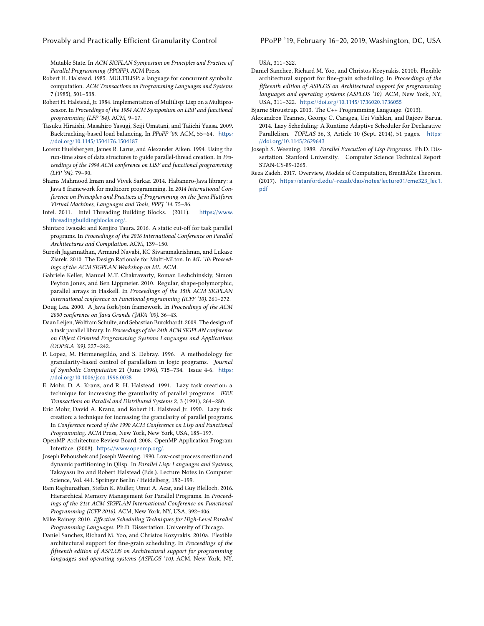#### Provably and Practically Efficient Granularity Control PPoPP '19, February 16–20, 2019, Washington, DC, USA

Mutable State. In ACM SIGPLAN Symposium on Principles and Practice of Parallel Programming (PPOPP). ACM Press.

- <span id="page-12-0"></span>Robert H. Halstead. 1985. MULTILISP: a language for concurrent symbolic computation. ACM Transactions on Programming Languages and Systems 7 (1985), 501–538.
- <span id="page-12-18"></span>Robert H. Halstead, Jr. 1984. Implementation of Multilisp: Lisp on a Multiprocessor. In Proceedings of the 1984 ACM Symposium on LISP and functional programming (LFP '84). ACM, 9–17.
- <span id="page-12-10"></span>Tasuku Hiraishi, Masahiro Yasugi, Seiji Umatani, and Taiichi Yuasa. 2009. Backtracking-based load balancing. In PPoPP '09. ACM, 55–64. [https:](https://doi.org/10.1145/1504176.1504187) [//doi.org/10.1145/1504176.1504187](https://doi.org/10.1145/1504176.1504187)
- <span id="page-12-14"></span>Lorenz Huelsbergen, James R. Larus, and Alexander Aiken. 1994. Using the run-time sizes of data structures to guide parallel-thread creation. In Proceedings of the 1994 ACM conference on LISP and functional programming (LFP '94). 79–90.
- <span id="page-12-3"></span>Shams Mahmood Imam and Vivek Sarkar. 2014. Habanero-Java library: a Java 8 framework for multicore programming. In 2014 International Conference on Principles and Practices of Programming on the Java Platform Virtual Machines, Languages and Tools, PPPJ '14. 75–86.
- <span id="page-12-5"></span>Intel. 2011. Intel Threading Building Blocks. (2011). [https://www.](https://www.threadingbuildingblocks.org/) [threadingbuildingblocks.org/](https://www.threadingbuildingblocks.org/).
- <span id="page-12-20"></span>Shintaro Iwasaki and Kenjiro Taura. 2016. A static cut-off for task parallel programs. In Proceedings of the 2016 International Conference on Parallel Architectures and Compilation. ACM, 139–150.
- <span id="page-12-6"></span>Suresh Jagannathan, Armand Navabi, KC Sivaramakrishnan, and Lukasz Ziarek. 2010. The Design Rationale for Multi-MLton. In ML '10: Proceedings of the ACM SIGPLAN Workshop on ML. ACM.
- <span id="page-12-8"></span>Gabriele Keller, Manuel M.T. Chakravarty, Roman Leshchinskiy, Simon Peyton Jones, and Ben Lippmeier. 2010. Regular, shape-polymorphic, parallel arrays in Haskell. In Proceedings of the 15th ACM SIGPLAN international conference on Functional programming (ICFP '10). 261–272.
- <span id="page-12-2"></span>Doug Lea. 2000. A Java fork/join framework. In Proceedings of the ACM 2000 conference on Java Grande (JAVA '00). 36–43.
- <span id="page-12-4"></span>Daan Leijen, Wolfram Schulte, and Sebastian Burckhardt. 2009. The design of a task parallel library. In Proceedings of the 24th ACM SIGPLAN conference on Object Oriented Programming Systems Languages and Applications (OOPSLA '09). 227–242.
- <span id="page-12-11"></span>P. Lopez, M. Hermenegildo, and S. Debray. 1996. A methodology for granularity-based control of parallelism in logic programs. Journal of Symbolic Computation 21 (June 1996), 715–734. Issue 4-6. [https:](https://doi.org/10.1006/jsco.1996.0038) [//doi.org/10.1006/jsco.1996.0038](https://doi.org/10.1006/jsco.1996.0038)
- <span id="page-12-21"></span>E. Mohr, D. A. Kranz, and R. H. Halstead. 1991. Lazy task creation: a technique for increasing the granularity of parallel programs. IEEE Transactions on Parallel and Distributed Systems 2, 3 (1991), 264–280.
- <span id="page-12-19"></span>Eric Mohr, David A. Kranz, and Robert H. Halstead Jr. 1990. Lazy task creation: a technique for increasing the granularity of parallel programs. In Conference record of the 1990 ACM Conference on Lisp and Functional Programming. ACM Press, New York, New York, USA, 185–197.
- <span id="page-12-1"></span>OpenMP Architecture Review Board. 2008. OpenMP Application Program Interface. (2008). <https://www.openmp.org/>.
- <span id="page-12-15"></span>Joseph Pehoushek and Joseph Weening. 1990. Low-cost process creation and dynamic partitioning in Qlisp. In Parallel Lisp: Languages and Systems, Takayasu Ito and Robert Halstead (Eds.). Lecture Notes in Computer Science, Vol. 441. Springer Berlin / Heidelberg, 182–199.
- <span id="page-12-7"></span>Ram Raghunathan, Stefan K. Muller, Umut A. Acar, and Guy Blelloch. 2016. Hierarchical Memory Management for Parallel Programs. In Proceedings of the 21st ACM SIGPLAN International Conference on Functional Programming (ICFP 2016). ACM, New York, NY, USA, 392–406.
- <span id="page-12-12"></span>Mike Rainey. 2010. Effective Scheduling Techniques for High-Level Parallel Programming Languages. Ph.D. Dissertation. University of Chicago.
- <span id="page-12-13"></span>Daniel Sanchez, Richard M. Yoo, and Christos Kozyrakis. 2010a. Flexible architectural support for fine-grain scheduling. In Proceedings of the fifteenth edition of ASPLOS on Architectural support for programming languages and operating systems (ASPLOS '10). ACM, New York, NY,

USA, 311–322.

<span id="page-12-22"></span>Daniel Sanchez, Richard M. Yoo, and Christos Kozyrakis. 2010b. Flexible architectural support for fine-grain scheduling. In Proceedings of the fifteenth edition of ASPLOS on Architectural support for programming languages and operating systems (ASPLOS '10). ACM, New York, NY, USA, 311–322. <https://doi.org/10.1145/1736020.1736055>

<span id="page-12-23"></span>Bjarne Stroustrup. 2013. The C++ Programming Language. (2013).

- <span id="page-12-9"></span>Alexandros Tzannes, George C. Caragea, Uzi Vishkin, and Rajeev Barua. 2014. Lazy Scheduling: A Runtime Adaptive Scheduler for Declarative Parallelism. TOPLAS 36, 3, Article 10 (Sept. 2014), 51 pages. [https:](https://doi.org/10.1145/2629643) [//doi.org/10.1145/2629643](https://doi.org/10.1145/2629643)
- <span id="page-12-16"></span>Joseph S. Weening. 1989. Parallel Execution of Lisp Programs. Ph.D. Dissertation. Stanford University. Computer Science Technical Report STAN-CS-89-1265.
- <span id="page-12-17"></span>Reza Zadeh. 2017. Overview, Models of Computation, BrentâĂŹs Theorem. (2017). [https://stanford.edu/~rezab/dao/notes/lecture01/cme323\\_lec1.](https://stanford.edu/~rezab/dao/notes/lecture01/cme323_lec1.pdf) [pdf](https://stanford.edu/~rezab/dao/notes/lecture01/cme323_lec1.pdf)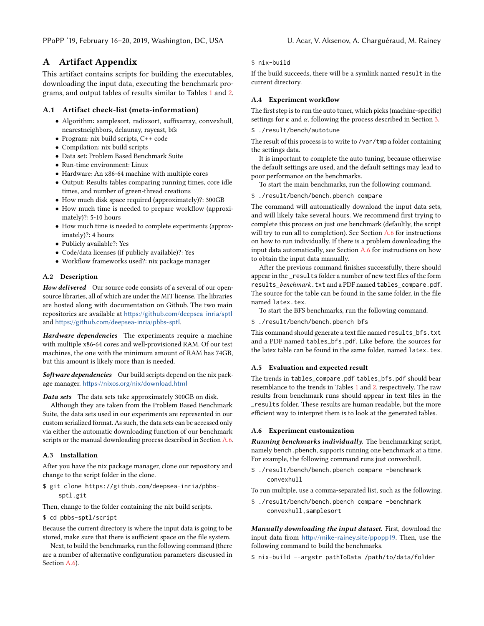This artifact contains scripts for building the executables, downloading the input data, executing the benchmark programs, and output tables of results similar to Tables [1](#page-9-0) and [2.](#page-10-0)

# A.1 Artifact check-list (meta-information)

- Algorithm: samplesort, radixsort, suffixarray, convexhull, nearestneighbors, delaunay, raycast, bfs
- Program: nix build scripts, C++ code
- Compilation: nix build scripts
- Data set: Problem Based Benchmark Suite
- Run-time environment: Linux
- Hardware: An x86-64 machine with multiple cores
- Output: Results tables comparing running times, core idle times, and number of green-thread creations
- How much disk space required (approximately)?: 300GB
- How much time is needed to prepare workflow (approximately)?: 5-10 hours
- How much time is needed to complete experiments (approximately)?: 4 hours
- Publicly available?: Yes
- Code/data licenses (if publicly available)?: Yes
- Workflow frameworks used?: nix package manager

# A.2 Description

How delivered Our source code consists of a several of our opensource libraries, all of which are under the MIT license. The libraries are hosted along with documentation on Github. The two main repositories are available at <https://github.com/deepsea-inria/sptl> and <https://github.com/deepsea-inria/pbbs-sptl>.

Hardware dependencies The experiments require a machine with multiple x86-64 cores and well-provisioned RAM. Of our test machines, the one with the minimum amount of RAM has 74GB, but this amount is likely more than is needed.

Software dependencies Our build scripts depend on the nix package manager. <https://nixos.org/nix/download.html>

Data sets The data sets take approximately 300GB on disk.

Although they are taken from the Problem Based Benchmark Suite, the data sets used in our experiments are represented in our custom serialized format. As such, the data sets can be accessed only via either the automatic downloading function of our benchmark scripts or the manual downloading process described in Section [A.6.](#page-13-0)

#### A.3 Installation

After you have the nix package manager, clone our repository and change to the script folder in the clone.

\$ git clone https://github.com/deepsea-inria/pbbssptl.git

Then, change to the folder containing the nix build scripts.

\$ cd pbbs-sptl/script

Because the current directory is where the input data is going to be stored, make sure that there is sufficient space on the file system.

Next, to build the benchmarks, run the following command (there are a number of alternative configuration parameters discussed in Section [A.6\)](#page-13-1).

#### \$ nix-build

If the build succeeds, there will be a symlink named result in the current directory.

#### A.4 Experiment workflow

The first step is to run the auto tuner, which picks (machine-specific) settings for  $\kappa$  and  $\alpha$ , following the process described in Section [3.](#page-6-1)

# \$ ./result/bench/autotune

The result of this process is to write to /var/tmp a folder containing the settings data.

It is important to complete the auto tuning, because otherwise the default settings are used, and the default settings may lead to poor performance on the benchmarks.

To start the main benchmarks, run the following command.

# \$ ./result/bench/bench.pbench compare

The command will automatically download the input data sets, and will likely take several hours. We recommend first trying to complete this process on just one benchmark (defaultly, the script will try to run all to completion). See Section [A.6](#page-13-2) for instructions on how to run individually. If there is a problem downloading the input data automatically, see Section  $A_0$  for instructions on how to obtain the input data manually.

After the previous command finishes successfully, there should appear in the \_results folder a number of new text files of the form results\_benchmark.txt and a PDF named tables\_compare.pdf. The source for the table can be found in the same folder, in the file named latex.tex.

To start the BFS benchmarks, run the following command.

# \$ ./result/bench/bench.pbench bfs

This command should generate a text file named results\_bfs.txt and a PDF named tables\_bfs.pdf. Like before, the sources for the latex table can be found in the same folder, named latex.tex.

#### A.5 Evaluation and expected result

The trends in tables\_compare.pdf tables\_bfs.pdf should bear resemblance to the trends in Tables [1](#page-9-0) and [2,](#page-10-0) respectively. The raw results from benchmark runs should appear in text files in the \_results folder. These results are human readable, but the more efficient way to interpret them is to look at the generated tables.

#### <span id="page-13-1"></span>A.6 Experiment customization

<span id="page-13-2"></span>Running benchmarks individually. The benchmarking script, namely bench.pbench, supports running one benchmark at a time. For example, the following command runs just convexhull.

\$ ./result/bench/bench.pbench compare -benchmark convexhull

To run multiple, use a comma-separated list, such as the following.

\$ ./result/bench/bench.pbench compare -benchmark convexhull,samplesort

<span id="page-13-0"></span>Manually downloading the input dataset. First, download the input data from <http://mike-rainey.site/ppopp19>. Then, use the following command to build the benchmarks.

\$ nix-build --argstr pathToData /path/to/data/folder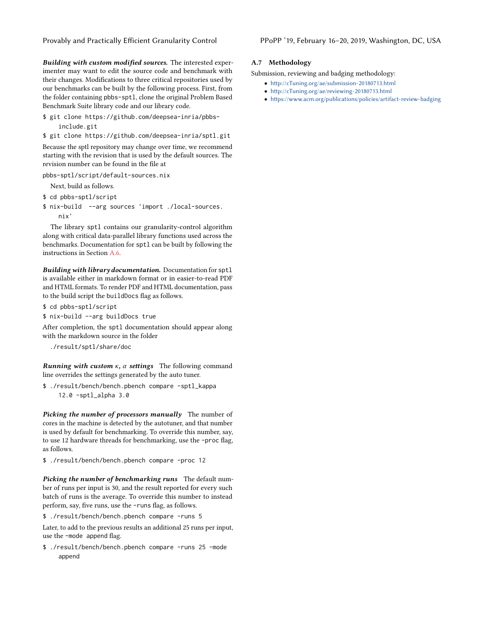Provably and Practically Efficient Granularity Control PPoPP '19, February 16-20, 2019, Washington, DC, USA

\$ git clone https://github.com/deepsea-inria/pbbsinclude.git

\$ git clone https://github.com/deepsea-inria/sptl.git

Because the sptl repository may change over time, we recommend starting with the revision that is used by the default sources. The revision number can be found in the file at

pbbs-sptl/script/default-sources.nix

Next, build as follows.

- \$ cd pbbs-sptl/script
- \$ nix-build --arg sources 'import ./local-sources. nix'

The library sptl contains our granularity-control algorithm along with critical data-parallel library functions used across the benchmarks. Documentation for sptl can be built by following the instructions in Section [A.6.](#page-14-0)

<span id="page-14-0"></span>Building with library documentation. Documentation for sptl is available either in markdown format or in easier-to-read PDF and HTML formats. To render PDF and HTML documentation, pass to the build script the buildDocs flag as follows.

\$ cd pbbs-sptl/script

\$ nix-build --arg buildDocs true

After completion, the sptl documentation should appear along with the markdown source in the folder

./result/sptl/share/doc

**Running with custom**  $\kappa$ **,**  $\alpha$  **settings** The following command line overrides the settings generated by the auto tuner.

\$ ./result/bench/bench.pbench compare -sptl\_kappa 12.0 -sptl\_alpha 3.0

Picking the number of processors manually The number of cores in the machine is detected by the autotuner, and that number is used by default for benchmarking. To override this number, say, to use 12 hardware threads for benchmarking, use the -proc flag, as follows.

\$ ./result/bench/bench.pbench compare -proc 12

Picking the number of benchmarking runs The default number of runs per input is 30, and the result reported for every such batch of runs is the average. To override this number to instead perform, say, five runs, use the -runs flag, as follows.

\$ ./result/bench/bench.pbench compare -runs 5

Later, to add to the previous results an additional 25 runs per input, use the -mode append flag.

\$ ./result/bench/bench.pbench compare -runs 25 -mode append

# A.7 Methodology

Submission, reviewing and badging methodology:

- <http://cTuning.org/ae/submission-20180713.html>
- <http://cTuning.org/ae/reviewing-20180713.html>
- <https://www.acm.org/publications/policies/artifact-review-badging>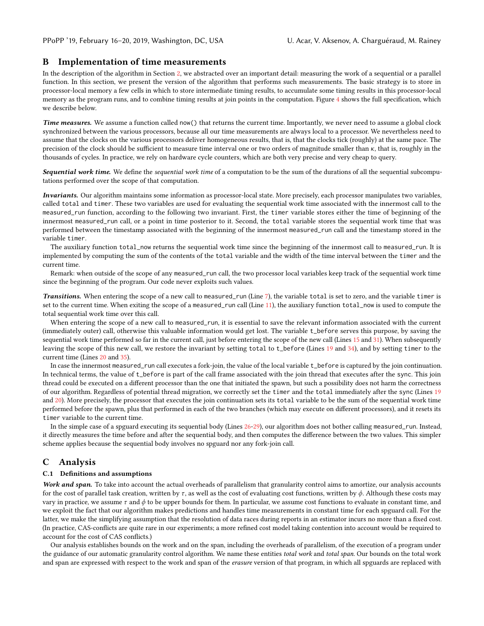# <span id="page-15-0"></span>B Implementation of time measurements

In the description of the algorithm in Section [2,](#page-2-2) we abstracted over an important detail: measuring the work of a sequential or a parallel function. In this section, we present the version of the algorithm that performs such measurements. The basic strategy is to store in processor-local memory a few cells in which to store intermediate timing results, to accumulate some timing results in this processor-local memory as the program runs, and to combine timing results at join points in the computation. Figure [4](#page-16-0) shows the full specification, which we describe below.

Time measures. We assume a function called now() that returns the current time. Importantly, we never need to assume a global clock synchronized between the various processors, because all our time measurements are always local to a processor. We nevertheless need to assume that the clocks on the various processors deliver homogeneous results, that is, that the clocks tick (roughly) at the same pace. The precision of the clock should be sufficient to measure time interval one or two orders of magnitude smaller than  $\kappa$ , that is, roughly in the thousands of cycles. In practice, we rely on hardware cycle counters, which are both very precise and very cheap to query.

Sequential work time. We define the sequential work time of a computation to be the sum of the durations of all the sequential subcomputations performed over the scope of that computation.

Invariants. Our algorithm maintains some information as processor-local state. More precisely, each processor manipulates two variables, called total and timer. These two variables are used for evaluating the sequential work time associated with the innermost call to the measured\_run function, according to the following two invariant. First, the timer variable stores either the time of beginning of the innermost measured\_run call, or a point in time posterior to it. Second, the total variable stores the sequential work time that was performed between the timestamp associated with the beginning of the innermost measured\_run call and the timestamp stored in the variable timer.

The auxiliary function total\_now returns the sequential work time since the beginning of the innermost call to measured\_run. It is implemented by computing the sum of the contents of the total variable and the width of the time interval between the timer and the current time.

Remark: when outside of the scope of any measured\_run call, the two processor local variables keep track of the sequential work time since the beginning of the program. Our code never exploits such values.

Transitions. When entering the scope of a new call to measured\_run (Line [7\)](#page-16-1), the variable total is set to zero, and the variable timer is set to the current time. When exiting the scope of a measured\_run call (Line [11\)](#page-16-2), the auxiliary function total\_now is used to compute the total sequential work time over this call.

When entering the scope of a new call to measured\_run, it is essential to save the relevant information associated with the current (immediately outer) call, otherwise this valuable information would get lost. The variable t\_before serves this purpose, by saving the sequential work time performed so far in the current call, just before entering the scope of the new call (Lines [15](#page-16-3) and [31\)](#page-16-4). When subsequently leaving the scope of this new call, we restore the invariant by setting total to t\_before (Lines [19](#page-16-5) and [34\)](#page-16-6), and by setting timer to the current time (Lines [20](#page-16-7) and [35\)](#page-16-8).

In case the innermost measured\_run call executes a fork-join, the value of the local variable t\_before is captured by the join continuation. In technical terms, the value of t\_before is part of the call frame associated with the join thread that executes after the sync. This join thread could be executed on a different processor than the one that initiated the spawn, but such a possibility does not harm the correctness of our algorithm. Regardless of potential thread migration, we correctly set the timer and the total immediately after the sync (Lines [19](#page-16-5) and [20\)](#page-16-7). More precisely, the processor that executes the join continuation sets its total variable to be the sum of the sequential work time performed before the spawn, plus that performed in each of the two branches (which may execute on different processors), and it resets its timer variable to the current time.

In the simple case of a spguard executing its sequential body (Lines [26](#page-16-9)[-29\)](#page-16-10), our algorithm does not bother calling measured\_run. Instead, it directly measures the time before and after the sequential body, and then computes the difference between the two values. This simpler scheme applies because the sequential body involves no spguard nor any fork-join call.

# C Analysis

# C.1 Definitions and assumptions

Work and span. To take into account the actual overheads of parallelism that granularity control aims to amortize, our analysis accounts for the cost of parallel task creation, written by  $\tau$ , as well as the cost of evaluating cost functions, written by  $\phi$ . Although these costs may vary in practice, we assume  $\tau$  and  $\phi$  to be upper bounds for them. In particular, we assume cost functions to evaluate in constant time, and we exploit the fact that our algorithm makes predictions and handles time measurements in constant time for each spguard call. For the latter, we make the simplifying assumption that the resolution of data races during reports in an estimator incurs no more than a fixed cost. (In practice, CAS-conflicts are quite rare in our experiments; a more refined cost model taking contention into account would be required to account for the cost of CAS conflicts.)

Our analysis establishes bounds on the work and on the span, including the overheads of parallelism, of the execution of a program under the guidance of our automatic granularity control algorithm. We name these entities total work and total span. Our bounds on the total work and span are expressed with respect to the work and span of the *erasure* version of that program, in which all spguards are replaced with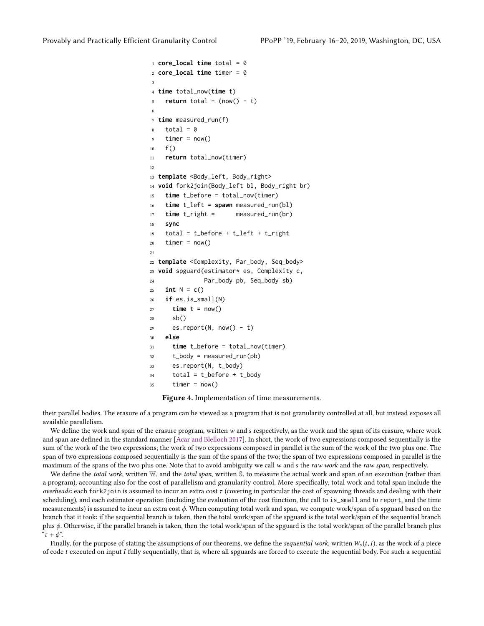```
_1 core local time total = 0
2 core_local time timer = 0
\overline{3}4 time total_now(time t)
5 return total + (now() - t)
6
7 time measured_run(f)
8 total = 09 timer = now()10 \quad f()11 return total_now(timer)
12
13 template <Body_left, Body_right>
14 void fork2join(Body_left bl, Body_right br)
15 time t_before = total_now(timer)
16 time t_left = spawn measured_run(bl)
17 time t_right = measured_run(br)
18 sync
19 total = t_before + t_left + t_right
20 timer = now()
21
22 template <Complexity, Par_body, Seq_body>
23 void spguard(estimator* es, Complexity c,
24 Par_body pb, Seq_body sb)
25 int N = c()
26 if es.is_small(N)
27 time t = now()28 sb()
29 es.report(N, now() - t)
30 else
31 time t_before = total_now(timer)
32 t_body = measured_run(pb)
33 es.report(N, t_body)
34 total = t_before + t_body
35 timer = now()
```
<span id="page-16-10"></span><span id="page-16-9"></span><span id="page-16-8"></span><span id="page-16-7"></span><span id="page-16-6"></span><span id="page-16-4"></span>Figure 4. Implementation of time measurements.

their parallel bodies. The erasure of a program can be viewed as a program that is not granularity controlled at all, but instead exposes all available parallelism.

We define the work and span of the erasure program, written  $w$  and  $s$  respectively, as the work and the span of its erasure, where work and span are defined in the standard manner [\[Acar and Blelloch](#page-11-20) [2017\]](#page-11-20). In short, the work of two expressions composed sequentially is the sum of the work of the two expressions; the work of two expressions composed in parallel is the sum of the work of the two plus one. The span of two expressions composed sequentially is the sum of the spans of the two; the span of two expressions composed in parallel is the maximum of the spans of the two plus one. Note that to avoid ambiguity we call w and s the raw work and the raw span, respectively.

We define the total work, written  $W$ , and the total span, written  $S$ , to measure the actual work and span of an execution (rather than a program), accounting also for the cost of parallelism and granularity control. More specifically, total work and total span include the overheads: each fork2join is assumed to incur an extra cost  $\tau$  (covering in particular the cost of spawning threads and dealing with their scheduling), and each estimator operation (including the evaluation of the cost function, the call to is\_small and to report, and the time measurements) is assumed to incur an extra cost  $\phi$ . When computing total work and span, we compute work/span of a spguard based on the branch that it took: if the sequential branch is taken, then the total work/span of the spguard is the total work/span of the sequential branch plus ϕ. Otherwise, if the parallel branch is taken, then the total work/span of the spguard is the total work/span of the parallel branch plus  $\tilde{\tau} + \phi$ ".

Finally, for the purpose of stating the assumptions of our theorems, we define the *sequential work*, written  $W_s(t, I)$ , as the work of a piece of code t executed on input I fully sequentially, that is, where all spguards are forced to execute the sequential body. For such a sequential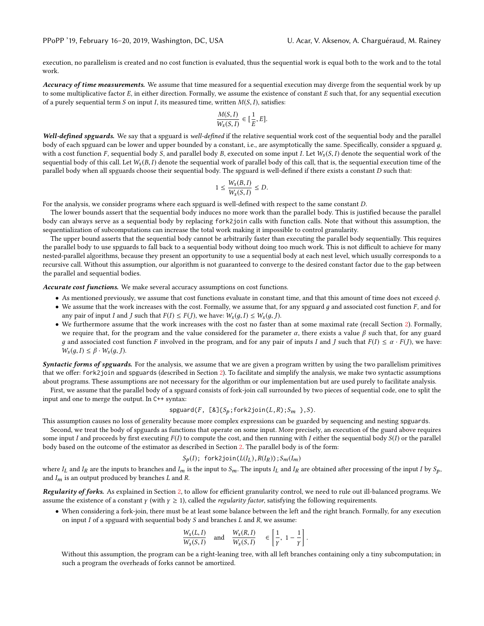execution, no parallelism is created and no cost function is evaluated, thus the sequential work is equal both to the work and to the total work.

Accuracy of time measurements. We assume that time measured for a sequential execution may diverge from the sequential work by up to some multiplicative factor  $E$ , in either direction. Formally, we assume the existence of constant  $E$  such that, for any sequential execution of a purely sequential term S on input I, its measured time, written  $M(S, I)$ , satisfies:

$$
\frac{M(S, I)}{W_S(S, I)} \in \left[\frac{1}{E}, E\right].
$$

Well-defined spguards. We say that a spguard is well-defined if the relative sequential work cost of the sequential body and the parallel body of each spguard can be lower and upper bounded by a constant, i.e., are asymptotically the same. Specifically, consider a spguard  $g$ , with a cost function F, sequential body S, and parallel body B, executed on some input I. Let  $W_5(S, I)$  denote the sequential work of the sequential body of this call. Let  $W_s(B, I)$  denote the sequential work of parallel body of this call, that is, the sequential execution time of the parallel body when all spguards choose their sequential body. The spguard is well-defined if there exists a constant D such that:

$$
1 \le \frac{W_s(B,I)}{W_s(S,I)} \le D.
$$

For the analysis, we consider programs where each spguard is well-defined with respect to the same constant D.

The lower bounds assert that the sequential body induces no more work than the parallel body. This is justified because the parallel body can always serve as a sequential body by replacing fork2join calls with function calls. Note that without this assumption, the sequentialization of subcomputations can increase the total work making it impossible to control granularity.

The upper bound asserts that the sequential body cannot be arbitrarily faster than executing the parallel body sequentially. This requires the parallel body to use spguards to fall back to a sequential body without doing too much work. This is not difficult to achieve for many nested-parallel algorithms, because they present an opportunity to use a sequential body at each nest level, which usually corresponds to a recursive call. Without this assumption, our algorithm is not guaranteed to converge to the desired constant factor due to the gap between the parallel and sequential bodies.

Accurate cost functions. We make several accuracy assumptions on cost functions.

- As mentioned previously, we assume that cost functions evaluate in constant time, and that this amount of time does not exceed  $\phi$ .
- We assume that the work increases with the cost. Formally, we assume that, for any spguard  $g$  and associated cost function  $F$ , and for any pair of input I and J such that  $F(I) \leq F(J)$ , we have:  $W_s(q, I) \leq W_s(q, J)$ .
- We furthermore assume that the work increases with the cost no faster than at some maximal rate (recall Section [2\)](#page-2-2). Formally, we require that, for the program and the value considered for the parameter  $\alpha$ , there exists a value  $\beta$  such that, for any guard q and associated cost function F involved in the program, and for any pair of inputs I and J such that  $F(I) \leq \alpha \cdot F(I)$ , we have:  $W_s(q, I) \leq \beta \cdot W_s(q, I).$

Syntactic forms of spguards. For the analysis, we assume that we are given a program written by using the two parallelism primitives that we offer: fork2join and spguards (described in Section [2\)](#page-2-2). To facilitate and simplify the analysis, we make two syntactic assumptions about programs. These assumptions are not necessary for the algorithm or our implementation but are used purely to facilitate analysis.

First, we assume that the parallel body of a spguard consists of fork-join call surrounded by two pieces of sequential code, one to split the input and one to merge the output. In C++ syntax:

# spguard(F,  $\lbrack 8 \rbrack \{S_p; \text{fork2join}(L,R); S_m \}$ , S).

This assumption causes no loss of generality because more complex expressions can be guarded by sequencing and nesting spguards.

Second, we treat the body of spguards as functions that operate on some input. More precisely, an execution of the guard above requires some input I and proceeds by first executing  $F(I)$  to compute the cost, and then running with I either the sequential body  $S(I)$  or the parallel body based on the outcome of the estimator as described in Section [2.](#page-2-2) The parallel body is of the form:

$$
S_p(I); \text{ fork2join}(L(I_L), R(I_R)); S_m(I_m)
$$

where  $I_L$  and  $I_R$  are the inputs to branches and  $I_m$  is the input to  $S_m$ . The inputs  $I_L$  and  $I_R$  are obtained after processing of the input I by  $S_p$ , and  $I_m$  is an output produced by branches L and R.

Regularity of forks. As explained in Section [2,](#page-2-2) to allow for efficient granularity control, we need to rule out ill-balanced programs. We assume the existence of a constant  $\gamma$  (with  $\gamma \geq 1$ ), called the *regularity factor*, satisfying the following requirements.

• When considering a fork-join, there must be at least some balance between the left and the right branch. Formally, for any execution on input  $I$  of a spguard with sequential body  $S$  and branches  $L$  and  $R$ , we assume:

$$
\frac{W_s(L, I)}{W_s(S, I)} \quad \text{and} \quad \frac{W_s(R, I)}{W_s(S, I)} \quad \in \left[\frac{1}{\gamma}, 1 - \frac{1}{\gamma}\right].
$$

Without this assumption, the program can be a right-leaning tree, with all left branches containing only a tiny subcomputation; in such a program the overheads of forks cannot be amortized.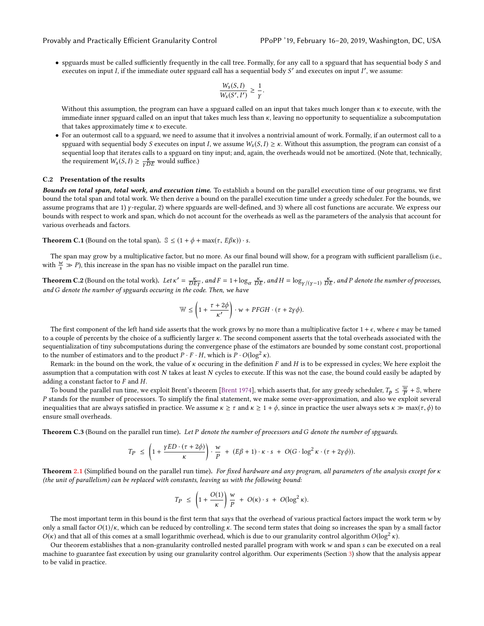• spguards must be called sufficiently frequently in the call tree. Formally, for any call to a spguard that has sequential body S and executes on input  $I$ , if the immediate outer spguard call has a sequential body  $S'$  and executes on input  $I'$ , we assume:

$$
\frac{W_s(S,I)}{W_s(S',I')} \geq \frac{1}{\gamma}.
$$

Without this assumption, the program can have a spguard called on an input that takes much longer than  $\kappa$  to execute, with the immediate inner spguard called on an input that takes much less than κ, leaving no opportunity to sequentialize a subcomputation that takes approximately time  $\kappa$  to execute.

• For an outermost call to a spguard, we need to assume that it involves a nontrivial amount of work. Formally, if an outermost call to a spguard with sequential body S executes on input I, we assume  $W_s(S, I) \geq \kappa$ . Without this assumption, the program can consist of a sequential loop that iterates calls to a spguard on tiny input; and, again, the overheads would not be amortized. (Note that, technically, the requirement  $W_s(S, I) \ge \frac{\kappa}{\gamma DE}$  would suffice.)

#### C.2 Presentation of the results

Bounds on total span, total work, and execution time. To establish a bound on the parallel execution time of our programs, we first bound the total span and total work. We then derive a bound on the parallel execution time under a greedy scheduler. For the bounds, we assume programs that are 1) γ -regular, 2) where spguards are well-defined, and 3) where all cost functions are accurate. We express our bounds with respect to work and span, which do not account for the overheads as well as the parameters of the analysis that account for various overheads and factors.

### <span id="page-18-0"></span>**Theorem C.1** (Bound on the total span).  $\mathbb{S} \leq (1 + \phi + \max(\tau, E\beta \kappa)) \cdot s$ .

The span may grow by a multiplicative factor, but no more. As our final bound will show, for a program with sufficient parallelism (i.e., with  $\frac{w}{s} \gg P$ ), this increase in the span has no visible impact on the parallel run time.

<span id="page-18-1"></span>**Theorem C.2** (Bound on the total work). Let  $\kappa' = \frac{\kappa}{DF}$ , and  $F = 1 + \log_{\alpha} \frac{\kappa}{DF}$ , and  $H = \log_{\gamma/(\gamma-1)} \frac{\kappa}{DF}$ , and P denote the number of processes, and G denote the number of processes, and G denote the number of spguards occuring in the code. Then, we have

$$
\mathbb{W} \le \left(1 + \frac{\tau + 2\phi}{\kappa'}\right) \cdot w + PFGH \cdot (\tau + 2\gamma\phi).
$$

The first component of the left hand side asserts that the work grows by no more than a multiplicative factor  $1 + \epsilon$ , where  $\epsilon$  may be tamed to a couple of percents by the choice of a sufficiently larger κ. The second component asserts that the total overheads associated with the sequentialization of tiny subcomputations during the convergence phase of the estimators are bounded by some constant cost, proportional to the number of estimators and to the product  $P \cdot F \cdot H$ , which is  $P \cdot O(\log^2 \kappa)$ .<br>Pemark: in the bound on the work, the value of x occurring in the definition

Remark: in the bound on the work, the value of  $\kappa$  occuring in the definition F and H is to be expressed in cycles; We here exploit the assumption that a computation with cost N takes at least N cycles to execute. If this was not the case, the bound could easily be adapted by adding a constant factor to  $F$  and  $H$ .

To bound the parallel run time, we exploit Brent's theorem [\[Brent](#page-11-21) [1974\]](#page-11-21), which asserts that, for any greedy scheduler,  $T_p \leq \frac{W}{P} + \mathbb{S}$ , where P stands for the number of processors. To simplify the final statement, we make some over-approximation, and also we exploit several<br>inequalities that are always satisfied in practice. We assume  $\kappa > \tau$  and  $\kappa > 1 + \phi$  s inequalities that are always satisfied in practice. We assume  $\kappa \geq \tau$  and  $\kappa \geq 1 + \phi$ , since in practice the user always sets  $\kappa \gg \max(\tau, \phi)$  to ensure small overheads.

<span id="page-18-2"></span>Theorem C.3 (Bound on the parallel run time). Let P denote the number of processors and G denote the number of spguards.

$$
T_P \leq \left(1 + \frac{\gamma ED \cdot (\tau + 2\phi)}{\kappa}\right) \cdot \frac{w}{P} + (E\beta + 1) \cdot \kappa \cdot s + O(G \cdot \log^2 \kappa \cdot (\tau + 2\gamma \phi)).
$$

**Theorem [2.1](#page-4-0)** (Simplified bound on the parallel run time). For fixed hardware and any program, all parameters of the analysis except for  $\kappa$ (the unit of parallelism) can be replaced with constants, leaving us with the following bound:

$$
T_P \leq \left(1 + \frac{O(1)}{\kappa}\right) \frac{w}{P} + O(\kappa) \cdot s + O(\log^2 \kappa).
$$

The most important term in this bound is the first term that says that the overhead of various practical factors impact the work term  $w$  by only a small factor  $O(1)/\kappa$ , which can be reduced by controlling  $\kappa$ . The second term states that doing so increases the span by a small factor  $O(\kappa)$  and that all of this comes at a small logarithmic overhead, which is due to our granularity control algorithm  $O(\log^2 \kappa)$ .<br>Our theorem establishes that a non-granularity controlled nested parallel program with wo

Our theorem establishes that a non-granularity controlled nested parallel program with work  $w$  and span  $s$  can be executed on a real machine to guarantee fast execution by using our granularity control algorithm. Our experiments (Section [3\)](#page-6-1) show that the analysis appear to be valid in practice.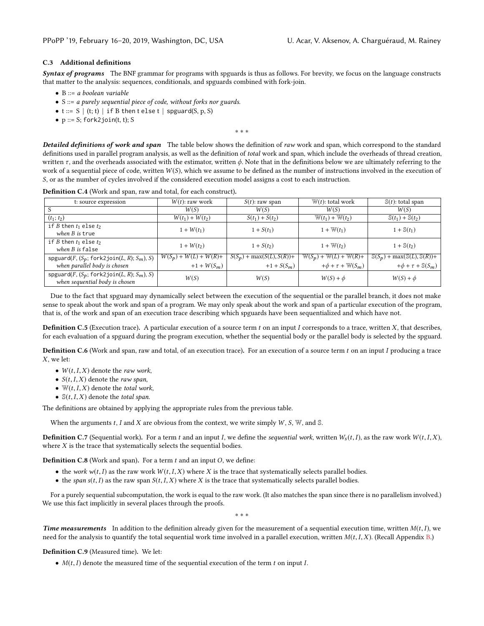#### C.3 Additional definitions

Syntax of programs The BNF grammar for programs with spguards is thus as follows. For brevity, we focus on the language constructs that matter to the analysis: sequences, conditionals, and spguards combined with fork-join.

- $\bullet$  B ::= a boolean variable
- $S ::= a purely sequential piece of code, without forks nor guards.$
- $t ::= S | (t; t) | if B then t else t | spguard(S, p, S)$
- $p ::= S;$  fork2join(t, t); S

Detailed definitions of work and span The table below shows the definition of raw work and span, which correspond to the standard definitions used in parallel program analysis, as well as the definition of total work and span, which include the overheads of thread creation, written  $\tau$ , and the overheads associated with the estimator, written  $\phi$ . Note that in the definitions below we are ultimately referring to the work of a sequential piece of code, written  $W(S)$ , which we assume to be defined as the number of instructions involved in the execution of S, or as the number of cycles involved if the considered execution model assigns a cost to each instruction.

∗ ∗ ∗

Definition C.4 (Work and span, raw and total, for each construct).

| t: source expression                                                                            | $W(t)$ : raw work        | $S(t)$ : raw span               | $\mathbb{W}(t)$ : total work                                   | $\mathbb{S}(t)$ : total span                               |
|-------------------------------------------------------------------------------------------------|--------------------------|---------------------------------|----------------------------------------------------------------|------------------------------------------------------------|
|                                                                                                 | W(S)                     | W(S)                            | W(S)                                                           | W(S)                                                       |
| $(t_1; t_2)$                                                                                    | $W(t_1) + W(t_2)$        | $S(t_1) + S(t_2)$               | $\mathbb{W}(t_1)+\mathbb{W}(t_2)$                              | $\mathbb{S}(t_1) + \mathbb{S}(t_2)$                        |
| if <i>B</i> then $t_1$ else $t_2$<br>when $B$ is true                                           | $1 + W(t_1)$             | $1 + S(t_1)$                    | $1 + \mathbb{W}(t_1)$                                          | $1 + \mathbb{S}(t_1)$                                      |
| if <i>B</i> then $t_1$ else $t_2$<br>when $B$ is false                                          | $1 + W(t_2)$             | $1 + S(t_2)$                    | $1 + \mathbb{W}(t_2)$                                          | $1 + \mathbb{S}(t_2)$                                      |
| spguard( <i>F</i> , $(S_p;$ fork2join( <i>L</i> , <i>R</i> ); $S_m$ ), <i>S</i> )               | $W(S_p) + W(L) + W(R) +$ | $S(S_p)$ + max $(S(L), S(R))$ + | $\mathbb{W}(\overline{S_p}) + \mathbb{W}(L) + \mathbb{W}(R) +$ | $\mathbb{S}(S_p)$ + max $(\mathbb{S}(L), \mathbb{S}(R))$ + |
| when parallel body is chosen                                                                    | $+1 + W(S_m)$            | $+1 + S(S_m)$                   | $+\phi + \tau + \mathbb{W}(S_m)$                               | $+\phi + \tau + \mathbb{S}(S_m)$                           |
| spguard( $F$ , $(S_p;$ fork2join( $L$ , $R$ ); $S_m$ ), $S$ )<br>when sequential body is chosen | W(S)                     | W(S)                            | $W(S) + \phi$                                                  | $W(S) + \phi$                                              |

Due to the fact that spguard may dynamically select between the execution of the sequential or the parallel branch, it does not make sense to speak about the work and span of a program. We may only speak about the work and span of a particular execution of the program, that is, of the work and span of an execution trace describing which spguards have been sequentialized and which have not.

**Definition C.5** (Execution trace). A particular execution of a source term t on an input I corresponds to a trace, written X, that describes, for each evaluation of a spguard during the program execution, whether the sequential body or the parallel body is selected by the spguard.

**Definition C.6** (Work and span, raw and total, of an execution trace). For an execution of a source term t on an input I producing a trace X, we let:

- $W(t, I, X)$  denote the raw work,
- $S(t, I, X)$  denote the *raw span*,
- $W(t, I, X)$  denote the *total work*,
- $\mathbb{S}(t, I, X)$  denote the total span.

The definitions are obtained by applying the appropriate rules from the previous table.

When the arguments t, I and X are obvious from the context, we write simply  $W$ , S,  $W$ , and S.

**Definition C.7** (Sequential work). For a term t and an input I, we define the sequential work, written  $W_s(t, I)$ , as the raw work  $W(t, I, X)$ , where  $X$  is the trace that systematically selects the sequential bodies.

**Definition C.8** (Work and span). For a term  $t$  and an input  $O$ , we define:

- the work  $w(t, I)$  as the raw work  $W(t, I, X)$  where X is the trace that systematically selects parallel bodies.
- the span  $s(t, I)$  as the raw span  $S(t, I, X)$  where X is the trace that systematically selects parallel bodies.

For a purely sequential subcomputation, the work is equal to the raw work. (It also matches the span since there is no parallelism involved.) We use this fact implicitly in several places through the proofs.

∗ ∗ ∗

**Time measurements** In addition to the definition already given for the measurement of a sequential execution time, written  $M(t, I)$ , we need for the analysis to quantify the total sequential work time involved in a parallel execution, written  $M(t, I, X)$ . (Recall Appendix [B.](#page-15-0))

Definition C.9 (Measured time). We let:

•  $M(t, I)$  denote the measured time of the sequential execution of the term t on input I.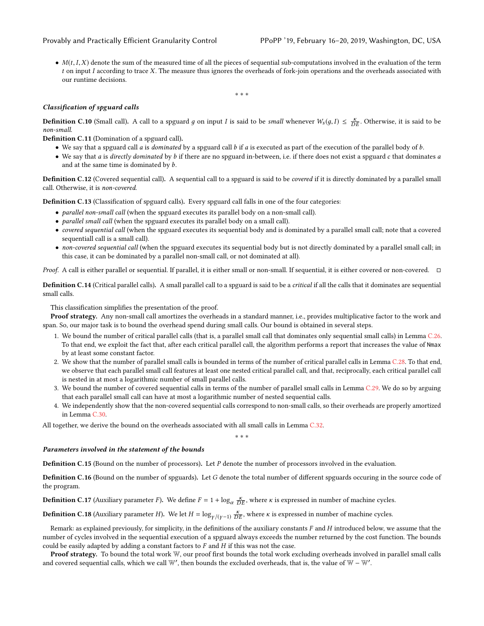$\bullet$   $M(t, I, X)$  denote the sum of the measured time of all the pieces of sequential sub-computations involved in the evaluation of the term t on input I according to trace X. The measure thus ignores the overheads of fork-join operations and the overheads associated with our runtime decisions.

```
∗ ∗ ∗
```
#### Classification of spguard calls

**Definition C.10** (Small call). A call to a spguard g on input I is said to be small whenever  $W_s(g, I) \leq \frac{\kappa}{DE}$ . Otherwise, it is said to be non-small non-small.

Definition C.11 (Domination of a spguard call).

- We say that a spguard call a is dominated by a spguard call b if a is executed as part of the execution of the parallel body of b.
- $\bullet$  We say that a is directly dominated by b if there are no spguard in-between, i.e. if there does not exist a spguard c that dominates a and at the same time is dominated by  $b$ .

Definition C.12 (Covered sequential call). A sequential call to a spguard is said to be *covered* if it is directly dominated by a parallel small call. Otherwise, it is non-covered.

Definition C.13 (Classification of spguard calls). Every spguard call falls in one of the four categories:

- parallel non-small call (when the spguard executes its parallel body on a non-small call).
- parallel small call (when the spguard executes its parallel body on a small call).
- covered sequential call (when the spguard executes its sequential body and is dominated by a parallel small call; note that a covered sequentiall call is a small call).
- non-covered sequential call (when the spguard executes its sequential body but is not directly dominated by a parallel small call; in this case, it can be dominated by a parallel non-small call, or not dominated at all).

Proof. A call is either parallel or sequential. If parallel, it is either small or non-small. If sequential, it is either covered or non-covered. □

Definition C.14 (Critical parallel calls). A small parallel call to a spguard is said to be a *critical* if all the calls that it dominates are sequential small calls.

This classification simplifies the presentation of the proof.

Proof strategy. Any non-small call amortizes the overheads in a standard manner, i.e., provides multiplicative factor to the work and span. So, our major task is to bound the overhead spend during small calls. Our bound is obtained in several steps.

- 1. We bound the number of critical parallel calls (that is, a parallel small call that dominates only sequential small calls) in Lemma [C.26.](#page-22-0) To that end, we exploit the fact that, after each critical parallel call, the algorithm performs a report that increases the value of Nmax by at least some constant factor.
- 2. We show that the number of parallel small calls is bounded in terms of the number of critical parallel calls in Lemma [C.28.](#page-23-0) To that end, we observe that each parallel small call features at least one nested critical parallel call, and that, reciprocally, each critical parallel call is nested in at most a logarithmic number of small parallel calls.
- 3. We bound the number of covered sequential calls in terms of the number of parallel small calls in Lemma [C.29.](#page-23-1) We do so by arguing that each parallel small call can have at most a logarithmic number of nested sequential calls.
- 4. We independently show that the non-covered sequential calls correspond to non-small calls, so their overheads are properly amortized in Lemma [C.30.](#page-23-2)

All together, we derive the bound on the overheads associated with all small calls in Lemma [C.32.](#page-24-0)

∗ ∗ ∗

#### Parameters involved in the statement of the bounds

**Definition C.15** (Bound on the number of processors). Let P denote the number of processors involved in the evaluation.

<span id="page-20-0"></span>Definition C.16 (Bound on the number of spguards). Let G denote the total number of different spguards occuring in the source code of the program.

<span id="page-20-1"></span>**Definition C.17** (Auxiliary parameter *F*). We define *F* = 1 +  $\log_{\alpha} \frac{\kappa}{DE}$ , where *κ* is expressed in number of machine cycles.

<span id="page-20-2"></span>**Definition C.18** (Auxiliary parameter H). We let  $H = \log_{\gamma/(\gamma-1)} \frac{\kappa}{DE}$ , where  $\kappa$  is expressed in number of machine cycles.

Remark: as explained previously, for simplicity, in the definitions of the auxiliary constants  $F$  and  $H$  introduced below, we assume that the number of cycles involved in the sequential execution of a spguard always exceeds the number returned by the cost function. The bounds could be easily adapted by adding a constant factors to  $F$  and  $H$  if this was not the case.

Proof strategy. To bound the total work W, our proof first bounds the total work excluding overheads involved in parallel small calls and covered sequential calls, which we call W′ , then bounds the excluded overheads, that is, the value of W − W′ .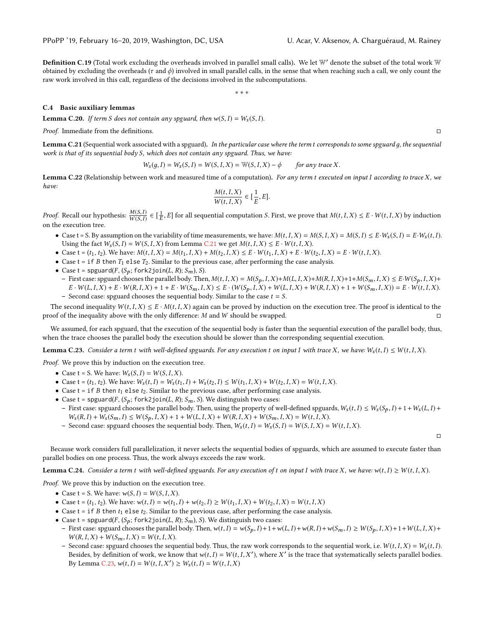Definition C.19 (Total work excluding the overheads involved in parallel small calls). We let W′ denote the subset of the total work W obtained by excluding the overheads ( $\tau$  and  $\phi$ ) involved in small parallel calls, in the sense that when reaching such a call, we only count the raw work involved in this call, regardless of the decisions involved in the subcomputations.

∗ ∗ ∗

#### C.4 Basic auxiliary lemmas

**Lemma C.20.** If term S does not contain any spguard, then  $w(S, I) = W_S(S, I)$ .

Proof. Immediate from the definitions. □

<span id="page-21-0"></span>Lemma C.21 (Sequential work associated with a spguard). In the particular case where the term t corresponds to some spguard q, the sequential work is that of its sequential body S, which does not contain any spguard. Thus, we have:

$$
W_s(g, I) = W_s(S, I) = W(S, I, X) = \mathbb{W}(S, I, X) - \phi \quad \text{for any trace } X.
$$

<span id="page-21-2"></span>Lemma C.22 (Relationship between work and measured time of a computation). For any term t executed on input I according to trace X, we have:

$$
\frac{M(t,I,X)}{W(t,I,X)}\in\big[\frac{1}{E},E\big].
$$

 $W(t, I, X) \stackrel{\smile}{\smile} E$ <br>*Proof.* Recall our hypothesis:  $\frac{M(S, I)}{W(S, I)} \in [\frac{1}{E}, E]$  for all sequential computation  $\frac{M(S, I)}{W(S, I)} \in [\frac{1}{E}, E]$  for all sequential computation S. First, we prove that  $M(t, I, X) \le E \cdot W(t, I, X)$  by induction on the execution tree.

- Case t = S. By assumption on the variability of time measurements, we have:  $M(t, I, X) = M(S, I, X) = M(S, I) \le E \cdot W_s(S, I) = E \cdot W_s(t, I)$ . Using the fact  $W_s(S, I) = W(S, I, X)$  from Lemma [C.21](#page-21-0) we get  $M(t, I, X) \leq E \cdot W(t, I, X)$ .
- Case  $t = (t_1, t_2)$ . We have:  $M(t, I, X) = M(t_1, I, X) + M(t_2, I, X) \le E \cdot W(t_1, I, X) + E \cdot W(t_2, I, X) = E \cdot W(t, I, X)$ .
- Case  $t = if B$  then  $T_1$  else  $T_2$ . Similar to the previous case, after performing the case analysis.
- Case t = spguard(F,  $(S_p;$  fork2join(L, R);  $S_m$ ), S).
- First case: spguard chooses the parallel body. Then,  $M(t, I, X) = M(S_b, I, X) + M(L, I, X) + M(R, I, X) + 1 + M(S_m, I, X) \le E \cdot W(S_b, I, X) +$  $E \cdot W(L, I, X) + E \cdot W(R, I, X) + 1 + E \cdot W(S_m, I, X) \leq E \cdot (W(S_p, I, X) + W(L, I, X) + W(R, I, X) + 1 + W(S_m, I, X)) = E \cdot W(t, I, X)$ . – Second case: spguard chooses the sequential body. Similar to the case  $t = S$ .

The second inequality  $W(t, I, X) \le E \cdot M(t, I, X)$  again can be proved by induction on the execution tree. The proof is identical to the only difference: M and W should be swapped proof of the inequality above with the only difference:  $M$  and  $W$  should be swapped.

We assumed, for each spguard, that the execution of the sequential body is faster than the sequential execution of the parallel body, thus, when the trace chooses the parallel body the execution should be slower than the corresponding sequential execution.

<span id="page-21-1"></span>**Lemma C.23.** Consider a term t with well-defined spguards. For any execution t on input I with trace X, we have:  $W_s(t, I) \leq W(t, I, X)$ .

Proof. We prove this by induction on the execution tree.

- Case t = S. We have:  $W_s(S, I) = W(S, I, X)$ .
- Case  $t = (t_1, t_2)$ . We have:  $W_s(t, I) = W_s(t_1, I) + W_s(t_2, I) \le W(t_1, I, X) + W(t_2, I, X) = W(t, I, X)$ .
- Case  $t = if B$  then  $t_1$  else  $t_2$ . Similar to the previous case, after performing case analysis.
- Case t = spguard(F,  $(S_p;$  fork2join(L, R);  $S_m$ , S). We distinguish two cases:
- First case: spguard chooses the parallel body. Then, using the property of well-defined spguards,  $W_s(t, I) \leq W_s(S_p, I) + 1 + W_s(L, I) + 1$  $W_s(R, I) + W_s(S_m, I) \leq W(S_p, I, X) + 1 + W(L, I, X) + W(R, I, X) + W(S_m, I, X) = W(t, I, X).$
- Second case: spguard chooses the sequential body. Then,  $W_s(t, I) = W_s(S, I) = W(S, I, X) = W(t, I, X)$ .

□

Because work considers full parallelization, it never selects the sequential bodies of spguards, which are assumed to execute faster than parallel bodies on one process. Thus, the work always exceeds the raw work.

<span id="page-21-3"></span>**Lemma C.24.** Consider a term t with well-defined spguards. For any execution of t on input I with trace X, we have: w(t, I)  $\geq W(t, I, X)$ .

Proof. We prove this by induction on the execution tree.

- Case  $t = S$ . We have:  $w(S, I) = W(S, I, X)$ .
- Case  $t = (t_1, t_2)$ . We have:  $w(t, I) = w(t_1, I) + w(t_2, I) \ge W(t_1, I, X) + W(t_2, I, X) = W(t, I, X)$
- Case  $t = if B$  then  $t_1$  else  $t_2$ . Similar to the previous case, after performing the case analysis.
- Case t = spguard(F,  $(S_p;$  fork2join(L, R);  $S_m$ ), S). We distinguish two cases:
- First case: spguard chooses the parallel body. Then,  $w(t, I) = w(S_p, I) + 1 + w(L, I) + w(R, I) + w(S_m, I) \ge W(S_p, I, X) + 1 + W(L, I, X) + W(L, I)$  $W(R, I, X) + W(S_m, I, X) = W(t, I, X).$
- Second case: spguard chooses the sequential body. Thus, the raw work corresponds to the sequential work, i.e.  $W(t, I, X) = W_s(t, I)$ . Besides, by definition of work, we know that  $w(t, I) = W(t, I, X')$ , where X' is the trace that systematically selects parallel bodies. By Lemma [C.23,](#page-21-1)  $w(t, I) = W(t, I, X') \ge W_s(t, I) = W(t, I, X)$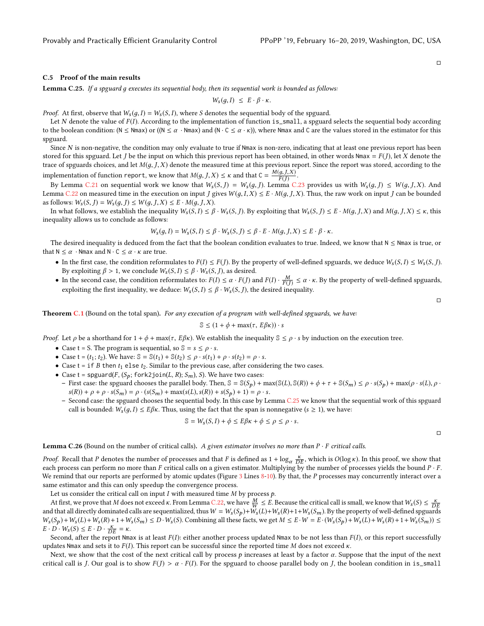# C.5 Proof of the main results

<span id="page-22-1"></span>Lemma C.25. If a spguard д executes its sequential body, then its sequential work is bounded as follows:

$$
W_{\rm s}(g,I) \leq E \cdot \beta \cdot \kappa.
$$

*Proof.* At first, observe that  $W_s(q, I) = W_s(S, I)$ , where S denotes the sequential body of the spguard.

Let N denote the value of  $F(I)$ . According to the implementation of function is\_small, a spguard selects the sequential body according to the boolean condition: ( $N \le N$ max) or ( $(N \le \alpha \cdot N)$  and  $(N \cdot C \le \alpha \cdot \kappa)$ ), where Nmax and C are the values stored in the estimator for this spguard.

Since  $N$  is non-negative, the condition may only evaluate to true if Nmax is non-zero, indicating that at least one previous report has been stored for this spguard. Let J be the input on which this previous report has been obtained, in other words Nmax =  $F(J)$ , let X denote the trace of spguards choices, and let  $M(g, J, X)$  denote the measured time at this previous report. Since the report was stored, according to the implementation of function report, we know that  $M(g, J, X) \le \kappa$  and that  $C = \frac{M(g, J, X)}{F(J)}$ .

By Lemma [C.21](#page-21-0) on sequential work we know that  $W_s(S, J) = W_s(g, J)$ . Lemma [C.23](#page-21-1) provides us with  $W_s(g, J) \leq W(g, J, X)$ . And<br>By Lemma C.21 on sequential work we know that  $W_s(S, J) = W_s(g, J)$ . Lemma C.23 provides us with  $W_s(g, J) \leq W(g, J,$ Lemma [C.22](#page-21-2) on measured time in the execution on input J gives  $W(g, I, X) \le E \cdot M(g, J, X)$ . Thus, the raw work on input J can be bounded as follows:  $W_s(S, J) = W_s(q, J) \leq W(q, J, X) \leq E \cdot M(q, J, X)$ .

In what follows, we establish the inequality  $W_s(S, I) \leq \beta \cdot W_s(S, J)$ . By exploiting that  $W_s(S, J) \leq E \cdot M(g, J, X)$  and  $M(g, J, X) \leq \kappa$ , this inequality allows us to conclude as follows:

$$
W_s(g, I) = W_s(S, I) \le \beta \cdot W_s(S, J) \le \beta \cdot E \cdot M(g, J, X) \le E \cdot \beta \cdot \kappa.
$$

The desired inequality is deduced from the fact that the boolean condition evaluates to true. Indeed, we know that N ≤ Nmax is true, or that  $N \leq \alpha$  · Nmax and  $N \cdot C \leq \alpha \cdot \kappa$  are true.

- In the first case, the condition reformulates to  $F(I) \leq F(J)$ . By the property of well-defined spguards, we deduce  $W_s(S, I) \leq W_s(S, J)$ . By exploiting  $\beta > 1$ , we conclude  $W_s(S, I) \leq \beta \cdot W_s(S, I)$ , as desired.
- In the second case, the condition reformulates to:  $F(I) \leq \alpha \cdot F(I)$  and  $F(I) \cdot \frac{M}{F(I)} \leq \alpha \cdot \kappa$ . By the property of well-defined spguards, exploiting the first inequality we deduce:  $W(S, I) \leq \beta \cdot W(S, I)$  the desired ineq exploiting the first inequality, we deduce:  $W_s(S, I) \leq \beta \cdot W_s(S, J)$ , the desired inequality.

□

<span id="page-22-0"></span>Theorem [C.1](#page-18-0) (Bound on the total span). For any execution of a program with well-defined spguards, we have:

$$
\mathbb{S} \le (1 + \phi + \max(\tau, E\beta \kappa)) \cdot s
$$

*Proof.* Let  $\rho$  be a shorthand for  $1 + \phi + \max(\tau, E\beta\kappa)$ . We establish the inequality  $\mathcal{S} \leq \rho \cdot s$  by induction on the execution tree.

- Case t = S. The program is sequential, so  $\mathbb{S} = s \le \rho \cdot s$ .
- Case  $t = (t_1; t_2)$ . We have:  $\mathbb{S} = \mathbb{S}(t_1) + \mathbb{S}(t_2) \le \rho \cdot s(t_1) + \rho \cdot s(t_2) = \rho \cdot s$ .
- Case  $t = if B$  then  $t_1$  else  $t_2$ . Similar to the previous case, after considering the two cases.
- Case t = spguard( $F$ ,  $(S_p;$  fork2join( $L$ ,  $R$ );  $S_m$ ),  $S$ ). We have two cases:
- First case: the spguard chooses the parallel body. Then,  $\mathbb{S} = \mathbb{S}(S_p) + \max(\mathbb{S}(L), \mathbb{S}(R)) + \phi + \tau + \mathbb{S}(S_m) \le \rho \cdot s(S_p) + \max(\rho \cdot s(L), \rho \cdot s(L))$  $s(R) + \rho + \rho \cdot s(S_m) = \rho \cdot (s(S_m) + \max(s(L), s(R)) + s(S_p) + 1) = \rho \cdot s.$
- Second case: the spguard chooses the sequential body. In this case by Lemma  $C.25$  we know that the sequential work of this spguard call is bounded:  $W_s(g, I) \leq E\beta\kappa$ . Thus, using the fact that the span is nonnegative (s  $\geq 1$ ), we have:

$$
\mathbb{S} = W_{\mathcal{S}}(S, I) + \phi \le E\beta\kappa + \phi \le \rho \le \rho \cdot s.
$$

 $\Box$ 

**Lemma C.26** (Bound on the number of critical calls). A given estimator involves no more than  $P \cdot F$  critical calls.

*Proof.* Recall that P denotes the number of processes and that F is defined as  $1 + \log_{\alpha} \frac{K}{DE}$ , which is  $O(\log \kappa)$ . In this proof, we show that each processes vields the bound  $P \cdot F$ each process can perform no more than  $F$  critical calls on a given estimator. Multiplying by the number of processes yields the bound  $P \cdot F$ . We remind that our reports are performed by atomic updates (Figure [3](#page-5-0) Lines [8](#page-5-1)[-10\)](#page-5-3). By that, the  $P$  processes may concurrently interact over a same estimator and this can only speedup the convergence process.

Let us consider the critical call on input  $I$  with measured time  $M$  by process  $p$ .

At first, we prove that M does not exceed κ. From Lemma [C.22,](#page-21-2) we have  $\frac{M}{W} \leq E$ . Because the critical call is small, we know that  $W_5(S) \leq \frac{K}{D}$ <br>d that all directly dominated calls are sequentialized, thus  $W = W_6(S_{$ and that all directly dominated calls are sequentialized, thus  $W = W_s(S_p) + W_s(L) + W_s(R) + 1 + W_s(S_m)$ . By the property of well-defined spguards  $W(S_n) + W_s(K) + W_s(K)$  Combining all these facts, we get  $M \le E_t W = E_t(W(S_n) + W(I) + W(P) + 1 + W(S_n)) \le E_t(W(S$  $W_S(S_p) + W_S(L) + W_S(R) + 1 + W_S(S_m) \le D \cdot W_S(S)$ . Combining all these facts, we get  $M \le E \cdot W = E \cdot (W_S(S_p) + W_S(L) + W_S(R) + 1 + W_S(S_m)) \le D \cdot W_S(S)$  $E \cdot D \cdot W_s(S) \leq E \cdot D \cdot \frac{\kappa}{DE} = \kappa.$ <br>Second, after the report Nm.

Second, after the report Nmax is at least  $F(I)$ : either another process updated Nmax to be not less than  $F(I)$ , or this report successfully updates Nmax and sets it to  $F(I)$ . This report can be successful since the reported time M does not exceed κ.

Next, we show that the cost of the next critical call by process p increases at least by a factor  $\alpha$ . Suppose that the input of the next critical call is J. Our goal is to show  $F(J) > \alpha \cdot F(I)$ . For the spguard to choose parallel body on J, the boolean condition in is\_small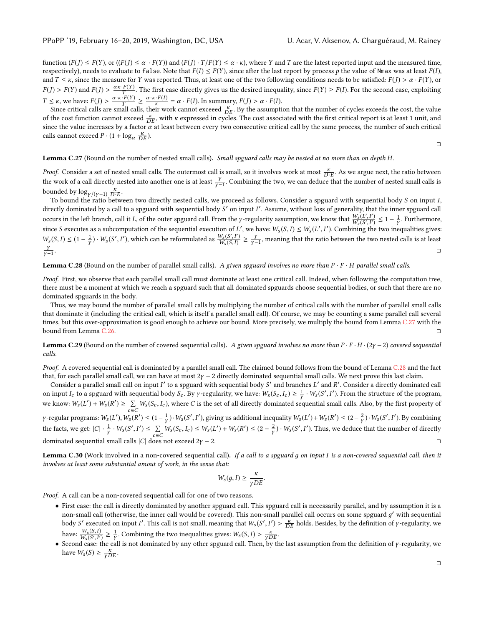function  $(F(I) \leq F(Y)$ , or  $((F(I) \leq \alpha \cdot F(Y))$  and  $(F(I) \cdot T/F(Y) \leq \alpha \cdot \kappa)$ , where Y and T are the latest reported input and the measured time, respectively), needs to evaluate to false. Note that  $F(I) \le F(Y)$ , since after the last report by process p the value of Nmax was at least  $F(I)$ , and  $T \le \kappa$ , since the measure for Y was reported. Thus, at least one of the and  $T \le \kappa$ , since the measure for Y was reported. Thus, at least one of the two following conditions needs to be satisfied:  $F(J) > \alpha \cdot F(Y)$ , or  $F(X) = \frac{\alpha \kappa \cdot F(Y)}{N}$ , or  $F(J) > F(Y)$  and  $F(J) > \frac{\alpha \kappa \cdot F(Y)}{T}$ . The first case directly gives us the desired inequality, since  $F(Y) \ge F(I)$ . For the second case, exploiting  $T \leq \kappa$ , we have:  $F(J) > \frac{\alpha \cdot \kappa \cdot F(Y)}{T}$ <br>Since critical calls are small calls

 $\leq \kappa$ , we have:  $F(J) > \frac{\alpha \cdot \kappa \cdot F(Y)}{T} \geq \frac{\alpha \cdot \kappa \cdot F(I)}{\kappa} = \alpha \cdot F(I)$ . In summary,  $F(J) > \alpha \cdot F(I)$ .<br>Since critical calls are small calls, their work cannot exceed  $\frac{\kappa}{DE}$ . By the assumption that the number of cycles ex of the cost function cannot exceed  $\frac{\kappa}{DE}$ , with κ expressed in cycles. The cost associated with the first critical report is at least 1 unit, and<br>since the value increases by a factor  $\alpha$  at least between every two c since the value increases by a factor  $\alpha$  at least between every two consecutive critical call by the same process, the number of such critical calls cannot exceed  $P \cdot (1 + \log_{\alpha} \frac{\kappa}{DE}).$ 

□

<span id="page-23-3"></span>Lemma C.27 (Bound on the number of nested small calls). Small spguard calls may be nested at no more than on depth H.

*Proof.* Consider a set of nested small calls. The outermost call is small, so it involves work at most  $\frac{\kappa}{D \cdot E}$ . As we argue next, the ratio between *Proof.* Consider a set of nested small calls. The outermost can is small, so it involves work at most  $\overline{D \cdot E}$ . As we argue next, the ratio between<br>the work of a call directly nested into another one is at least  $\frac{\gamma$ bounded by  $\log_{\gamma/(\gamma-1)} \frac{\kappa}{D \cdot E}$ .<br>To bound the ratio betw

unded by  $log_{\gamma/(y-1)}$   $\overline{D\cdot E}$ .<br>To bound the ratio between two directly nested calls, we proceed as follows. Consider a spguard with sequential body *S* on input *I,*<br>ectly dominated by a call to a spguard with sequenti directly dominated by a call to a spguard with sequential body  $S$ ' on input I'. Assume, without loss of generality, that the inner spguard call the space with a commution and lower that  $W_s(L', I') \leq 1 - 1$ . Earth summers occurs in the left branch, call it L, of the outer spguard call. From the *γ*-regularity assumption, we know that  $\frac{W_s(L', I')}{W_s(S', I')}$  $\frac{W_s(L',I')}{W_s(S',I')} \leq 1 - \frac{1}{\gamma}$ <br>ining the two ine γ . Furthermore, since S executes as a subcomputation of the sequential execution of L', we have:  $W_s(S, I) \le W_s(L' \cup C, I) \le W_s(L' \cup C, I) \le W_s(L' \cup C, I) \le W_s(L' \cup C, I) \le W_s(L' \cup C, I) \le W_s(L' \cup C, I) \le W_s(L' \cup C, I) \le W_s(L' \cup C, I) \le W_s(L' \cup C, I) \le W_s(L' \cup C, I) \le W_s(L' \cup C, I) \$ .<br>.. ′ ). Combining the two inequalities gives:  $W_s(S, I) \leq (1 - \frac{1}{\gamma})$  $\frac{1}{\gamma}$ ) ·  $W_s(S')$  $,$  $\overline{\phantom{a}}$ '), which can be reformulated as  $\frac{W_s(S', I')}{W_s(S, I)}$  $\frac{W_s(S, I)}{W_s(S, I)} \ge \frac{\gamma}{\gamma - 1}$ , meaning that the ratio between the two nested calls is at least  $\frac{1}{\gamma-1}$ . □

<span id="page-23-0"></span>**Lemma C.28** (Bound on the number of parallel small calls). A given spguard involves no more than  $P \cdot F \cdot H$  parallel small calls.

Proof. First, we observe that each parallel small call must dominate at least one critical call. Indeed, when following the computation tree, there must be a moment at which we reach a spguard such that all dominated spguards choose sequential bodies, or such that there are no dominated spguards in the body.

Thus, we may bound the number of parallel small calls by multiplying the number of critical calls with the number of parallel small calls that dominate it (including the critical call, which is itself a parallel small call). Of course, we may be counting a same parallel call several times, but this over-approximation is good enough to achieve our bound. More precisely, we multiply the bound from Lemma [C.27](#page-23-3) with the bound from Lemma [C.26.](#page-22-0) □

<span id="page-23-1"></span>**Lemma C.29** (Bound on the number of covered sequential calls). A given spguard involves no more than  $P \cdot F \cdot H \cdot (2\gamma - 2)$  covered sequential calls.

Proof. A covered sequential call is dominated by a parallel small call. The claimed bound follows from the bound of Lemma [C.28](#page-23-0) and the fact that, for each parallel small call, we can have at most  $2y - 2$  directly dominated sequential small calls. We next prove this last claim.

Consider a parallel small call on input I' to a spguard with sequential body S' and branches L' and R<br>input I, to a spquard with sequential body S. By v-requierity we have:  $W(S, I) > \frac{1}{\epsilon}$ ,  $W(S', I')$  $'$  to a spguard with sequential body  $S'$  and branches  $L'$  and  $R'$ . Consider a directly dominated call on input  $I_c$  to a spguard with sequential body  $S_c$ . By  $\gamma$ -regularity, we have:  $W_s(S_c, I_c) \geq \frac{1}{\gamma} \cdot W_s(S'$ <br>we know:  $W(I') + W(P') \geq \sum W_s(S, I_s)$  where C is the set of all directly dominated sequential  $\frac{1}{2}$ ′ ). From the structure of the program, we know:  $W_s(L') + W_s(R') \ge \sum_{c \in C} W_s(S_c, I_c)$ , where C is the set of all directly dominated sequential small calls. Also, by the first property of c ∈C<br>L (D y-regular programs:  $W_s(L')$ ,  $W_s(R') \leq (1 - \frac{1}{l}) \cdot W_s(S', l')$ , giving us additional inequality  $W_s(L') + W_s(R') \leq (2 - \frac{2}{l}) \cdot W_s(S', l')$ . By combining the facts, we get:  $|C| \cdot \frac{1}{\gamma} \cdot W_s(S', I') = \sum_{c \in C} W_s(S_c, I_c) \le W_s(L') + W_s(R') \le (2 - \frac{2}{\gamma}) \cdot W_s(S', I')$ . Thus, we deduce that the nu  $\mathcal{L}$  $y' \leq \sum_{c \in C} W_s(S_c, I_c) \leq W_s(L') + W_s(R') \leq (2 - \frac{2}{\gamma})$ dominated sequential small calls  $|C|$  does not exceed  $2\gamma - 2$ . □  $\frac{2}{\gamma}$ ) ·  $W_s(S')$  $\overline{a}$ ′ ). Thus, we deduce that the number of directly

<span id="page-23-2"></span>Lemma C.30 (Work involved in a non-covered sequential call). If a call to a spguard  $q$  on input I is a non-covered sequential call, then it involves at least some substantial amout of work, in the sense that:

$$
W_s(g,I) \geq \frac{\kappa}{\gamma DE}.
$$

Proof. A call can be a non-covered sequential call for one of two reasons.

- First case: the call is directly dominated by another spguard call. This spguard call is necessarily parallel, and by assumption it is a non-small call (otherwise, the inner call would be covered). This non-small parallel call occurs on some spguard  $g'$  with sequential heads of  $\mathcal{S}'$  executed on input  $I'$ . This call is not small meaning that  $W(S', I') \leq$ body S' executed on input I'. This call is not small, meaning that  $W_s(S', I') > \frac{\kappa}{DE}$  holds. Besides, by the definition of y-regularity, we have  $W_s(S, I) > 1$ . Combining the true in multiperium  $W_s(S, I) > \frac{\kappa}{DE}$  holds. Besid have:  $\frac{W_s(S, I)}{W_s(S', I')} \geq \frac{1}{\gamma}$ . Combining the two inequalities gives:  $W_s(S, I) > \frac{\kappa}{\gamma DE}$ .<br>Second case, the call is not dominated by any other spound call. Then, by the
- Have.  $\frac{W_s(S',I')}{W_s(S',I')} \leq \frac{V}{\gamma}$ . Combining the two mequanties gives.  $W_s(S, I) \geq \frac{V}{\gamma DE}$ .<br>
 Second case: the call is not dominated by any other spguard call. Then, by the last assumption from the definition of *γ*have  $W_s(S) \geq \frac{\kappa}{\gamma DE}$ .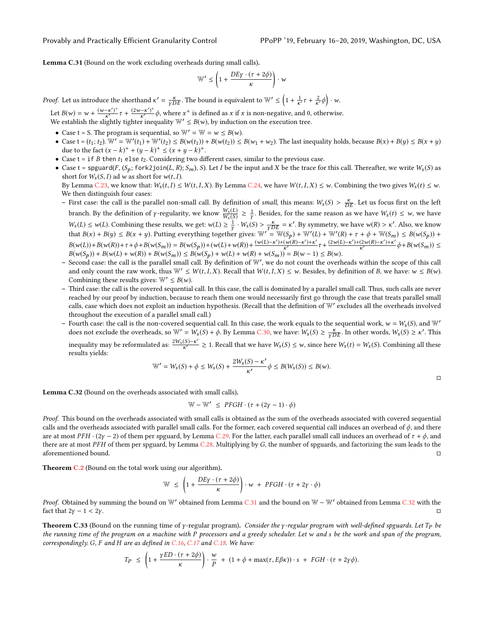<span id="page-24-1"></span>Lemma C.31 (Bound on the work excluding overheads during small calls).

$$
\mathbb{W}' \le \left(1 + \frac{DE\gamma \cdot (\tau + 2\phi)}{\kappa}\right) \cdot w
$$

*Proof.* Let us introduce the shorthand  $\kappa' = \frac{\kappa}{\gamma DE}$ . The bound is equivalent to  $\mathbb{W}' \le \left(1 + \frac{1}{\kappa'} \tau + \frac{2}{\kappa'} \phi\right) \cdot w$ .

Let  $B(w) = w + \frac{(w-\kappa')^+}{\kappa'} \tau + \frac{(2w-\kappa')^+}{\kappa'} \phi$ , where  $x^+$  is defined as x if x is non-negative, and 0, otherwise. We establish the slightly tighter inequality  $W' \le B(w)$ , by induction on the execution tree.

- Case t = S. The program is sequential, so  $W' = W = w \le B(w)$ .
- Case  $t = (t_1; t_2)$ .  $\mathbb{W}' = \mathbb{W}'(t_1) + \mathbb{W}'(t_2) \le B(\mathbf{w}(t_1)) + B(\mathbf{w}(t_2)) \le B(\mathbf{w}_1 + \mathbf{w}_2)$ . The last inequality holds, because  $B(x) + B(y) \le B(x + y)$ due to the fact  $(x - k)^+ + (y - k)^+ \le (x + y - k)^+$ .<br>Case t = if B then to also to Considering two dif
- Case  $t = if B then t<sub>1</sub> else t<sub>2</sub>. Considering two different cases, similar to the previous case.$
- Case t = spguard(F,  $(S_p;$  fork2join(L, R);  $S_m$ ), S). Let I be the input and X be the trace for this call. Thereafter, we write  $W_s(S)$  as short for  $W_s(S, I)$  ad w as short for  $w(t, I)$ .

By Lemma [C.23,](#page-21-1) we know that:  $W_s(t, I) \leq W(t, I, X)$ . By Lemma [C.24,](#page-21-3) we have  $W(t, I, X) \leq w$ . Combining the two gives  $W_s(t) \leq w$ . We then distinguish four cases:

- First case: the call is the parallel non-small call. By definition of *small*, this means:  $W_s(S) > \frac{\kappa}{DE}$ . Let us focus first on the left<br>have been the definition of a numberity are larger  $W_s(L) > 1$ . Decides for the ag branch. By the definition of *γ*-regularity, we know  $\frac{W_s(L)}{W_s(S)} \geq \frac{1}{\gamma}$ . Besides, for the same reason as we have  $W_s(t) \leq w$ , we have  $W_s(t) \leq w$ .  $W_s(L) \leq w(L)$ . Combining these results, we get:  $w(L) \geq \frac{1}{V} \cdot W_s(S) > \frac{\kappa}{VDE} = \kappa'$ . By symmetry, we have  $w(R) > \kappa'$ . Also, we know that  $B(x) + B(u) \leq B(x + u)$ . Putting everything together gives:  $W' = W(s) + WW(s) + \pi + \phi + W(s) \leq B(w(s)) + \$ that  $B(x) + B(y) \le B(x + y)$ . Putting everything together gives:  $W' = W(S_p) + W'(L) + W'(R) + \tau + \phi + W(S_m) \le B(w(S_p)) +$  $B(w(L)) + B(w(R)) + \tau + \phi + B(w(S_m)) = B(w(S_p)) + (w(L) + w(R)) + \frac{(w(L) - \kappa') + (w(R) - \kappa') + \kappa'}{\kappa'} \tau + \frac{(2w(L) - \kappa') + (2w(R) - \kappa') + \kappa'}{\kappa'}$  $B(w(S_p)) + B(w(L) + w(R)) + B(w(S_m)) \le B(w(S_p) + w(L) + w(R) + w(S_m)) = B(w - 1) \le B(w).$ <br>Second case the call is the parallel small call By definition of  $\mathbb{W}'$ , we do not count the over- $\frac{(2w(K)-K)+K}{\kappa'}\phi+B(w(S_m))\leq$
- Second case: the call is the parallel small call. By definition of W′ , we do not count the overheads within the scope of this call and only count the raw work, thus  $W' \leq W(t, I, X)$ . Recall that  $W(t, I, X) \leq w$ . Besides, by definition of B, we have:  $w \leq B(w)$ . Combining these results gives:  $W' \le B(w)$ .
- Third case: the call is the covered sequential call. In this case, the call is dominated by a parallel small call. Thus, such calls are never reached by our proof by induction, because to reach them one would necessarily first go through the case that treats parallel small calls, case which does not exploit an induction hypothesis. (Recall that the definition of W′ excludes all the overheads involved throughout the execution of a parallel small call.)
- Fourth case: the call is the non-covered sequential call. In this case, the work equals to the sequential work,  $w = W_s(S)$ , and W' does not exclude the overheads, so  $W' = W_s(S) + \phi$ . By Lemma [C.30,](#page-23-2) we have:  $W_s(S) \ge \frac{\kappa}{YDE}$ . In other words,  $W_s(S) \ge \kappa'$ . This inequality may be reformulated as:  $\frac{2W_s(S)-\kappa'}{\kappa'} \geq 1$ . Recall that we have  $W_s(S) \leq w$ , since here  $W_s(t) = W_s(S)$ . Combining all these results yields:

$$
\mathbb{W}' = W_S(S) + \phi \leq W_S(S) + \frac{2W_S(S) - \kappa'}{\kappa'} \phi \leq B(W_S(S)) \leq B(\omega).
$$

□

<span id="page-24-0"></span>Lemma C.32 (Bound on the overheads associated with small calls).

$$
\mathbb{W} - \mathbb{W}' \le PFGH \cdot (\tau + (2\gamma - 1) \cdot \phi)
$$

Proof. This bound on the overheads associated with small calls is obtained as the sum of the overheads associated with covered sequential calls and the overheads associated with parallel small calls. For the former, each covered sequential call induces an overhead of  $\phi$ , and there are at most PFH  $\cdot$  (2γ – 2) of them per spguard, by Lemma [C.29.](#page-23-1) For the latter, each parallel small call induces an overhead of  $\tau + \phi$ , and there are at most *PFH* of them per spguard, by Lemma [C.28.](#page-23-0) Multiplying by G, the number of spguards, and factorizing the sum leads to the aforementioned bound. aforementioned bound.

Theorem [C.2](#page-18-1) (Bound on the total work using our algorithm).

$$
\mathbb{W} \le \left(1 + \frac{DE\gamma \cdot (\tau + 2\phi)}{\kappa}\right) \cdot w + PFGH \cdot (\tau + 2\gamma \cdot \phi)
$$

Proof. Obtained by summing the bound on W′ obtained from Lemma [C.31](#page-24-1) and the bound on W − W′ obtained from Lemma [C.32](#page-24-0) with the  $\Box$  fact that  $2\gamma - 1 < 2\gamma$ .

**Theorem C.33** (Bound on the running time of y-regular program). Consider the y-regular program with well-defined spguards. Let Tp be the running time of the program on a machine with P processors and a greedy scheduler. Let w and s be the work and span of the program, correspondingly. G, F and H are as defined in [C.16,](#page-20-0) [C.17](#page-20-1) and [C.18.](#page-20-2) We have:

$$
T_P \leq \left(1 + \frac{\gamma ED \cdot (\tau + 2\phi)}{\kappa}\right) \cdot \frac{w}{P} + (1 + \phi + \max(\tau, E\beta\kappa)) \cdot s + FGH \cdot (\tau + 2\gamma\phi).
$$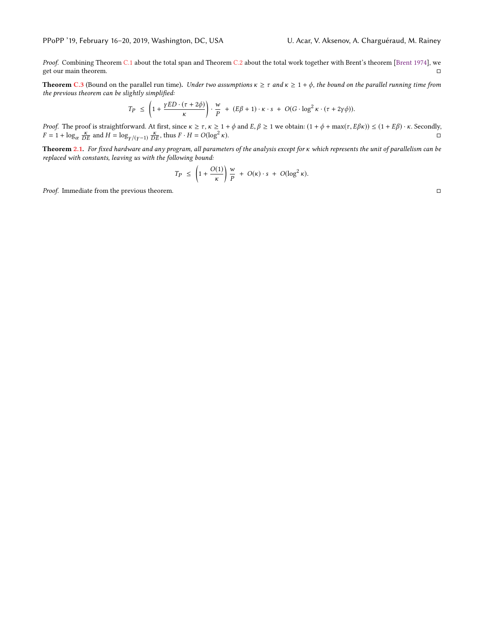PPoPP '19, February 16-20, 2019, Washington, DC, USA U. Acar, V. Aksenov, A. Charguéraud, M. Rainey

Proof. Combining Theorem [C.1](#page-18-0) about the total span and Theorem [C.2](#page-18-1) about the total work together with Brent's theorem [\[Brent](#page-11-21) [1974\]](#page-11-21), we get our main theorem. □

**Theorem [C.3](#page-18-2)** (Bound on the parallel run time). Under two assumptions  $\kappa \ge \tau$  and  $\kappa \ge 1 + \phi$ , the bound on the parallel running time from the previous theorem can be slightly simplified:

$$
T_P \leq \left(1 + \frac{\gamma ED \cdot (\tau + 2\phi)}{\kappa}\right) \cdot \frac{w}{P} + (E\beta + 1) \cdot \kappa \cdot s + O(G \cdot \log^2 \kappa \cdot (\tau + 2\gamma \phi)).
$$

Proof. The proof is straightforward. At first, since  $\kappa \ge \tau$ ,  $\kappa \ge 1 + \phi$  and  $E, \beta \ge 1$  we obtain:  $(1 + \phi + \max(\tau, E\beta\kappa)) \le (1 + E\beta) \cdot \kappa$ . Secondly,  $E = 1 + \log_{\phi} \frac{\kappa}{\kappa}$  and  $H = \log_{\phi} \frac{\kappa}{\kappa}$  thus  $E, H = O(\log^2 \kappa)$  $F = 1 + \log_{\alpha} \frac{\kappa}{DE}$  and  $H = \log_{\gamma/(\gamma-1)} \frac{\kappa}{DE}$ , thus  $F \cdot H = O(\log^2$  $\kappa$ ).  $\Box$ 

Theorem [2.1.](#page-4-0) For fixed hardware and any program, all parameters of the analysis except for κ which represents the unit of parallelism can be replaced with constants, leaving us with the following bound:

$$
T_P \leq \left(1 + \frac{O(1)}{\kappa}\right) \frac{w}{P} + O(\kappa) \cdot s + O(\log^2 \kappa).
$$

*Proof.* Immediate from the previous theorem.  $\Box$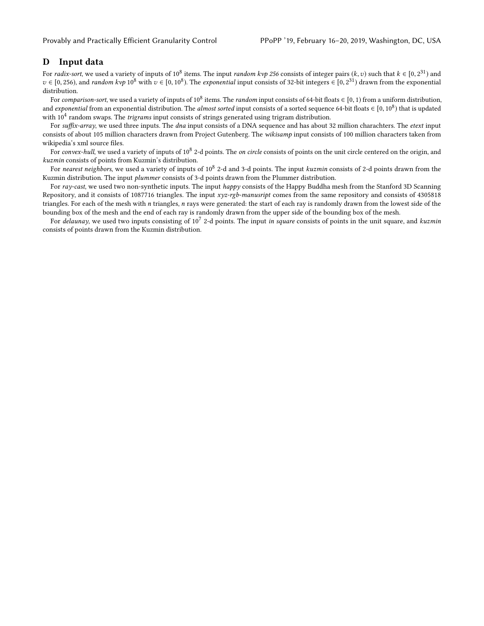# D Input data

For radix-sort, we used a variety of inputs of 10<sup>8</sup> items. The input *random kvp 256* consists of integer pairs  $(k, v)$  such that  $k \in [0, 2^{31})$  and  $k \in [0, 2^{31})$  and  $k \in [0, 2^{31})$  and  $k \in [0, 2^{31})$  and  $k \in [0, 2^{31})$   $v \in [0, 256)$ , and *random kvp*  $10^8$  with  $v \in [0, 10^8)$ . The *exponential* input consists of 32-bit integers  $\in [0, 2^{31})$  drawn from the exponential distribution distribution.

For comparison-sort, we used a variety of inputs of 10<sup>8</sup> items. The *random* input consists of 64-bit floats ∈ [0, 1) from a uniform distribution,<br>devenimential from an exponential distribution. The *almost sorted* inpu and *exponential* from an exponential distribution. The *almost sorted* input consists of a sorted sequence 64-bit floats ∈ [0, 10<sup>8</sup>) that is updated with 10<sup>4</sup> random swaps. The trigram input consists of strings genera with  $10^4$  random swaps. The trigrams input consists of strings generated using trigram distribution.

For suffix-array, we used three inputs. The dna input consists of a DNA sequence and has about 32 million charachters. The etext input consists of about 105 million characters drawn from Project Gutenberg. The wikisamp input consists of 100 million characters taken from wikipedia's xml source files.

For *convex-hull*, we used a variety of inputs of  $10^8$  2-d points. The *on circle* consists of points on the unit circle centered on the origin, and kuzmin consists of points from Kuzmin's distribution.

For *nearest neighbors*, we used a variety of inputs of 10<sup>8</sup> 2-d and 3-d points. The input *kuzmin* consists of 2-d points drawn from the Kuzmin distribution. The input plummer consists of 3-d points drawn from the Plummer distribution.

For ray-cast, we used two non-synthetic inputs. The input happy consists of the Happy Buddha mesh from the Stanford 3D Scanning Repository, and it consists of 1087716 triangles. The input xyz-rgb-manusript comes from the same repository and consists of 4305818 triangles. For each of the mesh with n triangles, n rays were generated: the start of each ray is randomly drawn from the lowest side of the bounding box of the mesh and the end of each ray is randomly drawn from the upper side of the bounding box of the mesh.

For delaunay, we used two inputs consisting of 10<sup>7</sup> 2-d points. The input *in square* consists of points in the unit square, and *kuzmin* consists of points drawn from the Kuzmin distribution.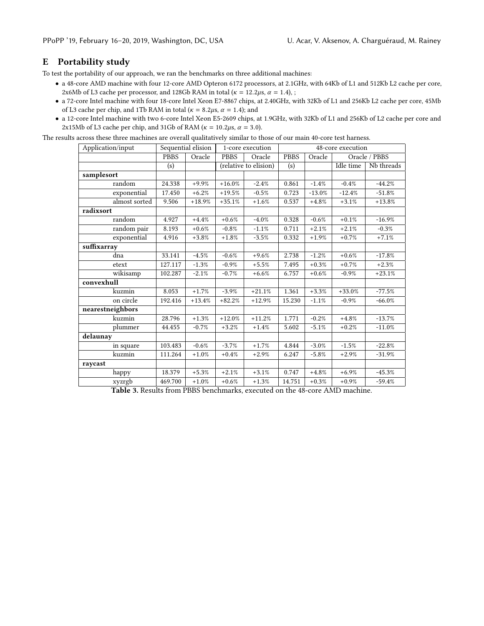# E Portability study

To test the portability of our approach, we ran the benchmarks on three additional machines:

- a 48-core AMD machine with four 12-core AMD Opteron 6172 processors, at 2.1GHz, with 64Kb of L1 and 512Kb L2 cache per core, 2x6Mb of L3 cache per processor, and 128Gb RAM in total ( $\kappa = 12.2 \mu$ s,  $\alpha = 1.4$ ), ;
- a 72-core Intel machine with four 18-core Intel Xeon E7-8867 chips, at 2.40GHz, with 32Kb of L1 and 256Kb L2 cache per core, 45Mb of L3 cache per chip, and 1Tb RAM in total ( $\kappa = 8.2 \mu s$ ,  $\alpha = 1.4$ ); and
- a 12-core Intel machine with two 6-core Intel Xeon E5-2609 chips, at 1.9GHz, with 32Kb of L1 and 256Kb of L2 cache per core and 2x15Mb of L3 cache per chip, and 31Gb of RAM ( $\kappa = 10.2 \mu$ s,  $\alpha = 3.0$ ).

The results across these three machines are overall qualitatively similar to those of our main 40-core test harness.

| Application/input |                  |             | Sequential elision |                       | 1-core execution | 48-core execution |          |           |               |
|-------------------|------------------|-------------|--------------------|-----------------------|------------------|-------------------|----------|-----------|---------------|
|                   |                  | <b>PBBS</b> | Oracle             | <b>PBBS</b>           | Oracle           | <b>PBBS</b>       | Oracle   |           | Oracle / PBBS |
|                   |                  | (s)         |                    | (relative to elision) |                  | (s)               |          | Idle time | Nb threads    |
| samplesort        |                  |             |                    |                       |                  |                   |          |           |               |
|                   | random           | 24.338      | $+9.9%$            | $+16.0%$              | $-2.4%$          | 0.861             | $-1.4%$  | $-0.4%$   | $-44.2%$      |
|                   | exponential      | 17.450      | $+6.2%$            | $+19.5%$              | $-0.5%$          | 0.723             | $-13.0%$ | $-12.4%$  | $-51.8%$      |
|                   | almost sorted    | 9.506       | $+18.9%$           | $+35.1%$              | $+1.6%$          | 0.537             | $+4.8%$  | $+3.1%$   | $+13.8%$      |
| radixsort         |                  |             |                    |                       |                  |                   |          |           |               |
|                   | random           | 4.927       | $+4.4%$            | $+0.6%$               | $-4.0%$          | 0.328             | $-0.6%$  | $+0.1%$   | $-16.9%$      |
|                   | random pair      | 8.193       | $+0.6%$            | $-0.8%$               | $-1.1%$          | 0.711             | $+2.1%$  | $+2.1%$   | $-0.3%$       |
|                   | exponential      | 4.916       | $+3.8%$            | $+1.8%$               | $-3.5%$          | 0.332             | $+1.9%$  | $+0.7%$   | $+7.1%$       |
| suffixarray       |                  |             |                    |                       |                  |                   |          |           |               |
|                   | dna              | 33.141      | $-4.5%$            | $-0.6%$               | $+9.6%$          | 2.738             | $-1.2%$  | $+0.6%$   | $-17.8%$      |
|                   | etext            | 127.117     | $-1.3%$            | $-0.9\%$              | $+5.5%$          | 7.495             | $+0.3%$  | $+0.7%$   | $+2.3%$       |
|                   | wikisamp         | 102.287     | $-2.1%$            | $-0.7%$               | $+6.6%$          | 6.757             | $+0.6%$  | $-0.9%$   | $+23.1%$      |
| convexhull        |                  |             |                    |                       |                  |                   |          |           |               |
|                   | kuzmin           | 8.053       | $+1.7%$            | $-3.9\%$              | $+21.1%$         | 1.361             | $+3.3%$  | $+33.0%$  | $-77.5%$      |
|                   | on circle        | 192.416     | $+13.4%$           | $+82.2%$              | $+12.9%$         | 15.230            | $-1.1%$  | $-0.9%$   | $-66.0%$      |
|                   | nearestneighbors |             |                    |                       |                  |                   |          |           |               |
|                   | kuzmin           | 28.796      | $+1.3%$            | $+12.0%$              | $+11.2%$         | 1.771             | $-0.2%$  | $+4.8%$   | $-13.7%$      |
|                   | plummer          | 44.455      | $-0.7%$            | $+3.2%$               | $+1.4%$          | 5.602             | $-5.1%$  | $+0.2%$   | $-11.0%$      |
| delaunav          |                  |             |                    |                       |                  |                   |          |           |               |
|                   | in square        | 103.483     | $-0.6%$            | $-3.7%$               | $+1.7%$          | 4.844             | $-3.0%$  | $-1.5%$   | $-22.8%$      |
|                   | kuzmin           | 111.264     | $+1.0%$            | $+0.4%$               | $+2.9%$          | 6.247             | $-5.8%$  | $+2.9%$   | $-31.9%$      |
| raycast           |                  |             |                    |                       |                  |                   |          |           |               |
|                   | happy            | 18.379      | $+5.3%$            | $+2.1%$               | $+3.1%$          | 0.747             | $+4.8%$  | $+6.9%$   | $-45.3%$      |
|                   | xyzrgb           | 469.700     | $+1.0%$            | $+0.6%$               | $+1.3%$          | 14.751            | $+0.3%$  | $+0.9%$   | $-59.4%$      |

Table 3. Results from PBBS benchmarks, executed on the 48-core AMD machine.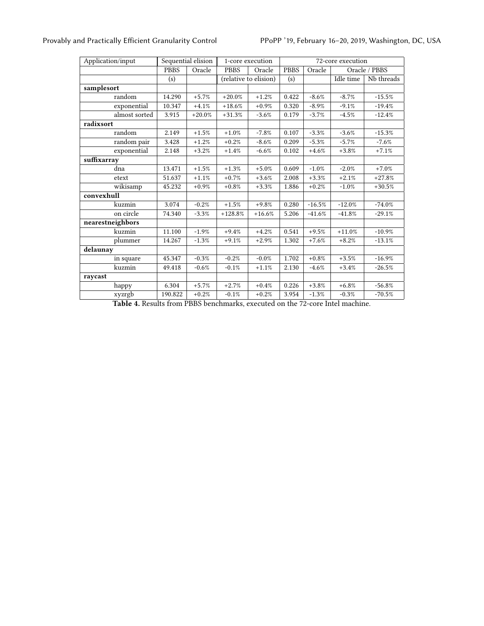| Application/input |                  |             | Sequential elision |             | 1-core execution      |             |          | 72-core execution |               |
|-------------------|------------------|-------------|--------------------|-------------|-----------------------|-------------|----------|-------------------|---------------|
|                   |                  | <b>PBBS</b> | Oracle             | <b>PBBS</b> | Oracle                | <b>PBBS</b> | Oracle   |                   | Oracle / PBBS |
|                   |                  | (s)         |                    |             | (relative to elision) | (s)         |          | Idle time         | Nb threads    |
| samplesort        |                  |             |                    |             |                       |             |          |                   |               |
|                   | random           | 14.290      | $+5.7%$            | $+20.0%$    | $+1.2%$               | 0.422       | $-8.6%$  | $-8.7%$           | $-15.5%$      |
|                   | exponential      | 10.347      | $+4.1%$            | $+18.6%$    | $+0.9%$               | 0.320       | $-8.9\%$ | $-9.1%$           | $-19.4%$      |
|                   | almost sorted    | 3.915       | $+20.0%$           | $+31.3%$    | $-3.6%$               | 0.179       | $-3.7%$  | $-4.5%$           | $-12.4%$      |
| radixsort         |                  |             |                    |             |                       |             |          |                   |               |
|                   | random           | 2.149       | $+1.5%$            | $+1.0%$     | $-7.8%$               | 0.107       | $-3.3%$  | $-3.6%$           | $-15.3%$      |
|                   | random pair      | 3.428       | $+1.2%$            | $+0.2%$     | $-8.6%$               | 0.209       | $-5.3%$  | $-5.7%$           | $-7.6%$       |
|                   | exponential      | 2.148       | $+3.2%$            | $+1.4%$     | $-6.6%$               | 0.102       | $+4.6%$  | $+3.8%$           | $+7.1%$       |
| suffixarray       |                  |             |                    |             |                       |             |          |                   |               |
|                   | dna              | 13.471      | $+1.5%$            | $+1.3%$     | $+5.0%$               | 0.609       | $-1.0%$  | $-2.0%$           | $+7.0%$       |
|                   | etext            | 51.637      | $+1.1%$            | $+0.7%$     | $+3.6%$               | 2.008       | $+3.3%$  | $+2.1%$           | $+27.8%$      |
|                   | wikisamp         | 45.232      | $+0.9%$            | $+0.8%$     | $+3.3%$               | 1.886       | $+0.2%$  | $-1.0%$           | $+30.5%$      |
| convexhull        |                  |             |                    |             |                       |             |          |                   |               |
|                   | kuzmin           | 3.074       | $-0.2%$            | $+1.5%$     | $+9.8%$               | 0.280       | $-16.5%$ | $-12.0%$          | $-74.0%$      |
|                   | on circle        | 74.340      | $-3.3%$            | $+128.8%$   | $+16.6%$              | 5.206       | $-41.6%$ | $-41.8%$          | $-29.1%$      |
|                   | nearestneighbors |             |                    |             |                       |             |          |                   |               |
|                   | kuzmin           | 11.100      | $-1.9%$            | $+9.4%$     | $+4.2%$               | 0.541       | $+9.5%$  | $+11.0%$          | $-10.9%$      |
|                   | plummer          | 14.267      | $-1.3%$            | $+9.1%$     | $+2.9%$               | 1.302       | $+7.6%$  | $+8.2%$           | $-13.1%$      |
| delaunay          |                  |             |                    |             |                       |             |          |                   |               |
|                   | in square        | 45.347      | $-0.3%$            | $-0.2%$     | $-0.0%$               | 1.702       | $+0.8%$  | $+3.5\%$          | $-16.9%$      |
|                   | kuzmin           | 49.418      | $-0.6%$            | $-0.1%$     | $+1.1%$               | 2.130       | $-4.6%$  | $+3.4%$           | $-26.5%$      |
| raycast           |                  |             |                    |             |                       |             |          |                   |               |
|                   | happy            | 6.304       | $+5.7%$            | $+2.7%$     | $+0.4%$               | 0.226       | $+3.8%$  | $+6.8%$           | $-56.8%$      |
|                   | xyzrgb           | 190.822     | $+0.2%$            | $-0.1%$     | $+0.2%$               | 3.954       | $-1.3%$  | $-0.3%$           | $-70.5%$      |

Table 4. Results from PBBS benchmarks, executed on the 72-core Intel machine.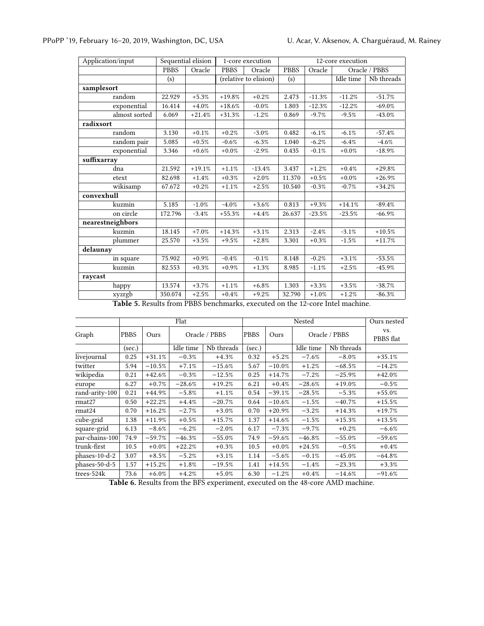|             | Application/input |             | Sequential elision |             | 1-core execution      |             |          | 12-core execution |               |
|-------------|-------------------|-------------|--------------------|-------------|-----------------------|-------------|----------|-------------------|---------------|
|             |                   | <b>PBBS</b> | Oracle             | <b>PBBS</b> | Oracle                | <b>PBBS</b> | Oracle   |                   | Oracle / PBBS |
|             |                   | (s)         |                    |             | (relative to elision) | (s)         |          | Idle time         | Nb threads    |
| samplesort  |                   |             |                    |             |                       |             |          |                   |               |
|             | random            | 22.929      | $+5.3%$            | $+19.8%$    | $+0.2%$               | 2.473       | $-11.3%$ | $-11.2%$          | $-51.7%$      |
|             | exponential       | 16.414      | $+4.0%$            | $+18.6%$    | $-0.0%$               | 1.803       | $-12.3%$ | $-12.2%$          | $-69.0%$      |
|             | almost sorted     | 6.069       | $+21.4%$           | $+31.3%$    | $-1.2%$               | 0.869       | $-9.7%$  | $-9.5%$           | $-43.0%$      |
| radixsort   |                   |             |                    |             |                       |             |          |                   |               |
|             | random            | 3.130       | $+0.1%$            | $+0.2%$     | $-3.0%$               | 0.482       | $-6.1%$  | $-6.1%$           | $-57.4%$      |
|             | random pair       | 5.085       | $+0.5%$            | $-0.6%$     | $-6.3%$               | 1.040       | $-6.2%$  | $-6.4%$           | $-4.6%$       |
|             | exponential       | 3.346       | $+0.6%$            | $+0.0%$     | $-2.9%$               | 0.435       | $-0.1%$  | $+0.0%$           | $-18.9%$      |
| suffixarray |                   |             |                    |             |                       |             |          |                   |               |
|             | dna               | 21.592      | $+19.1%$           | $+1.1%$     | $-13.4%$              | 3.437       | $+1.2%$  | $+0.4%$           | $+29.8%$      |
|             | etext             | 82.698      | $+1.4%$            | $+0.3%$     | $+2.0%$               | 11.370      | $+0.5%$  | $+0.0%$           | $+26.9%$      |
|             | wikisamp          | 67.672      | $+0.2%$            | $+1.1%$     | $+2.5%$               | 10.540      | $-0.3%$  | $-0.7%$           | $+34.2%$      |
| convexhull  |                   |             |                    |             |                       |             |          |                   |               |
|             | kuzmin            | 5.185       | $-1.0%$            | $-4.0%$     | $+3.6%$               | 0.813       | $+9.3%$  | $+14.1%$          | $-89.4%$      |
|             | on circle         | 172.796     | $-3.4%$            | $+55.3%$    | $+4.4%$               | 26.637      | $-23.5%$ | $-23.5%$          | $-66.9%$      |
|             | nearestneighbors  |             |                    |             |                       |             |          |                   |               |
|             | kuzmin            | 18.145      | $+7.0%$            | $+14.3%$    | $+3.1%$               | 2.313       | $-2.4%$  | $-3.1%$           | $+10.5%$      |
|             | plummer           | 25.570      | $+3.5%$            | $+9.5%$     | $+2.8%$               | 3.301       | $+0.3%$  | $-1.5%$           | $+11.7%$      |
| delaunay    |                   |             |                    |             |                       |             |          |                   |               |
|             | in square         | 75.902      | $+0.9%$            | $-0.4%$     | $-0.1%$               | 8.148       | $-0.2\%$ | $+3.1%$           | $-53.5%$      |
|             | kuzmin            | 82.553      | $+0.3%$            | $+0.9%$     | $+1.3%$               | 8.985       | $-1.1%$  | $+2.5%$           | $-45.9%$      |
| raycast     |                   |             |                    |             |                       |             |          |                   |               |
|             | happy             | 13.574      | $+3.7%$            | $+1.1%$     | $+6.8%$               | 1.303       | $+3.3%$  | $+3.5\%$          | $-38.7%$      |
|             | xyzrgb            | 350.074     | $+2.5%$            | $+0.4%$     | $+9.2%$               | 32.790      | $+1.0%$  | $+1.2%$           | $-86.3%$      |
|             | - - -             |             |                    |             |                       |             |          |                   |               |

Table 5. Results from PBBS benchmarks, executed on the 12-core Intel machine.

|                |             |          | Flat          |            |             |          |           | Ours nested                                                                    |                  |
|----------------|-------------|----------|---------------|------------|-------------|----------|-----------|--------------------------------------------------------------------------------|------------------|
| Graph          | <b>PBBS</b> | Ours     | Oracle / PBBS |            | <b>PBBS</b> | Ours     |           | Oracle / PBBS                                                                  | VS.<br>PBBS flat |
|                | (sec.)      |          | Idle time     | Nb threads | (sec.)      |          | Idle time | Nb threads                                                                     |                  |
| livejournal    | 0.25        | $+31.1%$ | $-0.3%$       | $+4.3%$    | 0.32        | $+5.2%$  | $-7.6%$   | $-8.0\%$                                                                       | $+35.1%$         |
| twitter        | 5.94        | $-10.5%$ | $+7.1%$       | $-15.6%$   | 5.67        | $-10.0%$ | $+1.2%$   | $-68.5%$                                                                       | $-14.2%$         |
| wikipedia      | 0.21        | $+42.6%$ | $-0.3%$       | $-12.5%$   | 0.25        | $+14.7%$ | $-7.2%$   | $-25.9%$                                                                       | $+42.0%$         |
| europe         | 6.27        | $+0.7%$  | $-28.6%$      | $+19.2%$   | 6.21        | $+0.4%$  | $-28.6%$  | $+19.0%$                                                                       | $-0.5%$          |
| rand-arity-100 | 0.21        | $+44.9%$ | $-5.8%$       | $+1.1%$    | 0.54        | $-39.1%$ | $-28.5%$  | $-5.3%$                                                                        | $+55.0%$         |
| rmat27         | 0.50        | $+22.2%$ | $+4.4%$       | $-20.7%$   | 0.64        | $-10.6%$ | $-1.5%$   | $-40.7%$                                                                       | $+15.5%$         |
| rmat24         | 0.70        | $+16.2%$ | $-2.7%$       | $+3.0%$    | 0.70        | $+20.9%$ | $-3.2%$   | $+14.3%$                                                                       | $+19.7%$         |
| cube-grid      | 1.38        | $+11.9%$ | $+0.5%$       | $+15.7%$   | 1.37        | $+14.6%$ | $-1.5%$   | $+15.3%$                                                                       | $+13.5%$         |
| square-grid    | 6.13        | $-8.6\%$ | $-6.2%$       | $-2.0%$    | 6.17        | $-7.3%$  | $-9.7%$   | $+0.2%$                                                                        | $-6.6%$          |
| par-chains-100 | 74.9        | $-59.7%$ | $-46.3%$      | $-55.0%$   | 74.9        | $-59.6%$ | $-46.8%$  | $-55.0%$                                                                       | $-59.6%$         |
| trunk-first    | 10.5        | $+0.0%$  | $+22.2%$      | $+0.3%$    | 10.5        | $+0.0%$  | $+24.5%$  | $-0.5%$                                                                        | $+0.4%$          |
| phases-10-d-2  | 3.07        | $+8.5%$  | $-5.2%$       | $+3.1%$    | 1.14        | $-5.6%$  | $-0.1%$   | $-45.0%$                                                                       | $-64.8\%$        |
| phases-50-d-5  | 1.57        | $+15.2%$ | $+1.8%$       | $-19.5%$   | 1.41        | $+14.5%$ | $-1.4%$   | $-23.3%$                                                                       | $+3.3%$          |
| trees-524k     | 73.6        | $+6.0%$  | $+4.2%$       | $+5.0%$    | 6.30        | $-1.2%$  | $+0.4%$   | $-14.6%$                                                                       | $-91.6%$         |
|                |             |          |               |            |             |          |           | Table 6. Results from the BFS experiment, executed on the 48-core AMD machine. |                  |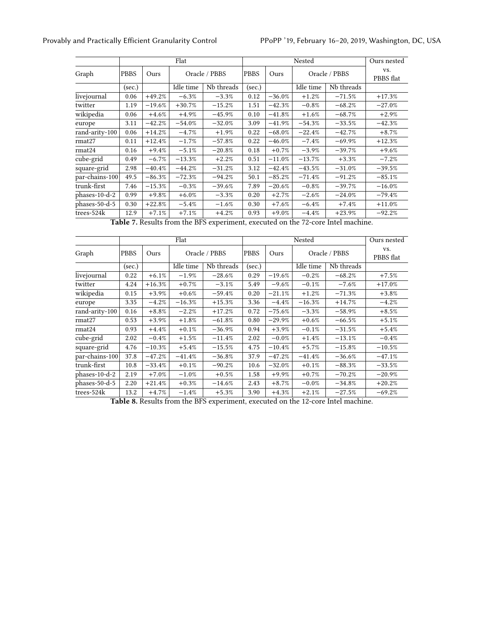|                 |             |          | Flat          |            |             |           | Nested    |                                                                                         | Ours nested      |
|-----------------|-------------|----------|---------------|------------|-------------|-----------|-----------|-----------------------------------------------------------------------------------------|------------------|
| Graph           | <b>PBBS</b> | Ours     | Oracle / PBBS |            | <b>PBBS</b> | Ours      |           | Oracle / PBBS                                                                           | VS.<br>PBBS flat |
|                 | (sec.)      |          | Idle time     | Nb threads | (sec.)      |           | Idle time | Nb threads                                                                              |                  |
| livejournal     | 0.06        | $+49.2%$ | $-6.3%$       | $-3.3%$    | 0.12        | $-36.0%$  | $+1.2%$   | $-71.5%$                                                                                | $+17.3%$         |
| twitter         | 1.19        | $-19.6%$ | $+30.7%$      | $-15.2%$   | 1.51        | $-42.3%$  | $-0.8%$   | $-68.2%$                                                                                | $-27.0%$         |
| wikipedia       | 0.06        | $+4.6\%$ | $+4.9%$       | $-45.9%$   | 0.10        | $-41.8%$  | $+1.6%$   | $-68.7%$                                                                                | $+2.9%$          |
| europe          | 3.11        | $-42.2%$ | $-54.0%$      | $-32.0%$   | 3.09        | $-41.9%$  | $-54.3%$  | $-33.5%$                                                                                | $-42.3%$         |
| rand-arity-100  | 0.06        | $+14.2%$ | $-4.7%$       | $+1.9%$    | 0.22        | $-68.0\%$ | $-22.4%$  | $-42.7%$                                                                                | $+8.7%$          |
| rmat27          | 0.11        | $+12.4%$ | $-1.7%$       | $-57.8%$   | 0.22        | $-46.0%$  | $-7.4%$   | $-69.9%$                                                                                | $+12.3%$         |
| rmat24          | 0.16        | $+9.4%$  | $-5.1%$       | $-20.8%$   | 0.18        | $+0.7%$   | $-3.9%$   | $-39.7%$                                                                                | $+9.6%$          |
| cube-grid       | 0.49        | $-6.7\%$ | $-13.3%$      | $+2.2%$    | 0.51        | $-11.0%$  | $-13.7%$  | $+3.3%$                                                                                 | $-7.2%$          |
| square-grid     | 2.98        | $-40.4%$ | $-44.2%$      | $-31.2%$   | 3.12        | $-42.4%$  | $-43.5%$  | $-31.0%$                                                                                | $-39.5%$         |
| par-chains-100  | 49.5        | $-86.3%$ | $-72.3%$      | $-94.2%$   | 50.1        | $-85.2%$  | $-71.4%$  | $-91.2%$                                                                                | $-85.1%$         |
| trunk-first     | 7.46        | $-15.3%$ | $-0.3%$       | $-39.6%$   | 7.89        | $-20.6%$  | $-0.8%$   | $-39.7%$                                                                                | $-16.0%$         |
| $phases-10-d-2$ | 0.99        | $+9.8%$  | $+6.0%$       | $-3.3%$    | 0.20        | $+2.7%$   | $-2.6%$   | $-24.0%$                                                                                | $-79.4%$         |
| phases-50-d-5   | 0.30        | $+22.8%$ | $-5.4%$       | $-1.6%$    | 0.30        | $+7.6%$   | $-6.4%$   | $+7.4%$                                                                                 | $+11.0%$         |
| trees-524k      | 12.9        | $+7.1%$  | $+7.1%$       | $+4.2%$    | 0.93        | $+9.0%$   | $-4.4%$   | $+23.9%$                                                                                | $-92.2%$         |
|                 |             |          |               |            |             |           |           | <b>Table 7.</b> Results from the BFS experiment, executed on the 72-core Intel machine. |                  |

|                 |             |                       | Flat      |             |                       |          |           | Ours nested      |          |
|-----------------|-------------|-----------------------|-----------|-------------|-----------------------|----------|-----------|------------------|----------|
| Graph           | <b>PBBS</b> | Oracle / PBBS<br>Ours |           | <b>PBBS</b> | Oracle / PBBS<br>Ours |          |           | VS.<br>PBBS flat |          |
|                 | (sec.)      |                       | Idle time | Nb threads  | (sec.)                |          | Idle time | Nb threads       |          |
| livejournal     | 0.22        | $+6.1%$               | $-1.9%$   | $-28.6%$    | 0.29                  | $-19.6%$ | $-0.2%$   | $-68.2%$         | $+7.5%$  |
| twitter         | 4.24        | $+16.3%$              | $+0.7%$   | $-3.1%$     | 5.49                  | $-9.6%$  | $-0.1%$   | $-7.6%$          | $+17.0%$ |
| wikipedia       | 0.15        | $+3.9%$               | $+0.6%$   | $-59.4%$    | 0.20                  | $-21.1%$ | $+1.2%$   | $-71.3%$         | $+3.8%$  |
| europe          | 3.35        | $-4.2%$               | $-16.3%$  | $+15.3%$    | 3.36                  | $-4.4%$  | $-16.3%$  | $+14.7%$         | $-4.2%$  |
| rand-arity-100  | 0.16        | $+8.8%$               | $-2.2%$   | $+17.2%$    | 0.72                  | $-75.6%$ | $-3.3%$   | $-58.9%$         | $+8.5%$  |
| rmat27          | 0.53        | $+3.9%$               | $+1.8%$   | $-61.8\%$   | 0.80                  | $-29.9%$ | $+0.6%$   | $-66.5%$         | $+5.1%$  |
| rmat24          | 0.93        | $+4.4%$               | $+0.1%$   | $-36.9%$    | 0.94                  | $+3.9%$  | $-0.1%$   | $-31.5%$         | $+5.4%$  |
| cube-grid       | 2.02        | $-0.4%$               | $+1.5%$   | $-11.4%$    | 2.02                  | $-0.0%$  | $+1.4%$   | $-13.1%$         | $-0.4%$  |
| square-grid     | 4.76        | $-10.3\%$             | $+5.4%$   | $-15.5%$    | 4.75                  | $-10.4%$ | $+5.7%$   | $-15.8%$         | $-10.5%$ |
| par-chains-100  | 37.8        | $-47.2%$              | $-41.4%$  | $-36.8%$    | 37.9                  | $-47.2%$ | $-41.4%$  | $-36.6%$         | $-47.1%$ |
| trunk-first     | 10.8        | $-33.4%$              | $+0.1%$   | $-90.2%$    | 10.6                  | $-32.0%$ | $+0.1%$   | $-88.3%$         | $-33.5%$ |
| $phases-10-d-2$ | 2.19        | $+7.0\%$              | $-1.0\%$  | $+0.5%$     | 1.58                  | $+9.9%$  | $+0.7%$   | $-70.2%$         | $-20.9%$ |
| phases-50-d-5   | 2.20        | $+21.4%$              | $+0.3%$   | $-14.6%$    | 2.43                  | $+8.7%$  | $-0.0%$   | $-34.8%$         | $+20.2%$ |
| $tree-524k$     | 132         | $+4.7%$               | $-1.4%$   | $+5.3%$     | 3.90                  | $+4.3%$  | $+2.1\%$  | $-27.5%$         | $-69.2%$ |

trees-524k 13.2 +4.7% −1.4% +5.3% 3.90 +4.3% +2.1% −27.5% −69.2%<br> **Table 8.** Results from the BFS experiment, executed on the 12-core Intel machine.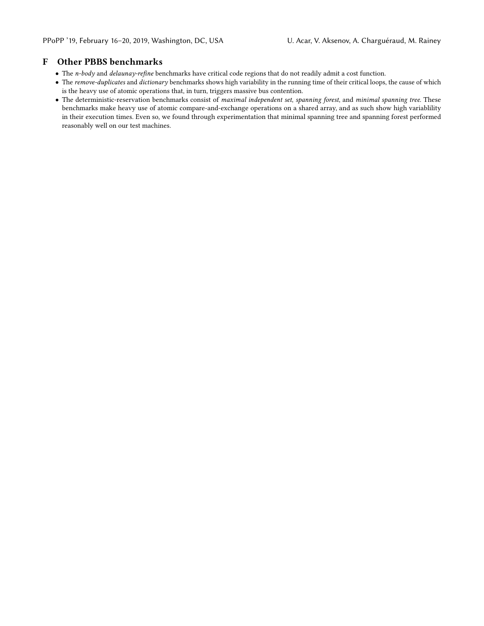# F Other PBBS benchmarks

- The n-body and delaunay-refine benchmarks have critical code regions that do not readily admit a cost function.
- The remove-duplicates and dictionary benchmarks shows high variability in the running time of their critical loops, the cause of which is the heavy use of atomic operations that, in turn, triggers massive bus contention.
- The deterministic-reservation benchmarks consist of maximal independent set, spanning forest, and minimal spanning tree. These benchmarks make heavy use of atomic compare-and-exchange operations on a shared array, and as such show high variablility in their execution times. Even so, we found through experimentation that minimal spanning tree and spanning forest performed reasonably well on our test machines.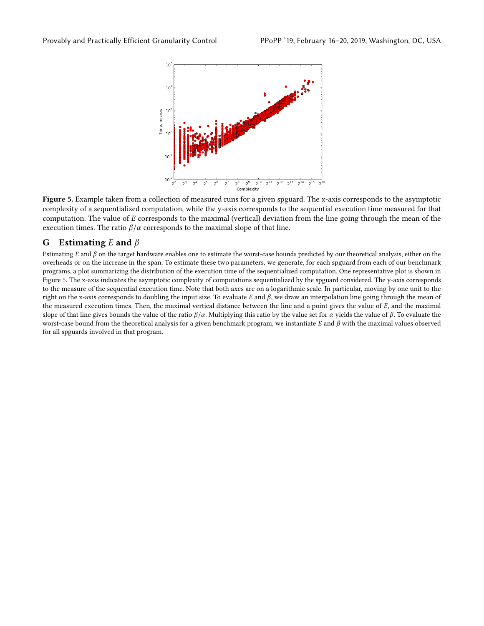<span id="page-32-0"></span>

Figure 5. Example taken from a collection of measured runs for a given spguard. The x-axis corresponds to the asymptotic complexity of a sequentialized computation, while the y-axis corresponds to the sequential execution time measured for that computation. The value of  $E$  corresponds to the maximal (vertical) deviation from the line going through the mean of the execution times. The ratio  $\beta/\alpha$  corresponds to the maximal slope of that line.

# G Estimating E and  $\beta$

Estimating E and  $\beta$  on the target hardware enables one to estimate the worst-case bounds predicted by our theoretical analysis, either on the overheads or on the increase in the span. To estimate these two parameters, we generate, for each spguard from each of our benchmark programs, a plot summarizing the distribution of the execution time of the sequentialized computation. One representative plot is shown in Figure [5.](#page-32-0) The x-axis indicates the asymptotic complexity of computations sequentialized by the spguard considered. The y-axis corresponds to the measure of the sequential execution time. Note that both axes are on a logarithmic scale. In particular, moving by one unit to the right on the x-axis corresponds to doubling the input size. To evaluate E and  $\beta$ , we draw an interpolation line going through the mean of the measured execution times. Then, the maximal vertical distance between the line and a point gives the value of  $E$ , and the maximal slope of that line gives bounds the value of the ratio  $\beta/\alpha$ . Multiplying this ratio by the value set for  $\alpha$  yields the value of  $\beta$ . To evaluate the worst-case bound from the theoretical analysis for a given benchmark program, we instantiate E and  $\beta$  with the maximal values observed for all spguards involved in that program.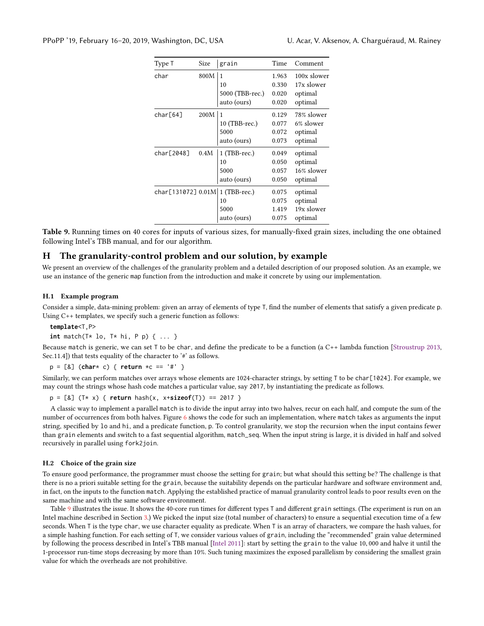<span id="page-33-0"></span>

| Type T             | Size | grain                                                | Time                             | Comment                                         |
|--------------------|------|------------------------------------------------------|----------------------------------|-------------------------------------------------|
| char               | 800M | 1<br>10<br>5000 (TBB-rec.)<br>auto (ours)            | 1.963<br>0.330<br>0.020<br>0.020 | 100x slower<br>17x slower<br>optimal<br>optimal |
| char[64]           | 200M | $\mathbf{1}$<br>10 (TBB-rec.)<br>5000<br>auto (ours) | 0.129<br>0.077<br>0.072<br>0.073 | 78% slower<br>6% slower<br>optimal<br>optimal   |
| char[2048]         | 0.4M | $1$ (TBB-rec.)<br>10<br>5000<br>auto (ours)          | 0.049<br>0.050<br>0.057<br>0.050 | optimal<br>optimal<br>16% slower<br>optimal     |
| char[131072] 0.01M |      | $1$ (TBB-rec.)<br>10<br>5000<br>auto (ours)          | 0.075<br>0.075<br>1.419<br>0.075 | optimal<br>optimal<br>19x slower<br>optimal     |

Table 9. Running times on 40 cores for inputs of various sizes, for manually-fixed grain sizes, including the one obtained following Intel's TBB manual, and for our algorithm.

# H The granularity-control problem and our solution, by example

We present an overview of the challenges of the granularity problem and a detailed description of our proposed solution. As an example, we use an instance of the generic map function from the introduction and make it concrete by using our implementation.

#### H.1 Example program

Consider a simple, data-mining problem: given an array of elements of type T, find the number of elements that satisfy a given predicate p. Using C++ templates, we specify such a generic function as follows:

**template**<T,P>

**int** match( $T*$  lo,  $T*$  hi,  $P$   $p$ )  $\{ \ldots \}$ 

Because match is generic, we can set T to be char, and define the predicate to be a function (a C++ lambda function [\[Stroustrup](#page-12-23) [2013,](#page-12-23) Sec.11.4]) that tests equality of the character to '#' as follows.

p = [&] (**char**\* c) { **return** \*c == '#' }

Similarly, we can perform matches over arrays whose elements are 1024-character strings, by setting T to be char[1024]. For example, we may count the strings whose hash code matches a particular value, say 2017, by instantiating the predicate as follows.

p = [&] (T\* x) { **return** hash(x, x+**sizeof**(T)) == 2017 }

A classic way to implement a parallel match is to divide the input array into two halves, recur on each half, and compute the sum of the number of occurrences from both halves. Figure [6](#page-34-0) shows the code for such an implementation, where match takes as arguments the input string, specified by lo and hi, and a predicate function, p. To control granularity, we stop the recursion when the input contains fewer than grain elements and switch to a fast sequential algorithm, match\_seq. When the input string is large, it is divided in half and solved recursively in parallel using fork2join.

#### H.2 Choice of the grain size

To ensure good performance, the programmer must choose the setting for grain; but what should this setting be? The challenge is that there is no a priori suitable setting for the grain, because the suitability depends on the particular hardware and software environment and, in fact, on the inputs to the function match. Applying the established practice of manual granularity control leads to poor results even on the same machine and with the same software environment.

Table [9](#page-33-0) illustrates the issue. It shows the 40-core run times for different types T and different grain settings. (The experiment is run on an Intel machine described in Section [3.](#page-6-1)) We picked the input size (total number of characters) to ensure a sequential execution time of a few seconds. When T is the type char, we use character equality as predicate. When T is an array of characters, we compare the hash values, for a simple hashing function. For each setting of T, we consider various values of grain, including the "recommended" grain value determined by following the process described in Intel's TBB manual [\[Intel](#page-12-5) [2011\]](#page-12-5): start by setting the grain to the value <sup>10</sup>, <sup>000</sup> and halve it until the 1-processor run-time stops decreasing by more than 10%. Such tuning maximizes the exposed parallelism by considering the smallest grain value for which the overheads are not prohibitive.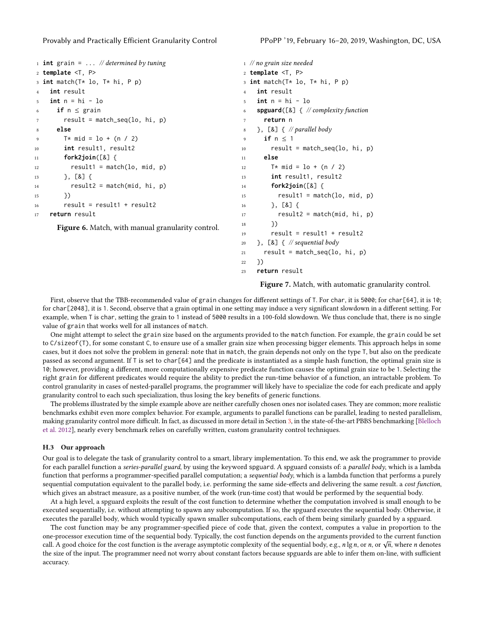Provably and Practically Efficient Granularity Control PPoPP '19, February 16–20, 2019, Washington, DC, USA

```
\frac{1}{1} int grain = \ldots // determined by tuning
2 template <T, P>
3 int match(T* lo, T* hi, P p)
4 int result
5 int n = hi - lo
      if n \leq grain
       result = match\_seq(lo, hi, p)8 else
       T* mid = lo + (n / 2)10 int result1, result2
11 fork2join([&] {
12 result1 = match(lo, mid, p)
13 }, [&] {
14 result2 = match(mid, hi, p)
15 })
16 result = result1 + result2
17 return result
      Figure 6. Match, with manual granularity control.
                                                        1 // no grain size needed
                                                        2 template <T, P>
                                                        3 int match(T* lo, T* hi, P p)
                                                        4 int result
                                                        5 int n = hi - lo
                                                        6 spguard([&] { // complexity function
                                                             7 return n
                                                        8 \quad, [&] { // parallel body
                                                        9 if n ≤ 1
                                                       10 result = match_seq(lo, hi, p)
                                                       11 else
                                                       12 T* mid = 10 + (n / 2)13 int result1, result2
                                                       14 fork2join([&] {
                                                       15 result1 = match(lo, mid, p)
                                                       16 }, [&] {
                                                       17 result2 = match(mid, hi, p)
                                                       18 })
                                                       19 result = result1 + result2
                                                       20 \}, [&] { // sequential body
                                                       21 result = match_seq(lo, hi, p)
                                                       22 })
                                                       23 return result
```
Figure 7. Match, with automatic granularity control.

First, observe that the TBB-recommended value of grain changes for different settings of T. For char, it is 5000; for char[64], it is 10; for char[2048], it is 1. Second, observe that a grain optimal in one setting may induce a very significant slowdown in a different setting. For example, when T is char, setting the grain to 1 instead of 5000 results in a 100-fold slowdown. We thus conclude that, there is no single value of grain that works well for all instances of match.

One might attempt to select the grain size based on the arguments provided to the match function. For example, the grain could be set to C/sizeof(T), for some constant C, to ensure use of a smaller grain size when processing bigger elements. This approach helps in some cases, but it does not solve the problem in general: note that in match, the grain depends not only on the type T, but also on the predicate passed as second argument. If T is set to char[64] and the predicate is instantiated as a simple hash function, the optimal grain size is 10; however, providing a different, more computationally expensive predicate function causes the optimal grain size to be 1. Selecting the right grain for different predicates would require the ability to predict the run-time behavior of a function, an intractable problem. To control granularity in cases of nested-parallel programs, the programmer will likely have to specialize the code for each predicate and apply granularity control to each such specialization, thus losing the key benefits of generic functions.

The problems illustrated by the simple example above are neither carefully chosen ones nor isolated cases. They are common; more realistic benchmarks exhibit even more complex behavior. For example, arguments to parallel functions can be parallel, leading to nested parallelism, making granularity control more difficult. In fact, as discussed in more detail in Section [3,](#page-6-1) in the state-of-the-art PBBS benchmarking [\[Blelloch](#page-11-15) [et al.](#page-11-15) [2012\]](#page-11-15), nearly every benchmark relies on carefully written, custom granularity control techniques.

#### H.3 Our approach

Our goal is to delegate the task of granularity control to a smart, library implementation. To this end, we ask the programmer to provide for each parallel function a *series-parallel guard*, by using the keyword spguard. A spguard consists of: a *parallel body*, which is a lambda function that performs a programmer-specified parallel computation; a sequential body, which is a lambda function that performs a purely sequential computation equivalent to the parallel body, i.e. performing the same side-effects and delivering the same result. a cost function, which gives an abstract measure, as a positive number, of the work (run-time cost) that would be performed by the sequential body.

At a high level, a spguard exploits the result of the cost function to determine whether the computation involved is small enough to be executed sequentially, i.e. without attempting to spawn any subcomputation. If so, the spguard executes the sequential body. Otherwise, it executes the parallel body, which would typically spawn smaller subcomputations, each of them being similarly guarded by a spguard.

The cost function may be any programmer-specified piece of code that, given the context, computes a value in proportion to the one-processor execution time of the sequential body. Typically, the cost function depends on the arguments provided to the current function one-processor execution time of the sequential body. Typically, the cost function depends on the arguments provided to the current function<br>call. A good choice for the cost function is the average asymptotic complexity of the size of the input. The programmer need not worry about constant factors because spguards are able to infer them on-line, with sufficient accuracy.